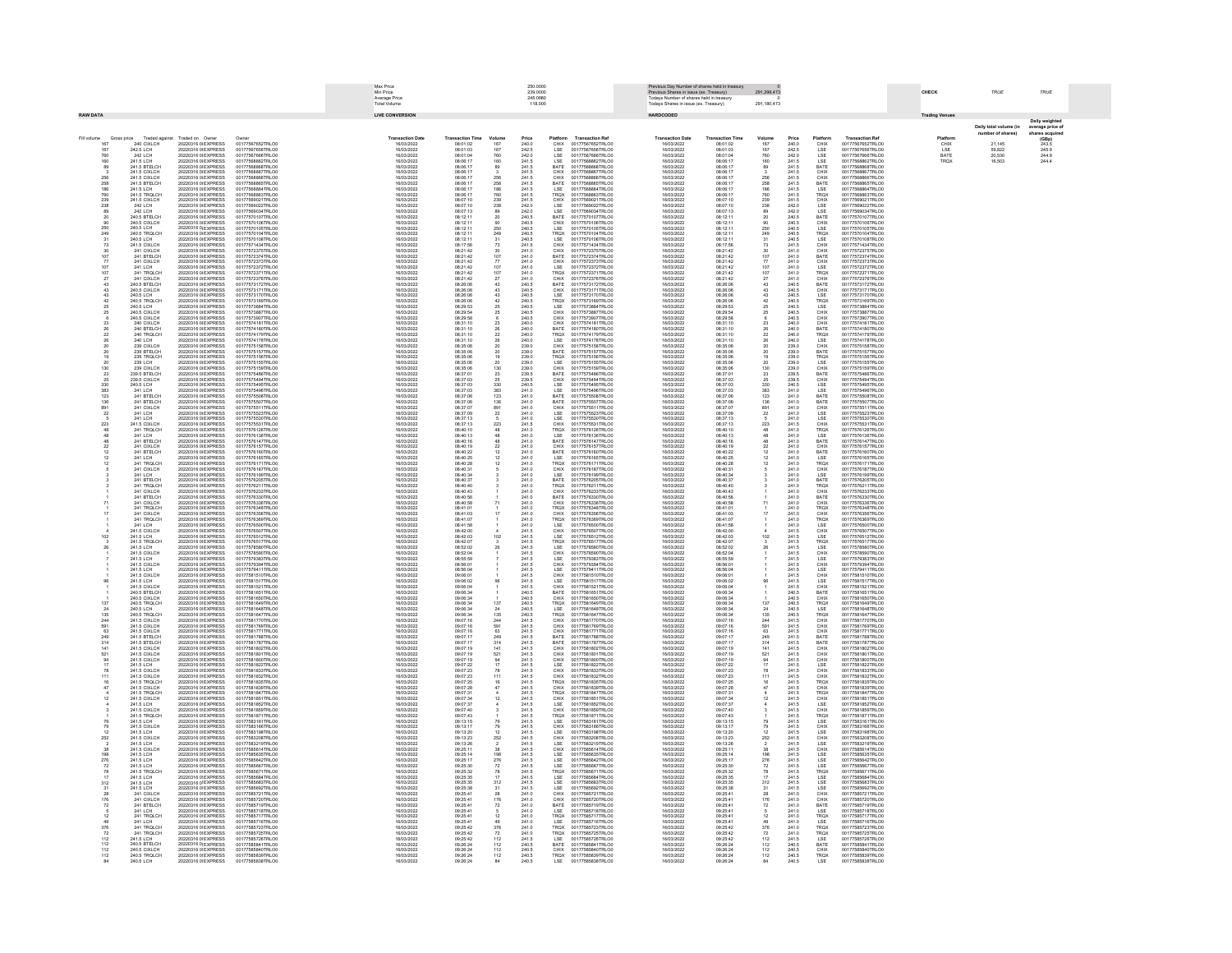|                                                |                                                                              |                                                                                          | <b>May Drine</b><br>250,0000<br>Min Price<br>239.0000<br>Average Price<br>Total Volume<br>245.0980 |  |                                                     |                                              |                                                              |                                                    | Previous Shares in issue (ex. Treasury)                                                      | us Day Number of shares held in trea                                                                  |                                                          |                                                |                                             | CHECK                                            | TRUE                                                                         | TRUE                  |                            |                                 |
|------------------------------------------------|------------------------------------------------------------------------------|------------------------------------------------------------------------------------------|----------------------------------------------------------------------------------------------------|--|-----------------------------------------------------|----------------------------------------------|--------------------------------------------------------------|----------------------------------------------------|----------------------------------------------------------------------------------------------|-------------------------------------------------------------------------------------------------------|----------------------------------------------------------|------------------------------------------------|---------------------------------------------|--------------------------------------------------|------------------------------------------------------------------------------|-----------------------|----------------------------|---------------------------------|
| <b>RAW DATA</b>                                |                                                                              |                                                                                          |                                                                                                    |  | <b>LIVE CONVERSION</b>                              |                                              |                                                              | 118,000                                            |                                                                                              | Todays Number of shares held in treasury<br>Todays Shares in issue (ex. Treasury)<br><b>HARDCODED</b> |                                                          | 291.180.473                                    |                                             |                                                  |                                                                              |                       |                            |                                 |
|                                                |                                                                              |                                                                                          |                                                                                                    |  |                                                     |                                              |                                                              |                                                    |                                                                                              |                                                                                                       |                                                          |                                                |                                             |                                                  |                                                                              | <b>Trading Venues</b> | Daily total volume (in     | <b>Daily weig</b><br>average pr |
| Fill volume<br>Gross price                     | Traded against                                                               | Traded on Owner                                                                          | Ourset                                                                                             |  | <b>Transaction Date</b>                             | <b>Transaction Time</b>                      | Volume                                                       | Price                                              | <b>Transaction Ref</b><br>Platform                                                           | <b>Transaction Date</b>                                                                               | <b>Transaction Time</b>                                  | Volume                                         | Price                                       | Platform                                         | <b>Transaction Ref</b>                                                       | Platforn              | ber of shares)             | shares act<br><b>CRn</b>        |
| 167<br>167<br>760                              | 240 CIXLCH<br>242.5 LCH<br>242 LCH                                           | 20220316 0/EXPRESS<br>20220316 0/EXPRESS<br>20220316 0/EXPRESS                           | 00177567652TRLO0<br>00177567656TRLO0<br>00177567666TRLO0                                           |  | 16/03/2022<br>16/03/2022                            | 08:01:02<br>08:01:02<br>08:01:04             | 167<br>167<br>760                                            | 240.0<br>242.5<br>242.0                            | CHIX<br>LSE<br>LSE<br>LSE<br>LSE<br>00177567652TRLO0<br>00177567656TRLO0<br>00177567666TRLO0 | 16/03/2022<br>16/03/2022                                                                              | 08:01:02<br>08:01:03<br>08:01:04                         | 167<br>167<br>760                              | 240.0<br>242.5<br>242.0                     | CHIX<br>LSE<br>LSE<br>LSE                        | 00177567652TRLO0<br>00177567656TRLO0<br>00177567666TRLO0                     | CHIX<br>LSE<br>BATE   | 21.145<br>59,822<br>20,530 | 243.5<br>245.5<br>244.5         |
| 160                                            | 241.5 LCH                                                                    | 20220316 0/EXPRESS                                                                       | 00177568862TRLOD                                                                                   |  | 16/03/2022                                          | 08:06:17                                     | 160                                                          | 241.5                                              | 00177568862TRLO0                                                                             | 6/03/2022<br>16/03/2022                                                                               | 08:06:17                                                 | 160                                            | 241.5                                       |                                                  | 00177568862TRLO0                                                             | TROX                  | 16,503                     | 244.4                           |
| $\frac{89}{3}$                                 | 241.5 BTELCH<br>241.5 CIXLCH                                                 | 20220316 08 EXPRESS<br>20220316 0/ EXPRESS                                               | 00177568868TRLOD<br>00177568867TRLOD                                                               |  | 16/03/2022<br>16/03/2022                            | 08:06:17<br>08:06:17                         | $\frac{89}{3}$                                               | 241.5<br>241.5                                     | BATE<br>00177568868TRLOD<br>CHIX<br>00177568867TRLOD                                         | 16/03/2022<br>16/03/2022                                                                              | 08:06:17<br>08:06:17                                     | $\frac{89}{3}$                                 | 241.5<br>241.5                              | BATE<br>CHIX                                     | 00177568868TRLO0<br>00177568867TRLOO                                         |                       |                            |                                 |
|                                                | 241.5 CIXLCH<br>241.5 BTELCH                                                 | 20220316 OFFXPRESS<br>20220316.0/EXPRESS                                                 | 00177568866TRLOC<br>00177568865TRLOO                                                               |  | 16/03/2022<br>6/03/2022                             | 08:06:17<br>08:06:17<br>08:06:17             |                                                              |                                                    | CHIX<br>BATE<br>LSE<br>00177568866TRLOO<br>00177568865TRLOL                                  | 16/03/2022<br>16/03/2022<br>16/03/2022                                                                | 08:08:17<br>08:06:17<br>08:06:17                         | 256<br>258<br>186                              | 241.5<br>241.5<br>241.5                     |                                                  | 00177568866TRLOC<br>00177568865TRLOO                                         |                       |                            |                                 |
| 256<br>258<br>258<br>186<br>760<br>239         | 241.5 LCH<br>241.5 TROLCH                                                    | 20220316 0 EXPRESS<br>20220316 0/EXPRESS                                                 | 00177568864TRLOO<br>00177568863TRLOD                                                               |  | 16/03/2022<br>16/03/2022                            | 08:06:17                                     | 256<br>258<br>258<br>186<br>760<br>239                       | 241.5<br>241.5<br>241.5<br>241.5<br>241.5          | 00177568864TRLOO<br>TRQX<br>00177568863TRLO0                                                 | 16/03/2022                                                                                            | 08:06:17                                                 | 760<br>239                                     | 241.5<br>241.5                              | CHIX<br>BATE<br>LSE<br>TRQX<br>CHIX              | 00177568864TRLOO<br>00177568863TRLO                                          |                       |                            |                                 |
| 238<br>89                                      | 241.5 CIXLCH<br>242 LCH<br>242 LCH                                           | 20220316 0/EXPRESS<br>20220316 08 EXPRESS<br>20220316 0/ EXPRESS                         | 00177569021TRLOO<br>00177569022TRLOD<br>00177569034TRLOD                                           |  | 16/03/2022<br>16/03/2022<br>16/03/2022              | 08:07:10<br>08:07:10<br>08:07:13             |                                                              | 242.0<br>242.0                                     | CHIX<br>00177569021TRLO0<br>LSE<br>LSE<br>00177569022TRLO0<br>00177569034TRLO0               | 16/03/2022<br>16/03/2022<br>16/03/2022                                                                | 08:07:10<br>08:07:10<br>08:07:13                         |                                                | 242.0<br>242.0                              | LSE<br>LSE                                       | 00177569021TRLOO<br>00177569022TRLO<br>00177569034TRLO                       |                       |                            |                                 |
| $20$<br>$90$<br>$250$                          | 240.5 BTELCH                                                                 | 20220316 OF EXPRESS                                                                      | 00177570107TRLOC                                                                                   |  | 16/03/2022                                          | 08:12:11                                     | 238<br>89<br>20<br>90<br>250<br>249<br>31                    |                                                    | <b>BATE</b><br>00177570107TRLO0                                                              | 16/03/2022                                                                                            | 08:12:11                                                 | 238<br>89<br>20<br>20<br>250<br>249            | 240.5<br>240.5<br>240.5                     | BATE                                             | 00177570107TRLOC                                                             |                       |                            |                                 |
|                                                | 240.5 BTELCH<br>240.5 CIXLCH<br>240.5 LCH<br>240.5 TROLCH                    | 20220316 0/ EXPRESS<br>20220316 0/ EXPRESS<br>20220316 0/EXPRESS                         | 00177570104TRLOO                                                                                   |  | 16/03/2022                                          | 08:12:11<br>08:12:11<br>08:12:11<br>08:12:11 |                                                              |                                                    | CHIX<br>LSE<br>00177570104TRLO0                                                              | 16/03/2022<br>16/03/2022<br>16/03/2022                                                                | 08:12:11<br>08:12:11<br>08:12:11<br>08:12:11             |                                                | 240.5                                       | EATE<br>CHIX<br>LSE<br>LSE<br>LSE                | 00177570104TRLOO                                                             |                       |                            |                                 |
| $\begin{array}{r} 249 \\ 31 \\ 73 \end{array}$ | 240.5 LCH<br>241.5 CIXLCH                                                    | 20220316 0/EXPRESS<br>20220316 0/EXPRESS                                                 | 00177570108TRLOO<br>00177571434TRLOO                                                               |  | 16/03/2022<br>16/03/2022                            | 08:12:11<br>08:17:56                         | 73                                                           | 240.5<br>240.5<br>240.5<br>240.5<br>240.5<br>241.5 | TRQX<br>LSE<br>00177570108TRLO0<br>CHIX<br>00177571434TRLO0                                  | 16/03/2022<br>16/03/2022                                                                              | 08:12:11<br>08:17:56                                     | 31<br>73                                       | 240.5<br>241.5                              | CHIX                                             | 00177570108TRLOO<br>00177571434TRLOD                                         |                       |                            |                                 |
|                                                | 241 CIXLCH<br>241 BTELCH                                                     | 20220316 OFFXPRESS<br>20220316 OFFXPRESS                                                 | 00177572375TRLOC<br>00177572374TRLOC                                                               |  | 6/03/2022<br>6/03/2022                              | 08:21:42<br>08:21:42                         | $\begin{array}{c} 30 \\ 107 \\ 77 \\ 107 \\ 107 \end{array}$ | $\frac{241.0}{241.0}$                              | 00177572375TRLO0<br>CHIX<br>BATE<br>00177572374TRLOO                                         | 16/03/2022<br>16/03/2022                                                                              | 08:21:42                                                 | $\frac{30}{107}$                               | 241.0<br>241.0                              | CHIX<br>BATE                                     | 00177572375TRLOC<br>00177572374TRLOC                                         |                       |                            |                                 |
| $\frac{77}{107}$                               | 241 CIXLCH<br>241 CIXLCH<br>241 LCH                                          | 20220316 06 EXPRESS<br>20220316 06 EXPRESS<br>20220316 06 EXPRESS                        | 00117572373TRLCO<br>00177572372TRLCO<br>00177572371TRLCO                                           |  |                                                     | 08:21:42<br>08:21:42                         |                                                              | 241.0<br>241.0<br>241.0                            | 00117572373TRLO0<br>00177572372TRLO0<br>00177572371TRLO0<br>CHIX<br>LSE                      | 16/03/2022<br>16/03/2022<br>16/03/2022                                                                | 0821:42<br>0821:42<br>0821:42                            | $\frac{77}{107}$<br>107                        | 241.0<br>241.0<br>241.0                     | CHIX<br>LSE<br>TRQX                              | 00177572373TRLOC<br>00177572373TRLOC                                         |                       |                            |                                 |
| $\substack{27 \\ 43}$                          | 241 TROLCH<br>241 CIXLCH                                                     | 20220316 08 EXPRESS                                                                      | 00177572376TRLOO                                                                                   |  | 16/03/2022<br>16/03/2022                            | 08:21:42<br>08:21:42                         | $\substack{27 \\ 43}$                                        | 241.0<br>240.5                                     | TRQX<br>CHIX<br>BATE<br>00177572376TRLO0                                                     | 16/03/2022<br>16/03/2022                                                                              | 08:21:42<br>08:21:42                                     | $\substack{27 \\ 43}$                          | 241.0<br>240.5                              | CHIX<br>BATE                                     | 00177572371TRLO<br>00177572376TRLOO                                          |                       |                            |                                 |
| $\frac{43}{43}$                                | 240.5 BTELCH<br>240.5 CIXLCH<br>240.5 LCH                                    | 20220316 0/EXPRESS<br>20220316 OFFXPRESS<br>20220316.0/EXPRESS                           | 00177573172TRLOO<br>00177573171TRLOC<br>00177573170TRLOC                                           |  | 16/03/2022<br>6/03/2022<br>16/03/2022               | 08:26:06<br>30.35.30<br>08:26:08             | $\frac{43}{43}$                                              |                                                    | 00177573172TRLO0<br>CHIX<br>LSE<br>00177573171TRLO0<br>00177573170TRLOO                      | 16/03/2022<br>16/03/2022<br>16/03/2022                                                                | 08:26:06<br>08:26:06<br>08:26:06                         | $\frac{43}{43}$                                | 240.5<br>240.5                              |                                                  | 00177573172TRLOO<br>00177573171TRLOC<br>00177573170TRLOC                     |                       |                            |                                 |
|                                                | 240.5 TROLCH<br>240.5 LCH                                                    | 20220316 0 EXPRESS<br>20220316 0 EXPRESS                                                 | 00177573169TRLO<br>00177573884TRLOD                                                                |  | 6/03/202<br>16/03/2022                              | 08:26:06<br>08:29:53                         | $\frac{1}{42}$                                               | 240.5<br>240.5<br>240.5<br>240.5<br>240.5          | TRQX<br>00177573169TRLO                                                                      | 6/03/2022<br>16/03/2022                                                                               | 08:26:06<br>08:29:53                                     |                                                | 240.5<br>240.5<br>240.5                     | CHIX<br>LSE<br>TRQX<br>LSE<br>CHIX               | 00177573169TRLO<br>00177573884TRLOO                                          |                       |                            |                                 |
| $rac{25}{25}$                                  | 240.5 CIXLCH<br>240.5 CIXLCH                                                 | 20220316 0/EXPRESS<br>20220316 0/EXPRESS                                                 | 00177573887TRLOD<br>00177573907TRLOD                                                               |  | 16/03/2022<br>16/03/2022                            | 08:29:54<br>08:29:58                         | $\frac{25}{25}$                                              |                                                    | LSE<br>CHIX<br>00177573884TRLO0<br>00177573887TRLO0<br>CHIX<br>00177573907TRLO0              | 16/03/2022<br>16/03/2022                                                                              | 08:29:54<br>08:29:58                                     | $rac{25}{25}$                                  |                                             |                                                  | 00177573887TRLOO<br>00177573907TRLOO                                         |                       |                            |                                 |
| $\overline{23}$<br>26                          | 240 CIXLCH<br>240 BTFLCH                                                     | 20220316 0/EXPRESS<br>20220316 OF EXPRESS                                                | 00177574181TRLOD<br>00177574180TRLOC                                                               |  | 16/03/2022<br>16/03/2022                            | 08:31:10<br>08:31:10                         | $\frac{6}{23}$<br>28                                         | 240.5<br>240.0<br>240.0                            | CHIX<br>00177574181TRLOD<br><b>BATE</b><br>00177574180TRLO0                                  | 16/03/2022<br>16/03/2022                                                                              | 08:31:10<br>08:31:10                                     | 23<br>28                                       | 240.5<br>240.0<br>240.0                     | CHIX<br>CHIX<br><b>BATE</b>                      | 00177574181TRLOO<br>00177574180TRLOC                                         |                       |                            |                                 |
| 22<br>26<br>26<br>26                           | 240 Breton<br>240 TRQLCH<br>240 LCH                                          | 20220316 00 EXPRESS<br>20220316 00 EXPRESS<br>20220316 00 EXPRESS<br>20220316 00 EXPRESS | 00177574179TRLO0<br>00177574179TRLO0<br>00177575158TRLO0<br>00177575157TRLO0                       |  |                                                     | 08:31:10<br>08:31:10<br>08:31:10             |                                                              | 240.0<br>240.0<br>240.0<br>239.0<br>239.0<br>239.0 | 00117574179TRLOO<br>00177574178TRLOO<br>00177575158TRLOO<br>TRQX<br>LSE                      | 16/03/2022<br>16/03/2022<br>16/03/2022                                                                | 08:31:10<br>08:31:10<br>08:31:10                         |                                                | 240.0<br>240.0<br>239.0<br>239.0            | EATE<br>TROX<br>LSE<br>CHIX<br>BATE              | 00177574179TRLOO<br>00177574178TRLOO<br>00177575158TRLOO                     |                       |                            |                                 |
|                                                | 239 CIXLCH<br>239 CIXLCH<br>239 BTELCH                                       | 20220316 08 EXPRESS                                                                      |                                                                                                    |  | 16/03/2022<br>16/03/2022                            | 08:35:06<br>08:35:06                         | 22<br>26<br>20<br>20<br>20<br>19                             |                                                    | CHIX<br>BATE<br>00177575157TRLO0                                                             | 16/03/2022<br>16/03/2022                                                                              | 08:35:06<br>08:35:06                                     | $\substack{20\\20}$                            |                                             |                                                  | 00177575157TRLOO                                                             |                       |                            |                                 |
| 19<br>$\frac{20}{130}$                         | 239 TROLCH<br>239 LCH<br>239 CIXI CH                                         | 20220316 0/EXPRESS<br>20220316 OFFXPRESS                                                 | 00177575156TRLOO<br>00177575155TRLOC                                                               |  | 16/03/2022<br>6/03/2022                             | 08:35:06<br>08:35:06                         | $\frac{20}{130}$                                             |                                                    | TRQX<br>00177575156TRLO0<br><b>ISE</b><br>00177575155TRLO0                                   | 16/03/2022<br>16/03/2022                                                                              | 08:35:06<br>08:35:06                                     | 19<br>$\frac{20}{130}$                         | 239.0<br>239.0<br>239.0                     | TRQX<br>LSE<br>CHIX                              | 00177575156TRLOD<br>00177575155TRLOC                                         |                       |                            |                                 |
|                                                | 239.5 BTELCH<br>239.5 BTELCH<br>239.5 CIXLCH                                 | 20220316 OFFXPRESS                                                                       | 00177575159TRLOC<br>00177575486TRLOC                                                               |  | 16/03/2022<br>6/03/2022<br>6/03/2022                | 08:35:08<br>08:33:06<br>08:37:01<br>08:37:03 |                                                              | 239.0<br>239.0<br>239.5<br>239.5<br>240.5          | CHIX<br>00177575159TRLOO<br>00177575486TRLOD<br>00177575486TRLOD                             | 16/03/2022<br>16/03/2022<br>16/03/2022<br>16/03/2022                                                  | 08:35:06<br>08:37:01<br>08:37:01                         |                                                |                                             |                                                  | 00177575159TRLOC<br>00177575486TRLOD<br>00177575494TRLOD                     |                       |                            |                                 |
| $\frac{23}{25}$<br>330                         | 240.5 LCH                                                                    | 20220316 00 EXPRESS<br>20220316 00 EXPRESS<br>20220316 00 EXPRESS<br>20220316 0/ EXPRESS | 00177575495TRLO0<br>00177575496TRLOD                                                               |  | 16/03/2022<br>16/03/2022                            | 08:37:03<br>08:37:03                         | $\frac{23}{25}$<br>330                                       |                                                    | BATE<br>CHIX<br>LSE<br>00177575495TRLOO<br>LSE<br>00177575496TRLO0                           | 16/03/2022<br>16/03/2022                                                                              | 08:37:03<br>08:37:03                                     | $\begin{array}{r} 23 \\ 25 \\ 330 \end{array}$ | 239.5<br>239.5<br>240.5                     | ENTE<br>BATE<br>CHIX<br>LSE<br>LSE<br>BATE       | 00177575495TRLOO<br>00177575496TRLOO                                         |                       |                            |                                 |
| 383<br>123                                     | 241 LCH<br>241 BTELCH<br>241 BTFLCH                                          | 20220316 0/EXPRESS<br>20220316 OLEXPRESS                                                 | 00177575508TRLOD<br>00177575507TRLOC                                                               |  | 16/03/2022<br>16/03/2022                            | 08:37:06<br>08:37:08                         | $\frac{383}{123}$                                            | $241.0$<br>$241.0$                                 | BATE<br>00177575508TRLO0<br><b>BATE</b><br>00177675507TRLO0                                  | 16/03/2022<br>16/03/2022                                                                              | 08:37:06                                                 | $\frac{383}{123}$                              | 241.0<br>241.0                              | <b>BATE</b>                                      | 00177575508TRLOO<br>00177575507TRLOO                                         |                       |                            |                                 |
| 136<br>891<br>$\overline{z}$                   | 241 CIXLCH                                                                   | 20220316 OFFXPRESS                                                                       | 00177575511TRLOC                                                                                   |  | 6/03/2022<br>6/03/2022                              | 08:37:07<br>08:37:09                         | $\begin{array}{r} 136 \\ 891 \\ 22 \\ \end{array}$           | 241.0<br>241.0                                     | CHIX<br>00177575511TRLOO                                                                     | 16/03/2022<br>16/03/2022                                                                              | 08:37:06<br>08:37:07                                     | $\frac{136}{891}$<br>$\overline{22}$           | 241.0<br>241.0                              |                                                  | 00177575511TRLOC                                                             |                       |                            |                                 |
| $\frac{5}{223}$                                | 241 LCH<br>241 LCH<br>241.5 CIXLCH                                           | 20220316 00 EXPRESS<br>20220316 00 EXPRESS<br>20220316 00 EXPRESS                        | 0017575523TRLOO<br>00177575530TRLOO<br>00177575531TRLOO                                            |  | 6/03/2022<br>16/03/2022                             | 08:37:13<br>08:37:13                         | $\frac{5}{223}$                                              | 241.0<br>241.0<br>241.0<br>241.5                   | LSE<br>LSE<br>CHIX<br>00177575523TRLOO<br>00177575530TRLOO<br>00177575531TRLOO               | 16/03/2022<br>16/03/2022                                                                              | 08:37:09<br>08:37:09<br>08:37:13                         | 223                                            | 241.0<br>241.0<br>241.0                     |                                                  | 00177575523TRLOO<br>00177575530TRLOO<br>00177575531TRLOO                     |                       |                            |                                 |
| $48 \\  48$                                    | 241 TROLCH<br>241 LCH                                                        | 20220316 0/EXPRESS<br>20220316 0/EXPRESS                                                 | 00177576126TRLOD<br>00177576136TRLOO                                                               |  | 16/03/2022<br>16/03/2022                            | 08:40:10<br>08:40:13                         | $\frac{48}{48}$                                              | 241.0<br>241.0                                     | TRQX<br>LSE<br>00177576126TRLO0<br>00177576136TRLO0                                          | 16/03/2022<br>16/03/2022                                                                              | 08:40:10<br>08:40:13                                     | $\frac{48}{48}$                                | 241.0<br>241.0                              | ENTERNATE<br>CHIX<br>CHIX<br>CHIX<br>TRQX<br>LSE | 00177576126TRLOO<br>00177576136TRLO                                          |                       |                            |                                 |
| $\mathbf{d}$<br>$rac{22}{12}$                  | 241 BTFLCH<br>241 CIXLCH<br>241 BTELCH                                       | 20220316 OLEXPRESS<br>20220316 OLEXPRESS<br>20220316 OLEXPRESS                           | 00177576147TRLOC<br>00177576157TRLOC                                                               |  | 16/03/2022<br>8/03/2022                             | 08:40:16                                     | 48<br>$\frac{22}{12}$                                        | 241.0                                              | RATE<br>00177576147TRLO0<br>00177576157TRLOO                                                 | 16/03/2022<br>16/03/2022<br>16/03/2022                                                                | 08:40:16                                                 | 48<br>$\frac{22}{12}$                          | 2410<br>241.0<br>241.0                      | <b>BATE</b>                                      | 00177576147TRLOC<br>00177576157TRLOO                                         |                       |                            |                                 |
|                                                | 241 BIELUM<br>241 LCH<br>241 TRQLCH                                          | 20220316 08EXPRESS                                                                       | 00177576165TRLOO                                                                                   |  | 16/03/202                                           | 08:40:16<br>08:40:22<br>08:40:25<br>08:40:28 |                                                              | 241.0<br>241.0<br>241.0<br>241.0                   | CHIX<br>BATE<br>LSE<br>TRQX<br>00177576165TRLO0<br>00177576165TRLO0                          | 16/03/2022                                                                                            | 08:40:19<br>08:40:22<br>08:40:25<br>08:40:28             |                                                | 241.0<br>241.0<br>241.0                     | CHIX<br>BATE<br>LSE<br>LSE<br>TROX               | 00177576165TRLOO                                                             |                       |                            |                                 |
|                                                | 241 CIXLCH<br>241 LCH                                                        | 20220316 0/ EXPRESS<br>20220316 0/EXPRESS<br>20220316 08 EXPRESS                         | 00177576187TRLCO<br>00177576199TRLO0                                                               |  | 6/03/2022<br>16/03/2022<br>16/03/2022               | 08:40:31<br>08:40:34                         |                                                              | 241.0<br>241.0                                     | CHIX<br>00177576187TRLO0<br>LSE<br>00177576199TRLO0                                          | 16/03/2022<br>16/03/2022<br>16/03/2022                                                                | 08:40:31<br>08:40:34                                     |                                                | 241.0<br>241.0                              | CHIX                                             | 00177576187TRLOD<br>00177576199TRLOD                                         |                       |                            |                                 |
|                                                | 241 BTELCH                                                                   | 20220316 0/EXPRESS<br>20220316 OFFXPRESS                                                 | 00177576205TRLOD<br>00177576211TRLOC                                                               |  | 16/03/2022<br>6/03/2022                             | 08:40:37                                     |                                                              | 241.0                                              | BATE<br>00177576205TRLO0<br>00177576211TRLO                                                  | 16/03/2022<br>cocuman                                                                                 | 08:40:37                                                 |                                                | 241.0                                       | LSE<br>BATE                                      | 00177576205TRLOO<br>00177576211TRLOC                                         |                       |                            |                                 |
|                                                | 241 TROLCH<br>241 CIXLCH<br>241 BTELCH                                       | 20220316 0 EXPRESS<br>20220316 0/EXPRESS                                                 | 00177576233TRLC0<br>00177576233TRLC0                                                               |  | 16/03/2022<br>16/03/2022<br>16/03/2022              | 08:40:40<br>08:40:43<br>08:40:56             |                                                              | 241.0<br>241.0<br>241.0                            | TRQX<br>CHIX<br>00177576233TRLOO<br>BATE                                                     | 16/03/2022<br>16/03/2022                                                                              | 08:40:40<br>08:40:40<br>08:40:43<br>08:40:56             |                                                | 241.0<br>241.0<br>241.0                     | TROX<br>CHIX<br>BATE                             | 00177576233TRLOD<br>00177576330TRLOD                                         |                       |                            |                                 |
|                                                | 241 CIXLCH<br>241 TRQLCH                                                     | 20220316 0/EXPRESS<br>20220316 0/EXPRESS                                                 | 00177576336TRLOD<br>00177576348TRLOO                                                               |  | 16/03/2022<br>16/03/2022                            | 08:40:58<br>08:41:01                         | 71                                                           | 241.0<br>241.0                                     | CHIX<br>TRQX<br>00177576336TRLO0<br>00177576348TRLO0                                         | 16/03/2022<br>16/03/2022                                                                              | 08:40:58<br>08:41:01                                     | 71                                             | 241.0<br>241.0                              | CHIX<br>TRQX                                     | 00177576336TRLOO<br>00177576348TRLOO                                         |                       |                            |                                 |
|                                                | 241 CIXLCH<br>241 TRQLCH                                                     | 20220316 08 EXPRESS<br>20220316 0/EXPRESS                                                | 00177576356TRLO0<br>00177576369TRLOD                                                               |  | 16/03/2022<br>16/03/2022                            | 08:41:03<br>08:41:07                         | 17                                                           | 241.0<br>241.0                                     | CHIX<br>00177576356TRLO0<br>TRQX<br>00177576369TRLO0                                         | 16/03/2022<br>16/03/2022                                                                              | 08:41:03<br>08:41:07                                     | 17                                             | 241.0<br>241.0                              | CHIX<br>TRQX                                     | 00177576356TRLOO<br>00177576369TRLOO                                         |                       |                            |                                 |
|                                                | 241 LCH<br>241.5 CIXLCH<br>241.5 LCH                                         | 20220316 OFFXPRESS<br>20220316 0/ EXPRESS<br>20220316 0/ EXPRESS                         | 00177576500TRLOC<br>00177576507TRLOC                                                               |  | 6/03/2022<br>16/03/2022<br>16/03/2022<br>16/03/2022 | 08:41:58<br>08:42:00<br>08:42:00             | 102                                                          | 241.0<br>241.5<br>241.5                            | <b>ISE</b><br>00177576500TRLO0<br>CHIX<br>LSE<br>00177576507TRLOD<br>00177576512TRLOD        | 16/03/2022<br>16/03/2022<br>16/03/2022                                                                | 08:41:58<br>06.41.06<br>08:42:00<br>08:42:03             | 102                                            | 2410<br>$241.5$<br>$241.5$                  |                                                  | 00177576500TRLOC                                                             |                       |                            |                                 |
|                                                | 241.5 TROLCH<br>241.5 LCH                                                    | 20220316 0/EXPRESS<br>20220316 0/EXPRESS                                                 | 00177576517TRLOD<br>00177578580TRLOD                                                               |  | 16/03/2022<br>16/03/2022                            | 08:42:07<br>08:52:02                         | 26                                                           | 241.5<br>241.5                                     | TRQX<br>LSE<br>00177576517TRLO0<br>00177578580TRLO0                                          | 16/03/2022<br>16/03/2022                                                                              | 08:42:07<br>08:52:02                                     | 26                                             | 241.5<br>241.5                              | LSE<br>CHIX<br>LSE<br>TRQX<br>LSE                | 00177576517TRLOO<br>00177578580TRLOO                                         |                       |                            |                                 |
|                                                | 241.5 CIXLCH                                                                 | 20220316 0/ EXPRESS<br>00220316 OFFXPRESS                                                | 00177578590TRLO0<br>00177579383TRLOC                                                               |  | 16/03/2022<br>6/03/2022                             | 08:52:04                                     |                                                              | 241.5                                              | CHIX<br>00177578590TRLO0<br><b>ISE</b><br>00177579383TRLO0                                   | 16/03/2022<br>16/03/2022                                                                              | 08:52:04                                                 |                                                | 241.5                                       | CHIX                                             | 00177578590TRLOD<br>00177579383TRLOC                                         |                       |                            |                                 |
|                                                | 241.5 CIXECH<br>241.5 CIXECH<br>241.5 CIXECH<br>241.5 CIXECH<br>241.5 CIXECH | 20220316 OFFXPRESS<br>20220316 00 EXPRESS<br>20220316 00 EXPRESS                         | 00177579394TRLOC                                                                                   |  | 6/03/2022                                           | 08:55:59<br>08:56:01<br>08:56:04<br>08:56:04 |                                                              | 241.5<br>241.5                                     | CHIX<br>00177579394TRLOL                                                                     | 6/03/2023<br>16/03/2022<br>16/03/2022<br>16/03/2022                                                   | 08:55:59<br>08:56:01<br>08:56:04<br>08:56:04<br>09:06:01 |                                                | $\frac{241.5}{241.5}$<br>$241.5$<br>$241.5$ | LSE<br>CHIX<br>LSE<br>CHIX<br>LSE                | 00177579394TRLOC<br>00177579411TRLOC                                         |                       |                            |                                 |
|                                                | 241.5 LCH                                                                    | 20220316 09EXPRESS                                                                       | 00177579411TRLCO<br>00177579411TRLCO<br>00177581510TRLCO                                           |  | 16/03/2022                                          | 09:06:02                                     |                                                              | 241.5<br>241.5<br>241.5                            | LSE<br>CHIX<br>LSE<br>00177579411TRLOO<br>00177579411TRLOO<br>00177581510TRLOO               | 16/03/2022                                                                                            | 09:06:02                                                 |                                                | 241.5                                       |                                                  | 00177581517TRLOO                                                             |                       |                            |                                 |
|                                                | 241.5 CIXLCH<br>240.5 BTELCH                                                 | 20220316 09EXPRESS<br>20220316 09EXPRESS<br>20220316 OFFXPRESS                           | 00177581521TRLOO<br>00177581651TRLOO<br>00177581650TRLOC                                           |  | 16/03/2022<br>16/03/2022<br>6/03/2022               | 09:06:04<br>09:06:34                         |                                                              | 241.5<br>240.5                                     | CHIX<br>00177581521TRLO0<br>BATE<br>00177581651TRLO0<br>00177581650TRLO0                     | 16/03/2022<br>16/03/2022<br>16/03/2022                                                                | 09:06:04<br>09:06:34<br>09:08:34                         |                                                | 241.5<br>240.5                              | CHIX<br>BATE                                     | 00177581521TRLOD<br>00177581651TRLOO<br>00177581650TRLOC                     |                       |                            |                                 |
| 137                                            | 240.5 CIXLCH<br>240.5 TROLCH<br>240.5 LCH                                    | 20220316 OFFXPRESS<br>20220316 09EXPRESS                                                 | 00177581649TRLOC<br>00177581648TRLOO                                                               |  | 16/03/2022                                          | 09:06:34<br>09:06:34                         | 137                                                          | 240.5<br>240.5<br>240.5<br>240.5<br>241.5          | CHIX<br>TRQX<br>00177581649TRLOO<br>00177581648TRLO                                          | 16/03/2023<br>16/03/2022                                                                              | 09:08:34<br>09:06:34                                     | 137                                            | 240.5<br>240.5<br>240.5                     | CHIX<br>TRQX<br>LSE<br>TRQX<br>CHIX              | 00177581649TRLOC<br>00177581648TRLO                                          |                       |                            |                                 |
| 135<br>244                                     | 240.5 TRQLCH<br>241.5 CIXLCH                                                 | 20220316 09 EXPRESS<br>20220316 09EXPRESS                                                | 00177581647TRLOD<br>00177581770TRLOD                                                               |  | 16/03/2022<br>16/03/2022                            | 09:06:34<br>09:07:16                         | $24$<br>135<br>244                                           |                                                    | TRQX<br>CHIX<br>00177581647TRLO0<br>00177581770TRLOO                                         | 16/03/2022<br>16/03/2022                                                                              | 09:06:34<br>09:07:16                                     | $\frac{135}{244}$                              | 240.5<br>241.5                              |                                                  | 00177581647TRLOO<br>00177581770TRLOO                                         |                       |                            |                                 |
| 591<br>63                                      | 241.5 CIXLCH<br>241.5 CIXLCH                                                 | 20220316 09 EXPRESS<br>20220316 09EXPRESS                                                | 00177581769TRLOO<br>00177581771TRLOD                                                               |  | 16/03/2022<br>16/03/2022                            | 09:07:16<br>09:07:16                         | 591<br>63                                                    | 241.5<br>241.5                                     | CHIX<br>00177581769TRLO0<br>CHIX<br>00177581771TRLOD                                         | 16/03/2022<br>16/03/2022                                                                              | 09:07:16<br>09:07:16                                     | 591<br>63                                      | 241.5<br>241.5                              | CHIX<br>CHIX                                     | 00177581769TRLOD<br>00177581771TRLOD                                         |                       |                            |                                 |
| 249<br>314<br>141<br>521<br>94<br>17           | 241.5 RTFLCH<br>241.5 BTELCH<br>241.5 BTELCH<br>241.5 CIXLCH                 | 20220316 OFFXPRESS                                                                       | 00177581788TRLOC                                                                                   |  | 16/03/2022                                          | 09:07:17<br>09:07:17<br>09:07:17             | 249<br>314<br>141<br>521<br>94<br>17                         | 241.5<br>241.5<br>241.5<br>241.5<br>241.5          | <b>BATE</b><br>00177581788TRLOO                                                              | 16/03/2022<br>16/03/2022<br>16/03/2022                                                                | $0907 - 17$<br>09:07:17<br>09:07:17<br>09:07:19          | 249<br>$314$<br>$141$                          | 241.5<br>241.5<br>241.5<br>241.5<br>241.5   | <b>BATE</b>                                      | 00177581788TRLOO                                                             |                       |                            |                                 |
|                                                | 241.5 CIXLCH<br>241.5 CIXLCH                                                 | 20220316 01 EXPRESS<br>20220316 01 EXPRESS<br>20220316 01 EXPRESS<br>20220316 01 EXPRESS | 00177581787TRLCO<br>00177581802TRLCO<br>00177581801TRLCO<br>00177581801TRLCO                       |  | 16/03/2022                                          | 09:07:19                                     |                                                              |                                                    | 001775817831REC0<br>00177581802TRLO0<br>00177581801TRLO0<br>00177581800TRLO0<br>CHIX<br>CHIX | 16/03/2022                                                                                            | 09:07:19                                                 | 521                                            |                                             | BATE<br>CHIX<br>CHIX<br>CHIX<br>LSE              | 00177581787TRLOO<br>00177581802TRLOO<br>00177581801TRLOO                     |                       |                            |                                 |
|                                                | 241.5 LCH                                                                    | 20220316 09EXPRESS<br>20220316 09EXPRESS<br>20220316 OFFXPRESS                           | 00177581800TRLOO<br>00177581822TRLO0<br>00177581833TRLOC                                           |  | 16/03/2022<br>16/03/2022<br>censysnas               | 09:07:19<br>09:07:22<br>09:07:23             |                                                              | 241.5                                              | LSE<br>00177581822TRLO0<br>CHIX<br>00177581833TRLO0                                          | 16/03/2022<br>16/03/2022<br>16/03/2022                                                                | 09:07:19<br>09:07:22<br>09:07:23                         | $\frac{94}{17}$                                | 241.5                                       |                                                  | 00177581800TRLOO<br>00177581822TRLOD<br>00177581833TRLOC                     |                       |                            |                                 |
| $78$<br>111<br>16<br>47                        | 241.5 CIXLCH<br>241.5 CIXLCH                                                 | 20220316 OFFXPRESS                                                                       | 00177581832TRLOC                                                                                   |  | 16/03/2022                                          | 09:07:23                                     | $78$<br>111                                                  | 241.5<br>241.5                                     | CHIX<br>00177581832TRLOO                                                                     | 16/03/2022                                                                                            | $09.07 - 23$                                             | $78$<br>111                                    | $\frac{241.5}{241.5}$                       | CHIX<br>CHIX<br>TRQX<br>CHIX<br>TRQX             | 00177581832TRLOC                                                             |                       |                            |                                 |
|                                                | 241.5 CIALCH<br>241.5 CIXLCH<br>241.5 CIXLCH<br>241.5 TRQLCH                 | 20220316 01EAPRESS<br>20220316 01EXPRESS<br>20220316 09EXPRESS                           | 00177581835TRLO<br>00177581847TRLOD                                                                |  | 00012022<br>6/03/2022<br>6/03/2022<br>16/03/2022    | 09:07:25<br>09:07:25<br>09:07:28<br>09:07:31 | $^{16}_{47}$                                                 | 241.5<br>241.5<br>241.5                            | TRQX<br>CHIX<br>TRQX<br>00177581835TRLOD<br>00177581839TRLOD<br>00177581847TRLO0             | 16/03/2022<br>16/03/2022<br>16/03/2022<br>16/03/2022                                                  | 09:07:25<br>09:07:25<br>09:07:28<br>09:07:31             | $\frac{16}{47}$                                | $241.5$<br>$241.5$<br>241.5                 |                                                  | 00177581835TRLOO<br>00177581839TRLOO<br>00177581847TRLO                      |                       |                            |                                 |
| 12                                             | 241.5 CIXLCH<br>241.5 LCH                                                    | 20220316 09 EXPRESS<br>20220316 09EXPRESS                                                | 00177581851TRLOD<br>00177581852TRLOD                                                               |  | 16/03/2022<br>16/03/2022                            | 09:07:34<br>09:07:37                         | 12                                                           | 241.5<br>241.5                                     | CHIX<br>LSE<br>00177581851TRLO0<br>00177581852TRLOD                                          | 16/03/2022<br>16/03/2022                                                                              | 09:07:34<br>09:07:37                                     | 12                                             | 241.5<br>241.5                              | CHIX<br>LSE                                      | 00177581851TRLOD<br>00177581852TRLOD                                         |                       |                            |                                 |
|                                                | 241.5 CIXLCH<br>241.5 TRQLCH                                                 | 20220316 OFFXPRESS<br>20220316.0KEXPRESS                                                 | 00177581859TRLOC<br>00177581871TRLOC                                                               |  | 16/03/2022<br>6/03/2022                             | 09:07:40<br>09:07:43                         |                                                              | 241.5<br>241.5                                     | CHIX<br>TRQX<br>00177581859TRLO0<br>00177581871TRLOO                                         | 16/03/2022<br>16/03/2022                                                                              | 09:07:40<br>$09.07 - 43$                                 |                                                | $\frac{241.5}{241.5}$                       | CHIX<br>TRQX<br>LSE<br>CHIX<br>LSE               | 00177581859TRLOC<br>00177581871TRLOC                                         |                       |                            |                                 |
| $\begin{array}{c} 76 \\ 76 \\ 12 \end{array}$  | 241.5 LCH<br>241.5 CCH<br>241.5 CIXLCH<br>241.5 LCH                          | 20220316 01 EXPRESS<br>20220316 01 EXPRESS<br>20220316 01 EXPRESS                        | 00177583161TRLOO<br>00177583166TRLOO<br>00177583198TRLOO                                           |  | 6/03/2022<br>16/03/2022                             | 09:13:15<br>09:13:17                         | $^{79}_{12}$                                                 | 241.5<br>241.5<br>241.5                            | LSE<br>00177583161TRLOO<br>00177583166TRLOO<br>00177583198TRLOO<br>CHIX<br>LSE               | 16/03/2022<br>16/03/2022                                                                              | 09:13:15<br>09:13:17                                     | $^{79}_{12}$                                   | 241.5<br>241.5<br>241.5                     |                                                  | 00177583161TRLOD<br>00177583166TRLOD                                         |                       |                            |                                 |
| 252                                            | 241.5 CIXLCH                                                                 | 20220316 09EXPRESS                                                                       | 00177583208TRLOD                                                                                   |  | 16/03/2022<br>16/03/2022                            | 09:13:20<br>09:13:23                         |                                                              | 241.5<br>241.5                                     | CHIX<br>LSE<br>00177583208TRLO0                                                              | 16/03/2022<br>16/03/2022                                                                              | 09:13:20<br>09:13:23                                     | 252                                            | 241.5<br>241.5                              | CHIX<br>LSE                                      | 00177583198TRLO<br>00177583208TRLOO                                          |                       |                            |                                 |
| $^{36}$                                        | 241.5 LCH<br>241.5 CIXI CH                                                   | 20220316 0f EXPRESS<br>20220316 OFFXPRESS                                                | 00177583219TRLOD<br>00177585614TRLO0                                                               |  | 16/03/2022<br>16/03/2022                            | 09:13:26<br>09:25:11                         | $\begin{array}{c} 252 \\ 2 \\ 38 \end{array}$                | 241.5                                              | 00177583219TRLO0<br>CHIX<br>00177585614TRL00                                                 | 16/03/2022<br>16/03/2022                                                                              | 09:13:26<br>09:25:11                                     | 38                                             | 241.5                                       |                                                  | 00177583219TRLOO<br>00177585614TRLOC                                         |                       |                            |                                 |
|                                                | 241.5 LCH<br>241.5 LCH                                                       | 20220316 01 EXPRESS<br>20220316 01 EXPRESS                                               | 00177585635TRLOC                                                                                   |  | 6/03/2022<br>6/03/2022<br>16/03/2022                | 09:25:14<br>09:25:14                         |                                                              | 241.5<br>241.5<br>241.5<br>241.5                   | LSE<br>LSE<br>00177585635TRLOO                                                               | 16/03/2022<br>16/03/2022<br>16/03/2022                                                                | 09:25:14                                                 | $\frac{198}{276}$                              | $241.5$<br>$241.5$                          | CHIX<br>LSE<br>LSE<br>LSE<br>TROX                | 00177585635TRLOC<br>00177585667TRLO                                          |                       |                            |                                 |
| 195<br>276<br>72<br>76<br>17                   | 241.5 LCH<br>241.5 TRQLCH<br>241.5 LCH                                       | 20220316 01EXPRESS<br>20220316 01EXPRESS<br>20220316 01EXPRESS<br>20220316 09EXPRESS     | 00177585667TRLC0<br>00177585671TRLC0<br>00177585684TRLO0                                           |  | 16/03/2022<br>16/03/2022                            | 09:25:30<br>09:25:32<br>09:25:35             | 198<br>276<br>278<br>72<br>17                                | 241.5                                              | LSE<br>TRQX<br>00177585667TRLOO<br>LSE<br>00177585684TRLO0                                   | 16/03/2022<br>16/03/2022                                                                              | 09:25:30<br>09:25:32<br>09:25:35                         | $^{72}_{78}$                                   | 241.5<br>241.5<br>241.5                     | LSE                                              | 00177585671TRLOO<br>00177585684TRLO0                                         |                       |                            |                                 |
| $\begin{array}{c} 312 \\ 31 \end{array}$       | 241.5 LCH<br>241 S LCH                                                       | 20220316 OFFXPRESS<br>20220316 OFFXPRESS                                                 | 00177585683TRLOC<br>00177585692TRLOC                                                               |  | 16/03/2022<br>16/03/2022                            | 09:25:35<br>09:25:38                         | $\frac{312}{31}$                                             | 241.5<br>241.5                                     | $_{\rm LSE}^{\rm LSE}$<br>00177585683TRLO0<br>00177585692TRLO0                               | 16/03/2022<br>16/03/2022                                                                              | 09:25:35<br>09:25:38                                     | $\frac{312}{31}$                               | 241.5<br>241.5                              | LSE<br>LSE                                       | 00177585683TRLO0<br>00177585692TRLO0                                         |                       |                            |                                 |
| $rac{28}{176}$                                 | 241 CIXLCH<br>241 CIXLCH                                                     | 00220316 OFFXPRESS<br>20220316 01EXPRESS<br>20220316 01EXPRESS<br>20220316 01EXPRESS     | 00177585721TRLO0<br>00177585720TRLO0<br>00177585719TRLO0                                           |  | 6/03/2022<br>6/03/2022                              | 09:25:41<br>09:25:41<br>09:25:41             | $\frac{28}{176}$                                             | 241.0<br>241.0<br>241.0                            | 00177585721TRLO<br>CHIX<br>CHIX                                                              | cocuonar<br>16/03/2022<br>16/03/2022<br>16/03/2022                                                    | 09.25.36<br>09.25:41<br>09.25:41                         | $\frac{28}{176}$                               | 241.0<br>241.0<br>241.0                     | CHIX<br>CHIX<br>BATE                             | 00177585721TRLOO<br>00177585720TRLOO                                         |                       |                            |                                 |
| $\frac{6}{12}$                                 | 241 BTELCH<br>241 LCH<br>241 TRQLCH                                          | 20220316 09EXPRESS                                                                       | 00177585718TRLOD                                                                                   |  | 16/03/2022<br>16/03/2022                            | 09:25:41                                     | $\frac{5}{12}$                                               | 241.0<br>241.0                                     | 00177585719TRLOO<br>BATE<br>LSE<br>TRQX<br>00177585718TRLO0                                  | 16/03/2022                                                                                            | 09:25:41                                                 | 72<br>$\frac{6}{12}$                           | 241.0<br>241.0                              | LSE<br>TRQX                                      | 00177585719TRLOO<br>00177585718TRLOO                                         |                       |                            |                                 |
| $\frac{49}{376}$                               | 241 LCH<br>241 TROLCH                                                        | 20220316 09 EXPRESS<br>20220316 09EXPRESS<br>20220316 09EXPRESS                          | 00177585717TRLOD<br>00177585716TRLOD<br>00177585723TRLOD                                           |  | 16/03/2022<br>16/03/2022<br>16/03/2022              | 09:25:41<br>09:25:41<br>09:25:42             | 49<br>376                                                    | 241.0<br>241.0                                     | 00177585717TRLO0<br>LSE<br>00177585716TRLO0<br>TRQX<br>00177585723TRLOD                      | 16/03/2022<br>16/03/2022<br>16/03/2022                                                                | 09:25:41<br>09:25:41<br>09:25:42                         | $\frac{49}{376}$                               | 241.0<br>241.0                              | LSE<br>TRQX                                      | 00177585717TRLOO<br>00177585716TRLOD<br>00177585723TRLOO                     |                       |                            |                                 |
| $72$<br>112<br>112                             | 241 TROLCH<br>241.5 LCH<br>240.5 BTELCH                                      | 20220316 09EXPRESS                                                                       | 00177585725TRLOD                                                                                   |  | 6/03/2022                                           | 09:25:42<br>09:25:42<br>09:26:24             | $72$<br>112<br>112                                           | 241.0<br>241.5<br>240.5                            | TRQX<br>LSE<br>BATE<br>00177585725TRLOO                                                      | 16/03/2022                                                                                            | 09:25:42<br>09:25:42<br>09:26:24                         | 72<br>112<br>112                               | 241.0<br>241.5<br>240.5                     | TROX<br>LSE<br>BATE                              | 00177585725TRLOO                                                             |                       |                            |                                 |
|                                                |                                                                              | 20220316 01EXPRESS<br>20220316 01EXPRESS<br>20220316 01EXPRESS<br>20220316 09EXPRESS     | 00177585726TRLO0<br>00177585726TRLO0<br>00177585841TRLO0<br>00177585840TRLOD                       |  | 6/03/2022<br>16/03/2022                             | 09:26:24                                     |                                                              |                                                    | 00177585726TRLO0<br>00177585841TRLO0<br>00177585840TRLO0                                     | 16/03/2022<br>16/03/2022                                                                              | 09:26:24                                                 |                                                |                                             |                                                  | 00177585726TRLOD<br>00177585726TRLOD<br>00177585841TRLOD<br>00177585840TRLO0 |                       |                            |                                 |
| 112<br>112                                     | 240.5 CIXLCH<br>240.5 TRQLCH<br>240.5 LCH                                    | 20220316 09EXPRESS<br>20220316 09EXPRESS                                                 | 00177585839TRLOD<br>00177585838TRLO0                                                               |  | 16/03/2022<br>16/03/2022                            | 09:26:24<br>09:26:24                         | $\frac{112}{112}$<br>RA                                      | 240.5<br>240.5<br>240.5                            | CHIX<br>TRQX<br>00177585839TRLO0<br>LSE<br>00177585838TRLO0                                  | 16/03/2022<br>16/03/2022                                                                              | 09:26:24<br>09:26:24                                     | 112<br>112<br>84                               | 240.5<br>240.5<br>240.5                     | CHIX<br>TRQX<br>LSE                              | 00177585839TRLO0<br>00177585838TRLOD                                         |                       |                            |                                 |
|                                                |                                                                              |                                                                                          |                                                                                                    |  |                                                     |                                              |                                                              |                                                    |                                                                                              |                                                                                                       |                                                          |                                                |                                             |                                                  |                                                                              |                       |                            |                                 |

 *TRUE TRUE* Trading Venues<br>Platform<br>CHIX<br>LSE<br>BATE<br>TRQX **Daily total volume (in average price of <br>
<b>number of shares)**<br> **baily shares acquired**<br>
21,145 (28b)<br>
243.5<br>
26,822 245.9<br>
20,530 244.4<br>
16,503 244.4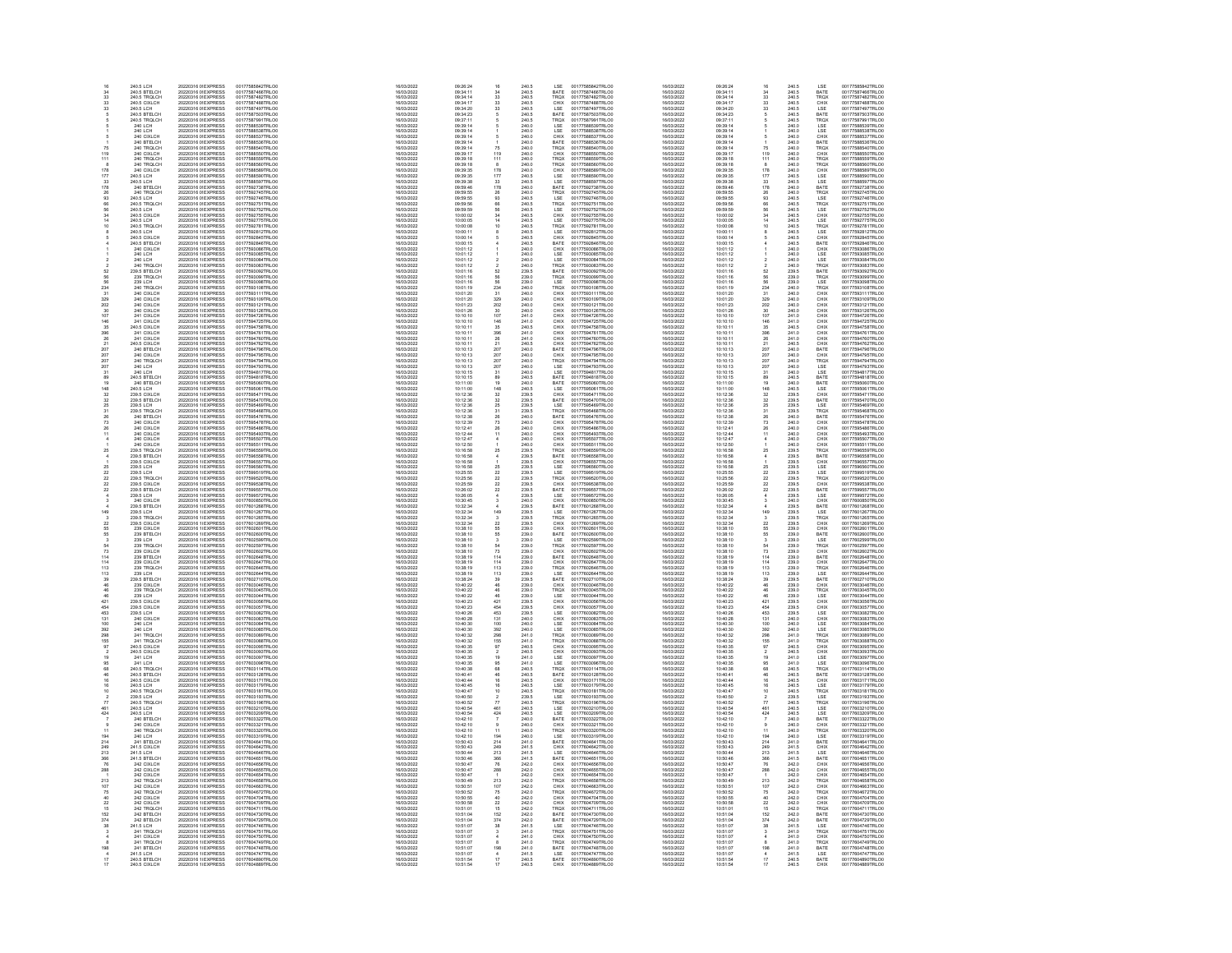|                  |                                                                                                | 20220316 09EXPRESS                                                                                                                                                                   |                                                                                                                      | 16/03/2022                                                         | 09:26:24                                                                                   |                                                   |                                                             |                                                                   | 00177585842TRLO0                                                                                                     | 16/03/202                                                          |                                                          |                                                           |                                                             |                                                                                             |                                                                                                                                          |
|------------------|------------------------------------------------------------------------------------------------|--------------------------------------------------------------------------------------------------------------------------------------------------------------------------------------|----------------------------------------------------------------------------------------------------------------------|--------------------------------------------------------------------|--------------------------------------------------------------------------------------------|---------------------------------------------------|-------------------------------------------------------------|-------------------------------------------------------------------|----------------------------------------------------------------------------------------------------------------------|--------------------------------------------------------------------|----------------------------------------------------------|-----------------------------------------------------------|-------------------------------------------------------------|---------------------------------------------------------------------------------------------|------------------------------------------------------------------------------------------------------------------------------------------|
| 34<br>33         | 240.5 BTELCH<br>240.5 TRQLCH                                                                   | 20220316 0f EXPRESS<br>20220316 0f EXPRESS                                                                                                                                           | 00177587466TRLOO                                                                                                     | 16/03/2022                                                         | 09:34:11                                                                                   | $\frac{34}{33}$                                   | 240.5<br>240.5                                              | BATE<br>TRQX                                                      | 00177587466TRLO0<br>00177587482TRLO0                                                                                 | 16/03/2022<br>16/03/2022                                           | 09:34:11                                                 | $\frac{34}{33}$                                           | 240.5<br>240.5                                              | BATE<br>TRQX                                                                                | 00177587466TRLO0<br>00177587482TRLO0                                                                                                     |
|                  | 240.5 CIXLCH                                                                                   | 20220316 09EXPRESS                                                                                                                                                                   | 00177587482TRLOO<br>00177587488TRLOD                                                                                 | 16/03/2022<br>16/03/2022                                           | 09:34:14<br>09:34:17                                                                       |                                                   |                                                             |                                                                   |                                                                                                                      | 16/03/2022                                                         | 09:34:14<br>09:34:17                                     |                                                           |                                                             |                                                                                             | 00177587488TRLO0                                                                                                                         |
| 33<br>33         | 240.5 LCH                                                                                      | 20220316 09 EXPRESS                                                                                                                                                                  | 00177587497TRLOD                                                                                                     | 16/03/2022                                                         | 09:34:20                                                                                   | $\begin{array}{c} 33 \\ 33 \end{array}$           | 240.5<br>240.5                                              | CHIX<br>LSE                                                       | 00177587488TRLO0<br>00177587497TRLO0                                                                                 | 16/03/2022                                                         | 09:34:20                                                 | $\frac{33}{33}$                                           | 240.5<br>240.5                                              | CHIX<br>LSE                                                                                 | 00177587497TRLO0                                                                                                                         |
|                  | 240 S RTFLCH                                                                                   | 20220316<br>20220316 0f EXPRESS<br>20220316 0f EXPRESS<br>20220316 0f EXPRESS<br>20220316 0f EXPRESS<br>20220316 0f EXPRESS                                                          | 00177587503TRLOC                                                                                                     | 16/03/2022                                                         | 09:34:23                                                                                   |                                                   | 240.5                                                       | BATE<br>TROX<br>LSE<br>LSE<br>CHIX                                | 00177587503TRLO0                                                                                                     | 16/03/2022                                                         | 09:34:23                                                 |                                                           | 240.5<br>240.5<br>240.6<br>240.0<br>240.0                   | BATE<br>TROX<br>LSE<br>LSE<br>CHIX<br>BATE                                                  | 001775874971RLO0<br>00177587991TRLO0<br>00177587991TRLO0<br>00177588539TRLO0<br>00177588535TRLO0<br>00177588535TRLO0<br>00177588535TRLO0 |
|                  | 240.5 BTELCH<br>240.5 TROLCH<br>240 LCH<br>240 CIXLCH<br>240 BTELCH                            |                                                                                                                                                                                      | 00177587991TRLO0<br>00177588539TRLO0<br>00177588539TRLO0<br>00177588538TRLO0<br>00177588537TRLO0                     | 16/03/2022<br>16/03/2022<br>16/03/2022<br>16/03/2022<br>16/03/2022 | 09:34:23<br>09:37:11<br>09:39:14<br>09:39:14<br>09:39:14                                   |                                                   | 240.5<br>240.6<br>240.0<br>240.0                            |                                                                   | 001775875031RLO0<br>00177587991TRLO0<br>00177588539TRLO0<br>00177588538TRLO0<br>00177588537TRLO0<br>00177588536TRLO0 | 16/03/2022<br>16/03/2022<br>16/03/2022<br>16/03/2022<br>16/03/2022 | 09:34:23<br>09:37:11<br>09:39:14<br>09:39:14<br>09:39:14 |                                                           |                                                             |                                                                                             |                                                                                                                                          |
|                  |                                                                                                |                                                                                                                                                                                      |                                                                                                                      |                                                                    |                                                                                            |                                                   |                                                             |                                                                   |                                                                                                                      |                                                                    |                                                          |                                                           |                                                             |                                                                                             |                                                                                                                                          |
|                  |                                                                                                |                                                                                                                                                                                      |                                                                                                                      |                                                                    |                                                                                            |                                                   |                                                             |                                                                   |                                                                                                                      |                                                                    |                                                          |                                                           |                                                             |                                                                                             |                                                                                                                                          |
|                  |                                                                                                | 20220316 09EXPRESS                                                                                                                                                                   | 00177588536TRLO0                                                                                                     | 16/03/2022                                                         | 09:39:14                                                                                   |                                                   | 240.0                                                       | BATE                                                              |                                                                                                                      | 16/03/2022                                                         | 09:39:14                                                 |                                                           | 240.0                                                       |                                                                                             |                                                                                                                                          |
| 119              | 240 TRQLCH<br>240 CIXLCH                                                                       | 20220316 09 EXPRESS<br>20220316 09 EXPRESS                                                                                                                                           | 00177588540TRLO0<br>00177588550TRLO0                                                                                 | 16/03/2022<br>16/03/2022                                           | 09:39:14<br>09:39:17                                                                       | $\frac{75}{119}$                                  | 240.0<br>240.0                                              | TRQX<br>CHIX                                                      | 00177588540TRLO0<br>00177588550TRLO0                                                                                 | 16/03/2022<br>16/03/2022                                           | 09:39:14<br>09:39:17                                     | $\frac{75}{119}$                                          | 240.0<br>240.0                                              |                                                                                             | 00177588540TRLO0<br>00177588550TRLO0                                                                                                     |
| 111              |                                                                                                |                                                                                                                                                                                      |                                                                                                                      |                                                                    |                                                                                            |                                                   |                                                             |                                                                   |                                                                                                                      |                                                                    |                                                          | $\frac{111}{8}$                                           |                                                             | TROX<br>CHIX<br>TROX<br>TROX<br>CHIX<br>LSE<br>LSE                                          |                                                                                                                                          |
|                  | 240 TROLCH<br>240 TROLCH                                                                       | 20220316 0 EXPRESS<br>20220316 0 EXPRESS                                                                                                                                             | 00177588559TRLC0<br>00177588560TRLC0                                                                                 | 16/03/2022<br>16/03/2022                                           | 09:39:18<br>09:39:18                                                                       | $\frac{111}{8}$                                   | 240.0<br>240.0<br>240.0<br>240.0<br>240.5                   | TROX<br>TROX<br>CHIX<br>LSE<br>LSE                                | 00177588559TRLO0<br>00177588560TRLO0                                                                                 | 16/03/2022<br>16/03/2022                                           | 09:39:18<br>09:39:18                                     |                                                           | 240.0<br>240.0<br>240.0<br>240.0<br>240.5                   |                                                                                             | 00177588559TRLO0<br>00177588560TRLO0                                                                                                     |
|                  | 240 CIXLCH<br>240.5 LCH<br>240.5 LCH                                                           | 20220316 01EXPRESS<br>20220316 01EXPRESS<br>20220316 01EXPRESS<br>20220316 01EXPRESS                                                                                                 | 00177588589TRLO0<br>00177588590TRLO0<br>00177588597TRLO0                                                             | 16/03/2022                                                         | 09:39:35                                                                                   |                                                   |                                                             |                                                                   | 00177588589TRLO0<br>00177588590TRLO0<br>00177588597TRLO0                                                             | 16/03/2022                                                         | 09:39:35                                                 | 178<br>177<br>33<br>178<br>26                             |                                                             |                                                                                             | 00177588589TRLO0<br>00177588590TRLO0<br>00177588597TRLO0                                                                                 |
|                  |                                                                                                |                                                                                                                                                                                      |                                                                                                                      | 16/03/2022                                                         | 09:39:35<br>09:39:38                                                                       |                                                   |                                                             |                                                                   |                                                                                                                      | 16/03/2022<br>16/03/2022                                           | 09:39:35                                                 |                                                           |                                                             |                                                                                             |                                                                                                                                          |
| 178              |                                                                                                |                                                                                                                                                                                      | 00177592738TRLOO                                                                                                     | 16/03/2022<br>16/03/2022                                           | 09:59:46                                                                                   |                                                   |                                                             |                                                                   |                                                                                                                      | 16/03/2022                                                         | 09:39:38<br>09:59:46                                     |                                                           |                                                             |                                                                                             |                                                                                                                                          |
| 26               | 240 BTELCH<br>240 TRQLCH                                                                       | 20220316 0f EXPRESS<br>20220316 0f EXPRESS                                                                                                                                           | 00177592745TRLOO                                                                                                     | 16/03/2022                                                         | 09:59:55                                                                                   |                                                   | $240.0$<br>$240.0$                                          | BATE<br>TRQX<br>LSE                                               | 00177592738TRLO0<br>00177592745TRLO0                                                                                 | 16/03/2022                                                         | 09:59:55                                                 |                                                           | 240.0<br>240.0                                              | BATE<br>TRQX<br>LSE                                                                         | 00177592738TRLO0<br>00177592745TRLO0                                                                                                     |
| 93               | 240.5 LCH                                                                                      | 20220316 09 EXPRESS                                                                                                                                                                  | 00177592746TRLO0                                                                                                     | 16/03/2022                                                         | 09:59:55                                                                                   |                                                   | 240.5                                                       |                                                                   | 00177592746TRLO0                                                                                                     | 16/03/2022                                                         | 09:59:55                                                 |                                                           | 240.5                                                       |                                                                                             | 00177592746TRLO0                                                                                                                         |
|                  |                                                                                                |                                                                                                                                                                                      |                                                                                                                      | 16/03/2022<br>16/03/2022                                           |                                                                                            |                                                   |                                                             | TRQX<br>LSE                                                       |                                                                                                                      |                                                                    | 09:59:56<br>09:59:59                                     |                                                           |                                                             |                                                                                             |                                                                                                                                          |
|                  |                                                                                                |                                                                                                                                                                                      |                                                                                                                      |                                                                    |                                                                                            |                                                   |                                                             |                                                                   |                                                                                                                      |                                                                    |                                                          |                                                           |                                                             |                                                                                             |                                                                                                                                          |
|                  | 240.5 LCH<br>240.5 TRQLCH<br>240.5 CIXLCH<br>240.5 TRQLCH<br>240.5 TRQLCH                      | 20220316<br>20220316 0f EXPRESS<br>20220316 0f EXPRESS<br>20220316 1f EXPRESS<br>20220316 1f EXPRESS<br>20220316 1f EXPRESS                                                          | 00177592751TRLO0<br>00177592751TRLO0<br>00177592752TRLO0<br>0017759275TRLO0<br>00177592781TRLO0                      | 16/03/2022<br>16/03/2022<br>16/03/2022                             | $\begin{array}{r} 09:59:56 \\ 09:59:59 \\ 10:00:02 \\ 10:00:05 \\ 10:00:08 \\ \end{array}$ | 178 173 178 26 36 56 34 14 10                     | 240.5<br>240.5<br>240.5<br>240.5<br>240.5                   | CHIX<br>LSE<br>TRQX                                               | 001775927461RL00<br>00177592751TRL00<br>00177592752TRL00<br>0017759275TRL00<br>00177592781TRL00                      | 16/03/2022<br>16/03/2022<br>16/03/2022<br>16/03/2022<br>16/03/2022 | 09.09.09<br>10:00:02<br>10:00:05                         | 93<br>66<br>56<br>56<br>34<br>14                          | 240.5<br>240.5<br>240.5<br>240.5<br>240.5                   | LSE<br>TROX<br>LSE<br>CHIX<br>LSE<br>LSE<br>CHIX                                            | 001775927461RLO0<br>00177592751TRLO0<br>00177592752TRLO0<br>00177592775TRLO0<br>00177592781TRLO0                                         |
|                  |                                                                                                |                                                                                                                                                                                      |                                                                                                                      |                                                                    |                                                                                            |                                                   |                                                             |                                                                   |                                                                                                                      |                                                                    | 10:00:08                                                 |                                                           |                                                             |                                                                                             |                                                                                                                                          |
|                  | 240.5 LCH<br>240.5 CIXLCH                                                                      | 20220316 1(EXPRESS<br>20220316 1(EXPRESS                                                                                                                                             | 00177592812TRLO0<br>00177592845TRLO0                                                                                 | 16/03/2022<br>16/03/2022                                           | 10:00:11<br>10:00:14                                                                       |                                                   | 240.5<br>240.5                                              | LSE<br>CHIX                                                       | 00177592812TRLO0<br>00177592845TRLO0                                                                                 | 16/03/2022<br>16/03/2022                                           | 10:00:11<br>10:00:14                                     |                                                           | 240.5<br>240.5                                              |                                                                                             | 00177592812TRLO0<br>00177592845TRLO0                                                                                                     |
|                  | 240.5 BTELCH                                                                                   | 20220316 1(EXPRESS                                                                                                                                                                   | 00177592846TRLO0                                                                                                     | 16/03/2022                                                         | 10:00:15                                                                                   |                                                   | 240.5                                                       | BATE                                                              | 00177592846TRLO0<br>00177593086TRLO0                                                                                 | 16/03/2022                                                         | 10:00:15                                                 |                                                           | 240.5<br>240.0                                              |                                                                                             | 00177592846TRLO0                                                                                                                         |
|                  | 240 CIXLCH                                                                                     | 20220316 1(EXPRESS                                                                                                                                                                   | 00177593086TRLOO                                                                                                     | 16/03/2022                                                         | 10:01:12                                                                                   |                                                   | 240.0                                                       | CHIX                                                              |                                                                                                                      | 16/03/2022                                                         | 10:01:12                                                 |                                                           |                                                             |                                                                                             | 00177593086TRLO0                                                                                                                         |
|                  |                                                                                                |                                                                                                                                                                                      |                                                                                                                      |                                                                    |                                                                                            |                                                   |                                                             |                                                                   |                                                                                                                      |                                                                    | 10:01:12                                                 |                                                           |                                                             |                                                                                             |                                                                                                                                          |
|                  | 240 CIXLCH<br>240 LCH<br>240 TROLCH<br>239.5 BTELCH<br>239 TROLCH<br>239 TROLCH                | 20220316 1LEXPRESS<br>20220316 1LEXPRESS<br>20220316 1LEXPRESS<br>20220316 1LEXPRESS<br>20220316 1LEXPRESS<br>20220316 1LEXPRESS                                                     | 00177593086TRLO0<br>00177593085TRLO0<br>00177593084TRLO0<br>00177593083TRLO0<br>00177593092TRLO0<br>00177593099TRLO0 | 16/03/2022<br>16/03/2022<br>16/03/2022                             | $10:01:12$ $10:01:12$ $10:01:12$ $10:01:12$                                                |                                                   | 240.0<br>240.0<br>240.0<br>240.0<br>239.5<br>239.0          | LSE<br>LSE<br>TRQX<br>BATE<br>TRQX<br>LSE                         | 00177593086TRLO0<br>00177593085TRLO0<br>00177593084TRLO0<br>00177593092TRLO0<br>00177593092TRLO0<br>00177593099TRLO0 | 16/03/2022<br>16/03/2022<br>16/03/2022                             |                                                          |                                                           | 240.0<br>240.0<br>240.0<br>240.0<br>239.5<br>239.0          | BATE<br>CHIX<br>LSE<br>LSE<br>TRQX<br>BATE<br>TRQX<br>LSE                                   | 00177593086TRLO0<br>00177593085TRLO0<br>00177593084TRLO0<br>00177593083TRLO0<br>00177593092TRLO0<br>00177593099TRLO0                     |
|                  |                                                                                                |                                                                                                                                                                                      |                                                                                                                      | 16/03/2022                                                         | 10:01:16<br>10:01:16                                                                       |                                                   |                                                             |                                                                   |                                                                                                                      | 16/03/2022                                                         | 10:01:16                                                 | 52<br>56<br>56                                            |                                                             |                                                                                             |                                                                                                                                          |
|                  |                                                                                                |                                                                                                                                                                                      |                                                                                                                      | 16/03/2022                                                         |                                                                                            | 52<br>56<br>56                                    |                                                             |                                                                   |                                                                                                                      | 16/03/2022                                                         | 10:01:16                                                 |                                                           |                                                             |                                                                                             |                                                                                                                                          |
| 224              | 239 LCH                                                                                        | 20220316 1(EXPRESS<br>20220316 1(EXPRESS                                                                                                                                             | 00177593098TRLO0<br>00177593108TRLOC                                                                                 | 16/03/2022<br>16/03/2022                                           | 10:01:16<br>10:01:19                                                                       |                                                   | 239.0                                                       |                                                                   | 00177593098TRLO0<br>00177593108TRLO0                                                                                 | 16/03/2022<br>16/03/2022                                           | 10:01:16<br>10:01:19                                     |                                                           |                                                             |                                                                                             | 00177593098TRLO0<br>00177593108TRLO0                                                                                                     |
| 31               | 240 TRQLCH<br>240 CIXLCH                                                                       | 20220316 1(EXPRESS                                                                                                                                                                   | 00177593111TRLOC                                                                                                     | 16/03/2022                                                         | 10:01:20                                                                                   | $\frac{234}{31}$                                  | 240.0<br>240.0                                              | TRQX<br>CHIX                                                      | 00177593111TRLO0                                                                                                     | 16/03/2022                                                         | 10:01:20                                                 | $\frac{234}{31}$                                          | 239.0<br>240.0<br>240.0                                     | TRQX<br>CHIX                                                                                | 00177593111TRLO0                                                                                                                         |
|                  | 240 CIXLCH<br>240 CIXLCH<br>240 CIXLCH<br>241 CIXLCH<br>241 CIXLCH<br>241 CIXLCH<br>241 CIXLCH | 20220316 1LEXPRESS<br>20220316 1LEXPRESS<br>20220316 1LEXPRESS<br>20220316 1LEXPRESS<br>20220316 1LEXPRESS<br>20220316 1LEXPRESS                                                     | 00177593111TRLO0<br>00177593109TRLO0<br>00177593121TRLO0<br>00177594726TRLO0<br>00177594726TRLO0<br>00177594726TRLO0 | 16/03/2022<br>16/03/2022<br>16/03/2022                             | 10:01:20<br>10:01:20<br>10:01:28<br>10:01:26                                               |                                                   | 240.0<br>240.0<br>240.0                                     | CHIX<br>CHIX<br>CHIX<br>CHIX<br>CHIX                              | 00177593111TRL00<br>00177593109TRL00<br>00177593121TRL00<br>00177593126TRL00<br>00177594726TRL00<br>00177594726TRL00 | 16/03/2022<br>16/03/2022<br>16/03/2022<br>16/03/2022               | 10:01:20<br>10:01:20<br>10:01:28<br>10:01:26             |                                                           | 240.0<br>240.0<br>240.0<br>240.0<br>241.0<br>241.0          |                                                                                             | 00177593111TRLO0<br>00177593109TRLO0<br>00177593121TRLO0<br>00177594726TRLO0<br>00177594726TRLO0                                         |
|                  |                                                                                                |                                                                                                                                                                                      |                                                                                                                      |                                                                    |                                                                                            |                                                   |                                                             |                                                                   |                                                                                                                      |                                                                    |                                                          | 329<br>202<br>30<br>107<br>146                            |                                                             |                                                                                             |                                                                                                                                          |
|                  |                                                                                                |                                                                                                                                                                                      |                                                                                                                      | 16/03/2022                                                         |                                                                                            |                                                   |                                                             |                                                                   |                                                                                                                      | 16/03/2022                                                         |                                                          |                                                           |                                                             |                                                                                             |                                                                                                                                          |
| 107<br>146       |                                                                                                |                                                                                                                                                                                      |                                                                                                                      | 16/03/2022                                                         | 10:10:10<br>10:10:10                                                                       |                                                   | $241.0$<br>$241.0$                                          |                                                                   |                                                                                                                      | 16/03/2022                                                         | 10:10:10<br>10:10:10                                     |                                                           |                                                             |                                                                                             |                                                                                                                                          |
|                  | 240.5 CIXLCH<br>241 CIXLCH                                                                     | 20220316 1(EXPRESS<br>20220316 1(EXPRESS                                                                                                                                             | 00177594758TRLO0<br>00177594761TRLO0                                                                                 | 16/03/2022                                                         | 10:10:11<br>10:10:11                                                                       |                                                   | 240.5<br>241.0                                              | CHIX<br>CHIX                                                      | 00177594758TRLO0<br>00177594761TRLO0                                                                                 | 16/03/2022                                                         | 10:10:11                                                 |                                                           | 240.5<br>241.0                                              |                                                                                             | 00177594758TRLO0<br>00177594761TRLO0                                                                                                     |
| 396<br>26        | 241 CIXI CH                                                                                    | 20220316 1(EXPRESS                                                                                                                                                                   | 00177594760TRLOO                                                                                                     | 16/03/2022<br>16/03/2022                                           | 10:10:11                                                                                   |                                                   | 2410                                                        | CHIX                                                              | 00177594760TRLO0                                                                                                     | 16/03/2022<br>16/03/2022                                           | 10:10:11<br>10:10:11                                     | 35<br>396<br>26<br>21<br>207<br>207<br>207                |                                                             |                                                                                             | 00177594760TRLO0                                                                                                                         |
|                  | 241 CIXLCH<br>240.5 CIXLCH<br>240 BTELCH<br>240 CIXLCH<br>240 LCH<br>240 LCH                   | 20220316 1LEXPRESS<br>20220316 1LEXPRESS<br>20220316 1LEXPRESS<br>20220316 1LEXPRESS<br>20220316 1LEXPRESS<br>20220316 1LEXPRESS                                                     |                                                                                                                      |                                                                    |                                                                                            |                                                   |                                                             |                                                                   | 001775947601RL00<br>00177594762TRL00<br>00177594796TRL00<br>00177594794TRL00<br>00177594794TRL00                     |                                                                    |                                                          |                                                           | 241.0<br>241.0<br>240.5<br>240.0<br>240.0<br>240.0          |                                                                                             | 001775947601RLO0<br>00177594762TRLO0<br>00177594796TRLO0<br>00177594794TRLO0<br>00177594794TRLO0                                         |
|                  |                                                                                                |                                                                                                                                                                                      | 00177594762TRLO0<br>00177594796TRLO0                                                                                 | 16/03/2022<br>16/03/2022<br>16/03/2022<br>16/03/2022<br>16/03/2022 | 10:10:11<br>10:10:11<br>10:10:13<br>10:10:13<br>10:10:13                                   |                                                   | 241.0<br>240.5<br>240.0<br>240.0<br>240.0<br>240.0          |                                                                   |                                                                                                                      | 16/03/2022<br>16/03/2022<br>16/03/2022<br>16/03/2022<br>16/03/2022 | 10:10:11<br>10:10:13                                     |                                                           |                                                             |                                                                                             |                                                                                                                                          |
|                  |                                                                                                |                                                                                                                                                                                      |                                                                                                                      |                                                                    |                                                                                            |                                                   |                                                             |                                                                   |                                                                                                                      |                                                                    | 10:10:13<br>10:10:13                                     |                                                           |                                                             |                                                                                             |                                                                                                                                          |
|                  |                                                                                                |                                                                                                                                                                                      | 001775947961RLO0<br>00177594795TRLO0<br>00177594794TRLO0                                                             |                                                                    |                                                                                            |                                                   |                                                             |                                                                   |                                                                                                                      |                                                                    |                                                          |                                                           |                                                             |                                                                                             |                                                                                                                                          |
| 207<br>31        |                                                                                                |                                                                                                                                                                                      | 00177594817TRLO0                                                                                                     | 16/03/2022<br>16/03/2022                                           | 10:10:13<br>10:10:15                                                                       |                                                   |                                                             |                                                                   |                                                                                                                      | 16/03/2022<br>16/03/2022                                           | 10:10:13<br>10:10:15                                     |                                                           |                                                             |                                                                                             |                                                                                                                                          |
|                  | 240 LCH<br>240.5 BTELCH                                                                        | 20220316 1(EXPRESS<br>20220316 1(EXPRESS                                                                                                                                             | 00177594818TRLOD                                                                                                     | 16/03/2022                                                         | 10:10:15                                                                                   |                                                   | 240.0<br>240.5                                              | CHIX<br>BATE<br>BATE<br>CHIX<br>TRQX<br>LSE<br>LSE<br>LSE<br>BATE | 00177594817TRLO0<br>00177594818TRLO0                                                                                 | 16/03/2022                                                         | 10:10:15                                                 | $\frac{31}{89}$                                           | 240.0<br>240.5                                              |                                                                                             | 00177594817TRLO0<br>00177594818TRLO0                                                                                                     |
|                  | 240 BTELCH<br>240.5 LCH                                                                        | 20220316 1(EXPRESS<br>20220316 1(EXPRESS                                                                                                                                             | 00177595060TRLC0<br>00177595061TRLC0                                                                                 | 16/03/2022                                                         | 10:11:00<br>10:11:00                                                                       |                                                   | 240.0<br>240.5                                              | BATE<br>LSE                                                       | 00177595060TRLO0<br>00177595061TRLO0                                                                                 | 16/03/2022<br>16/03/2022                                           | 10:11:00<br>10:11:00                                     | $\frac{19}{148}$                                          | 240.0<br>240.5                                              |                                                                                             | 00177595060TRLO0                                                                                                                         |
|                  |                                                                                                |                                                                                                                                                                                      |                                                                                                                      | 16/03/2022                                                         |                                                                                            |                                                   |                                                             |                                                                   |                                                                                                                      |                                                                    |                                                          |                                                           |                                                             | BATE<br>BATE<br>CHIX<br>BATE<br>LSE<br>TROX<br>BATE                                         | 00177595061TRLO0                                                                                                                         |
|                  | 240.5 CCH<br>239.5 CIXLCH<br>239.5 BTELCH<br>239.5 LCH                                         | 20220316 1LEXPRESS<br>20220316 1LEXPRESS<br>20220316 1LEXPRESS<br>20220316 1LEXPRESS<br>20220316 1LEXPRESS<br>20220316 1LEXPRESS                                                     | 00177595081TRLOO<br>00177595471TRLOO<br>00177595470TRLOO<br>00177595468TRLOO<br>00177595468TRLOO                     | 16/03/2022<br>16/03/2022<br>16/03/2022                             | 10:12:36<br>10:12:36<br>10:12:36                                                           |                                                   | 240.5<br>239.5<br>239.5                                     | CHIX<br>BATE<br>LSE                                               | 001775950611RLO0<br>00177595471TRLO0<br>00177595470TRLO0<br>00177595468TRLO0<br>00177595468TRLO0                     | 16/03/2022<br>16/03/2022<br>16/03/2022<br>16/03/2022               | 10:12:36<br>10:12:36<br>10:12:36                         | 32<br>32<br>25<br>31<br>26                                | 240.5<br>239.5<br>239.5<br>239.5<br>239.5<br>240.0          |                                                                                             | 00177595061TRLO0<br>00177595471TRLO0<br>00177595470TRLO0<br>00177595469TRLO0<br>00177595468TRLO0                                         |
|                  |                                                                                                |                                                                                                                                                                                      |                                                                                                                      |                                                                    |                                                                                            |                                                   |                                                             |                                                                   |                                                                                                                      |                                                                    |                                                          |                                                           |                                                             |                                                                                             |                                                                                                                                          |
|                  | 239.5 TROLCH<br>240 BTELCH                                                                     |                                                                                                                                                                                      |                                                                                                                      | 16/03/2022                                                         | 10:12:36<br>10:12:38                                                                       |                                                   | 239.5<br>240.0                                              | TRQX<br>BATE                                                      |                                                                                                                      | 16/03/2022                                                         | 10:12:36<br>10:12:38                                     |                                                           |                                                             |                                                                                             |                                                                                                                                          |
| 73               | 240 CIXLCH                                                                                     | 20220316 1(EXPRESS                                                                                                                                                                   | 00177595478TRLO0                                                                                                     | 16/03/2022<br>16/03/2022                                           | 10:12:39                                                                                   |                                                   | 240.0                                                       | CHIX                                                              | 00177595478TRLO0                                                                                                     | 16/03/2022<br>16/03/2022                                           | 10:12:39                                                 | 73                                                        | 240.0                                                       |                                                                                             | 00177595478TRLO0                                                                                                                         |
|                  |                                                                                                |                                                                                                                                                                                      |                                                                                                                      |                                                                    |                                                                                            |                                                   |                                                             |                                                                   |                                                                                                                      |                                                                    |                                                          |                                                           |                                                             | CHIX<br>CHIX<br>CHIX<br>CHIX<br>TRQX<br>LSE<br>LSE<br>LSE                                   |                                                                                                                                          |
| $\frac{26}{11}$  | 240 CIXLCH<br>240 CIXLCH                                                                       | 20220316 1(EXPRESS<br>20220316 1(EXPRESS                                                                                                                                             | 00177595486TRLC0<br>00177595493TRLC0                                                                                 | 16/03/2022<br>16/03/2022                                           | 10:12:41<br>10:12:44                                                                       |                                                   | 240.0<br>240.0                                              | CHIX<br>CHIX                                                      | 00177595486TRLO0<br>00177595493TRLO0                                                                                 | 16/03/2022<br>16/03/2022                                           | 10:12:41<br>10:12:44                                     | $\frac{26}{11}$                                           | 240.0<br>240.0<br>240.0<br>240.0<br>239.5                   |                                                                                             | 00177595486TRLOO<br>00177595493TRLOO                                                                                                     |
|                  | 240 CIXLCH<br>240 CIXLCH<br>239.5 TRQLCH                                                       | 20220316 11EXPRESS<br>20220316 11EXPRESS<br>20220316 11EXPRESS<br>20220316 11EXPRESS                                                                                                 | 00177595507TRLO0<br>00177595511TRLO0<br>00177596559TRLO0                                                             | 16/03/2022<br>16/03/2022<br>16/03/2022                             | 10:12:47<br>10:12:50<br>10:16:58                                                           |                                                   | 240.0<br>240.0<br>240.0<br>239.5                            | CHIX<br>CHIX<br>TRQX<br>BATE<br>CHIX                              | 00177595507TRLO0<br>00177595511TRLO0<br>00177596559TRLO0                                                             | 16/03/2022<br>16/03/2022<br>16/03/2022                             | 10:12:47<br>10:12:50<br>10:16:58                         |                                                           |                                                             |                                                                                             | 00177595507TRLO0<br>00177595511TRLO0<br>00177596559TRLO0                                                                                 |
|                  |                                                                                                |                                                                                                                                                                                      |                                                                                                                      |                                                                    |                                                                                            | $\overline{25}$                                   |                                                             |                                                                   |                                                                                                                      |                                                                    |                                                          | 26                                                        |                                                             |                                                                                             |                                                                                                                                          |
|                  |                                                                                                |                                                                                                                                                                                      |                                                                                                                      | 16/03/2022                                                         |                                                                                            |                                                   |                                                             |                                                                   |                                                                                                                      | 16/03/2022                                                         | 10:16:58                                                 |                                                           |                                                             |                                                                                             |                                                                                                                                          |
|                  | 239.5 BTELCH<br>239.5 CIXLCH                                                                   | 20220316 1(EXPRESS<br>20220316 1(EXPRESS                                                                                                                                             | 00177596558TRLC0<br>00177596557TRLC0                                                                                 | 16/03/2022                                                         | 10:16:58<br>10:16:58                                                                       |                                                   | 239.5<br>239.5                                              |                                                                   | 00177596558TRLO0<br>00177596557TRLO0                                                                                 | 16/03/2022                                                         | 10:16:58                                                 | $\frac{4}{1}$                                             | 239.5<br>239.5                                              |                                                                                             | 00177596558TRLO0<br>00177596557TRLO0                                                                                                     |
|                  | 239.5 LCH<br>239.5 LCH                                                                         | 20220316 1(EXPRESS                                                                                                                                                                   | 00177596560TRLOD                                                                                                     | 16/03/2022                                                         | 10:16:58                                                                                   |                                                   | 239.5<br>239.5                                              | $_{\rm LSE}^{\rm LSE}$                                            | 00177596560TRLO0<br>00177599519TRLO0                                                                                 | 16/03/2022                                                         | 10:16:58                                                 | $\frac{25}{22}$                                           | 239.5<br>239.5                                              |                                                                                             | 00177596560TRLO0                                                                                                                         |
| 55<br>π          | 239 5 TROLCH                                                                                   | 20220316 1(EXPRESS                                                                                                                                                                   | 00177599519TRLOD<br>00177599520TRLOC                                                                                 | 16/03/2022<br>16/03/2022                                           | 10:25:55<br>10:25:56                                                                       |                                                   |                                                             |                                                                   | 00177599520TRLO0                                                                                                     | 16/03/2022<br>16/03/2022                                           | 10:25:55<br>10:25:56                                     | $\overline{22}$                                           |                                                             |                                                                                             | 00177599519TRLO0<br>00177599520TRLO0                                                                                                     |
|                  | 239.5 TRULCH<br>239.5 BTELCH<br>239.5 LCH<br>240 CIXLCH<br>00.5 DTELOU                         |                                                                                                                                                                                      | 00177599538TRLO0<br>00177599557TRLO0<br>00177599572TRLO0<br>00177600850TRLO0                                         | 16/03/2022<br>16/03/2022<br>16/03/2022<br>16/03/2022<br>16/03/2022 | 10:25:59<br>10:25:59<br>10:26:02<br>10:26:05<br>10:30:45                                   |                                                   |                                                             |                                                                   |                                                                                                                      | 16/03/2022<br>16/03/2022<br>16/03/2022<br>16/03/2022<br>16/03/2022 | 10:25:59<br>10:25:59<br>10:26:02<br>10:30:45             |                                                           |                                                             |                                                                                             |                                                                                                                                          |
|                  |                                                                                                |                                                                                                                                                                                      |                                                                                                                      |                                                                    |                                                                                            |                                                   |                                                             |                                                                   |                                                                                                                      |                                                                    |                                                          | $\begin{array}{c} 22 \\ 22 \\ 4 \\ 3 \end{array}$         |                                                             |                                                                                             |                                                                                                                                          |
|                  |                                                                                                |                                                                                                                                                                                      |                                                                                                                      |                                                                    |                                                                                            |                                                   |                                                             |                                                                   |                                                                                                                      |                                                                    |                                                          |                                                           |                                                             |                                                                                             |                                                                                                                                          |
|                  | 239.5 BTELCH                                                                                   | 20220316 11 EXPRESS<br>20220316 11 EXPRESS<br>20220316 11 EXPRESS<br>20220316 11 EXPRESS<br>20220316 11 EXPRESS<br>20220316 11 EXPRESS<br>20220316 11 EXPRESS<br>20220316 11 EXPRESS | 00177601268TRLOO                                                                                                     | 16/03/2022                                                         | 10:32:34                                                                                   | $25$<br>$22$<br>$22$<br>$22$<br>$4$<br>$3$<br>$4$ | 239.5<br>239.5<br>239.5<br>239.5<br>239.5<br>240.0<br>239.5 | TROX<br>CHIX<br>BATE<br>LSE<br>CHIX<br>BATE                       | 001775995201RLO0<br>00177599538TRLO0<br>00177599557TRLO0<br>00177599572TRLO0<br>00177600850TRLO0<br>00177601268TRLO0 | 16/03/2022                                                         | 10:32:34                                                 |                                                           | 239.5<br>239.5<br>239.5<br>239.5<br>239.5<br>240.0<br>239.5 | TROX<br>CHIX<br>BATE<br>LSE<br>CHIX<br>BATE                                                 | 001775995201RLO0<br>00177599538TRLO0<br>00177599557TRLO0<br>00177599572TRLO0<br>00177600850TRLO0<br>00177601268TRLO0                     |
| 149              |                                                                                                |                                                                                                                                                                                      |                                                                                                                      | 16/03/2022                                                         |                                                                                            |                                                   |                                                             |                                                                   |                                                                                                                      | 16/03/2022                                                         | 10:32:34                                                 |                                                           |                                                             |                                                                                             |                                                                                                                                          |
|                  | 239.5 LCH<br>239.5 TRQLCH                                                                      | 20220316 1(EXPRESS<br>20220316 1(EXPRESS                                                                                                                                             | 00177601267TRLO0<br>00177601265TRLO0                                                                                 | 16/03/2022                                                         | 10:32:34<br>10:32:34                                                                       |                                                   | 239.5<br>239.5                                              | LSE<br>TRQX                                                       | 00177601267TRLO0<br>00177601265TRLO0                                                                                 | 16/03/2022                                                         | 10:32:34                                                 | $\begin{array}{c} 149 \\ 3 \end{array}$                   | 239.5<br>239.5                                              | LSE<br>TROX                                                                                 | 00177601267TRLO0<br>00177601265TRLO0                                                                                                     |
|                  | 239.5 CIXLCH<br>239 CIXLCH                                                                     | 20220316 1(EXPRESS<br>20220316 1(EXPRESS                                                                                                                                             | 00177601269TRLC0<br>00177602601TRLC0                                                                                 | 16/03/2022<br>16/03/2022                                           | 10:32:34<br>10:38:10                                                                       |                                                   | 239.5<br>239.5<br>239.0<br>239.0<br>239.0                   | CHIX<br>CHIX                                                      | 00177601269TRLO0<br>00177602601TRLO0                                                                                 | 16/03/2022<br>16/03/2022                                           | 10:32:34<br>10:38:10                                     | 22<br>55<br>55<br>3<br>54                                 | 239.5<br>239.6<br>239.0<br>239.0<br>239.0                   | TRUNCHIX<br>CHIX<br>BATE<br>LSE<br>TROX                                                     | 001776012651RL00<br>00177601269TRL00<br>00177602601TRL00<br>00177602599TRL00<br>00177602597TRL00                                         |
|                  |                                                                                                |                                                                                                                                                                                      |                                                                                                                      | 16/03/2022                                                         |                                                                                            |                                                   |                                                             |                                                                   |                                                                                                                      |                                                                    | 10:38:10                                                 |                                                           |                                                             |                                                                                             |                                                                                                                                          |
|                  | 239 BTELCH<br>239 LCH<br>239 TRQLCH                                                            | 20220316 11 EXPRESS<br>20220316 11 EXPRESS<br>20220316 11 EXPRESS<br>20220316 11 EXPRESS                                                                                             | 001776026011RECO<br>00177602599TRLO0<br>00177602597TRLO0                                                             |                                                                    | 10:38:10<br>10:38:10<br>10:38:10                                                           |                                                   |                                                             | BATE<br>LSE<br>LSE<br>TRQX                                        | 001776026011RECO<br>00177602599TRLO0<br>00177602597TRLO0                                                             | 16/03/2022<br>16/03/2022<br>16/03/2022                             |                                                          |                                                           |                                                             |                                                                                             |                                                                                                                                          |
|                  |                                                                                                |                                                                                                                                                                                      |                                                                                                                      | 16/03/2022<br>16/03/2022                                           |                                                                                            |                                                   |                                                             |                                                                   |                                                                                                                      |                                                                    | 10:38:10<br>10:38:10                                     |                                                           |                                                             |                                                                                             |                                                                                                                                          |
|                  | 239 CIXLCH<br>239 BTELCH                                                                       | 20220316 1(EXPRESS<br>20220316 1(EXPRESS                                                                                                                                             | 00177602602TRLOC                                                                                                     | 16/03/2022                                                         | 10:38:10                                                                                   |                                                   | 239.0<br>239.0                                              | CHIX<br>BATE                                                      | 00177602602TRLO0<br>00177602648TRLO0                                                                                 | 16/03/2022                                                         | 10:38:10                                                 | $\frac{73}{114}$                                          | 239.0<br>239.0                                              | CHIX<br>BATE                                                                                | 00177602602TRLO0<br>00177602648TRLO0                                                                                                     |
| 114              | 239 CIXLCH                                                                                     | 20220316 1(EXPRESS                                                                                                                                                                   | 00177602648TRLO0<br>00177602647TRLO0                                                                                 | 16/03/2022<br>16/03/2022                                           | 10:38:19<br>10:38:19                                                                       | 149 3 22 55 55 3 4 73 11 14                       | 239.0                                                       |                                                                   | 00177602647TRLO0                                                                                                     | 16/03/2022<br>16/03/2022                                           | 10:38:19<br>10:38:19                                     | 114                                                       | 239.0                                                       | CHIX                                                                                        | 00177602647TRLO0                                                                                                                         |
|                  | 239 TROLCH<br>239 LCH                                                                          | 20220316<br>20220316<br>20220316 1(EXPRESS<br>20220316 1(EXPRESS<br>20220316 1(EXPRESS<br>20220316 1(EXPRESS                                                                         | 00177602646TRLOC                                                                                                     | 16/03/2022<br>16/03/2022                                           | 10:38:19<br>10:38:19                                                                       |                                                   | 239.0<br>239.0<br>239.0<br>239.0<br>239.0                   | CHIX<br>TRQX<br>LSE                                               | 00177602646TRLO0<br>00177602644TRLO0                                                                                 | 16/03/2022<br>16/03/2022                                           | 10:38:19<br>10:38:19                                     |                                                           | 239.0<br>239.0<br>239.0<br>239.5<br>239.0<br>239.0          |                                                                                             | 001776026471RL00<br>00177602644TRL00<br>00177602710TRL00<br>00177603046TRL00<br>00177603045TRL00                                         |
|                  |                                                                                                |                                                                                                                                                                                      | 00177602644TRLOC                                                                                                     |                                                                    |                                                                                            | 113<br>113<br>39<br>46<br>46<br>46<br>42<br>1     |                                                             |                                                                   |                                                                                                                      |                                                                    |                                                          | 113<br>113<br>39<br>46<br>46<br>46<br>42<br>1             |                                                             | TRQX<br>LSE                                                                                 |                                                                                                                                          |
|                  | 239 LUH<br>239 CIXLCH<br>239 TROLCH                                                            |                                                                                                                                                                                      | 001776020441RLCO<br>00177603046TRLCO<br>00177603046TRLCO                                                             | 16/03/2022<br>16/03/2022<br>16/03/2022                             | 10:38:24<br>10:38:24<br>10:40:22<br>10:40:22                                               |                                                   |                                                             | BATE<br>CHIX<br>TRQX                                              | 001776020441RLCO<br>00177603046TRLCO<br>00177603046TRLCO                                                             | 16/03/2022<br>16/03/2022<br>16/03/2022                             | 10:38:24<br>10:38:24<br>10:40:22<br>10:40:22             |                                                           |                                                             | LSE<br>BATE<br>CHIX<br>TRQX<br>LSE<br>CHIX                                                  |                                                                                                                                          |
|                  |                                                                                                |                                                                                                                                                                                      |                                                                                                                      |                                                                    |                                                                                            |                                                   |                                                             |                                                                   |                                                                                                                      |                                                                    |                                                          |                                                           |                                                             |                                                                                             |                                                                                                                                          |
|                  |                                                                                                |                                                                                                                                                                                      |                                                                                                                      | 16/03/2022                                                         |                                                                                            |                                                   |                                                             |                                                                   |                                                                                                                      | 16/03/2022                                                         | 10:40:22                                                 |                                                           |                                                             |                                                                                             |                                                                                                                                          |
| $\frac{46}{421}$ | 239 LCH<br>239.5 CIXLCH                                                                        | 20220316 1(EXPRESS<br>20220316 1(EXPRESS                                                                                                                                             | 00177603044TRLO0<br>00177603056TRLO0                                                                                 | 16/03/2022                                                         | 10:40:22<br>10:40:23                                                                       |                                                   | 239.0<br>239.5                                              | LSE<br>CHIX                                                       | 00177603044TRLO0<br>00177603056TRLO0                                                                                 | 16/03/2022                                                         | 10:40:23                                                 |                                                           | 239.0<br>239.5                                              |                                                                                             | 00177603044TRLO0<br>00177603056TRLO0                                                                                                     |
| 454              | 239.5 CIXLCH                                                                                   | 20220316 1(EXPRESS<br>20220316 1(EXPRESS                                                                                                                                             | 00177603057TRLO0<br>00177603082TRLO0                                                                                 | 16/03/2022                                                         | 10:40:23                                                                                   |                                                   | 239.5                                                       | CHIX<br>LSE                                                       | 00177603057TRLO0<br>00177603082TRLO0                                                                                 | 16/03/2022                                                         | 10:40:23                                                 | 454<br>453                                                | 239.5<br>239.5                                              | CHIX<br>LSE                                                                                 | 00177603057TRLO0<br>00177603082TRLO0                                                                                                     |
| 453<br>131       | 239.5 LCH<br>240 CIXI CH                                                                       |                                                                                                                                                                                      | 00177603083TRLOD                                                                                                     | 16/03/2022<br>16/03/2022                                           | 10:40:26<br>10:40:28                                                                       |                                                   | 239.5                                                       |                                                                   |                                                                                                                      | 16/03/2022<br>16/03/2022                                           | 10:40:26<br>10:40:28                                     |                                                           |                                                             |                                                                                             |                                                                                                                                          |
|                  |                                                                                                |                                                                                                                                                                                      |                                                                                                                      |                                                                    |                                                                                            |                                                   |                                                             |                                                                   |                                                                                                                      |                                                                    |                                                          |                                                           |                                                             |                                                                                             |                                                                                                                                          |
|                  | 240 CIXLCH<br>240 LCH<br>241 TRQLCH<br>241 TRQLCH<br>141 TRQLCH                                | 20220316<br>20220316 11 EXPRESS<br>20220316 11 EXPRESS<br>20220316 11 EXPRESS<br>20220316 11 EXPRESS<br>20220316 11 EXPRESS                                                          | 001776030831RL00<br>00177603084TRL00<br>00177603085TRL00<br>00177603085TRL00<br>00177603088TRL00                     | 16/03/2022<br>16/03/2022<br>16/03/2022                             | 10:40:28<br>10:40:30<br>10:40:32<br>10:40:32<br>10:40:32                                   | 4543110228557219568461610277                      | 239.9<br>240.0<br>240.0<br>240.0<br>241.0<br>241.0<br>240.5 |                                                                   | 001776030821RL00<br>00177603083TRL00<br>00177603085TRL00<br>00177603085TRL00<br>00177603085TRL00<br>00177603085TRL00 | 16/03/2022<br>16/03/2022<br>16/03/2022                             | 10:40:26<br>10:40:30<br>10:40:30                         | 131<br>100<br>392<br>298<br>155<br>97                     | 239.3<br>240.0<br>240.0<br>241.0<br>241.0<br>240.5          | CHIX<br>LSE<br>LSE<br>LSE<br>TRQX<br>CHIX<br>CHIX<br>CHIX                                   | 00177603082TRLO0<br>00177603083TRLO0<br>00177603084TRLO0<br>00177603085TRLO0<br>00177603088TRLO0                                         |
| 298<br>155       |                                                                                                |                                                                                                                                                                                      |                                                                                                                      | 16/03/2022<br>16/03/2022                                           |                                                                                            |                                                   |                                                             |                                                                   |                                                                                                                      | 16/03/2022                                                         | 10:40:32<br>10:40:32                                     |                                                           |                                                             |                                                                                             |                                                                                                                                          |
| 97               | 240.5 CIXLCH                                                                                   | 20220316 1(EXPRESS                                                                                                                                                                   | 00177603095TRLO0                                                                                                     | 16/03/2022                                                         | 10:40:35                                                                                   |                                                   |                                                             |                                                                   | 00177603095TRLO0                                                                                                     | 16/03/2022                                                         | 10:40:35                                                 |                                                           |                                                             |                                                                                             | 00177603095TRLO0                                                                                                                         |
|                  | 240.5 CIXLCH                                                                                   | 20220316 1(EXPRESS                                                                                                                                                                   | 00177603093TRLOD                                                                                                     | 16/03/2022                                                         | 10:40:35                                                                                   |                                                   | 240.5<br>241.0                                              | CHIX<br>LSE                                                       | 00177603093TRLO0<br>00177603097TRLO0                                                                                 | 16/03/2022                                                         | 10:40:35                                                 |                                                           | 240.5<br>241.0                                              | CHIX<br>LSE                                                                                 | 00177603093TRLO0                                                                                                                         |
|                  | 241 LCH                                                                                        | 20220316 1(EXPRESS                                                                                                                                                                   | 00177603097TRLOD                                                                                                     | 16/03/2022<br>16/03/2022                                           | 10:40:35                                                                                   |                                                   |                                                             |                                                                   |                                                                                                                      | 16/03/2022                                                         | 10:40:35<br>10:40:35                                     | 19                                                        |                                                             |                                                                                             | 00177603097TRLO0                                                                                                                         |
|                  | 241 LCH<br>240.5 TROLCH                                                                        |                                                                                                                                                                                      |                                                                                                                      | 16/03/2022                                                         | 10:40:35<br>10:40:38                                                                       |                                                   |                                                             |                                                                   |                                                                                                                      |                                                                    | 10:40:38                                                 |                                                           |                                                             |                                                                                             |                                                                                                                                          |
|                  | 240.5 BTELCH                                                                                   |                                                                                                                                                                                      |                                                                                                                      | 16/03/2022                                                         |                                                                                            |                                                   |                                                             |                                                                   |                                                                                                                      |                                                                    |                                                          |                                                           |                                                             |                                                                                             |                                                                                                                                          |
|                  | 240.5 CIXLCH<br>240.5 LCH                                                                      | 20220316<br>20220316<br>20220316<br>20220316<br>1(EXPRESS<br>20220316<br>1(EXPRESS<br>20220316<br>1(EXPRESS                                                                          | 001776030971RL00<br>00177603096TRL00<br>00177603114TRL00<br>00177603128TRL00<br>00177603171TRL00                     | 16/03/2022                                                         | 10:40:41<br>10:40:44<br>10:40:45                                                           |                                                   | 241.0<br>241.0<br>240.5<br>240.5<br>240.5                   | LSE<br>TRQX<br>BATE<br>CHIX<br>LSE                                | 001776030971RL00<br>00177603096TRL00<br>00177603128TRL00<br>00177603171TRL00<br>00177603179TRL00                     | 16/03/2022<br>16/03/2022<br>16/03/2022<br>16/03/2022<br>16/03/2022 | 10:40:41<br>10:40:44<br>10:40:45                         | 95<br>68<br>46<br>16<br>16                                | 241.0<br>241.0<br>240.5<br>240.5<br>240.5                   | LSE<br>TROX<br>BATE<br>CHIX<br>LSE<br>TROX<br>LSE<br>TROX                                   | 001776030971RLO0<br>00177603096TRLO0<br>00177603128TRLO0<br>00177603128TRLO0<br>00177603179TRLO0                                         |
|                  |                                                                                                |                                                                                                                                                                                      |                                                                                                                      | 16/03/2022                                                         |                                                                                            |                                                   |                                                             |                                                                   |                                                                                                                      |                                                                    |                                                          |                                                           |                                                             |                                                                                             |                                                                                                                                          |
|                  | 240.5 TRQLCH<br>239.5 LCH                                                                      | 20220316 1(EXPRESS<br>20220316 1(EXPRESS                                                                                                                                             | 00177603181TRLC0<br>00177603193TRLC0                                                                                 | 16/03/2022<br>16/03/2022                                           | 10:40:47<br>10:40:50                                                                       |                                                   | 240.5<br>239.5                                              | TRQX<br>LSE                                                       | 00177603181TRLO0<br>00177603193TRLO0                                                                                 | 16/03/2022<br>16/03/2022                                           | 10:40:47<br>10:40:50                                     | $^{10}_{\ 2}$                                             | 240.5<br>239.5                                              |                                                                                             | 00177603181TRLO0<br>00177603193TRLO0                                                                                                     |
| 77               | 240.5 TROLCH                                                                                   | 20220316 1(EXPRESS                                                                                                                                                                   | 00177603196TRLO0                                                                                                     | 16/03/2022                                                         | 10:40:52                                                                                   |                                                   | 240.5                                                       | TRQX                                                              | 00177603196TRLO0                                                                                                     | 16/03/2022                                                         | 10:40:52                                                 | 77                                                        | 240.5                                                       |                                                                                             | 00177603196TRLO0                                                                                                                         |
|                  | 240.5 LCH<br>240.5 LCH                                                                         |                                                                                                                                                                                      | 00177603210TRLC0<br>00177603209TRLC0                                                                                 | 16/03/2022<br>16/03/2022                                           | 10:40:54<br>10:40:54                                                                       |                                                   |                                                             | LSE<br>LSE                                                        | 00177603210TRLO0<br>00177603209TRLO0                                                                                 | 16/03/2022<br>16/03/2022                                           | 10:40:54<br>10:40:54                                     |                                                           |                                                             | LSE<br>LSE                                                                                  |                                                                                                                                          |
| $\frac{70}{424}$ |                                                                                                | 20220316 1LEXPRESS<br>20220316 1LEXPRESS<br>20220316 1LEXPRESS<br>20220316 1LEXPRESS<br>20220316 1LEXPRESS<br>20220316 1LEXPRESS                                                     |                                                                                                                      |                                                                    |                                                                                            | $461$<br>$424$<br>$7$<br>$9$                      | 240.5<br>240.5<br>240.6<br>240.0<br>240.0                   |                                                                   |                                                                                                                      |                                                                    |                                                          | $461$<br>$424$<br>$7$<br>$9$<br>$11$                      | 240.5<br>240.5<br>240.6<br>240.0<br>240.0                   |                                                                                             | 001776031961RL00<br>00177603210TRL00<br>00177603209TRL00<br>00177603322TRL00<br>00177603320TRL00<br>00177603320TRL00                     |
|                  | 240 BTELCH<br>240 CIXLCH<br>240 TRQLCH                                                         |                                                                                                                                                                                      | 00177603322TRLO0<br>00177603321TRLO0<br>00177603320TRLO0                                                             |                                                                    | 10:40:54<br>10:42:10<br>10:42:10                                                           |                                                   |                                                             | ESE<br>BATE<br>CHIX<br>TRQX                                       | 001776032091RLOO<br>00177603321TRLOO<br>00177603320TRLOO                                                             | 16/03/2022<br>16/03/2022<br>16/03/2022                             |                                                          |                                                           |                                                             | BATE<br>CHIX<br>TRQX                                                                        |                                                                                                                                          |
|                  |                                                                                                |                                                                                                                                                                                      |                                                                                                                      | 16/03/2022                                                         | 10:42:10                                                                                   |                                                   |                                                             |                                                                   |                                                                                                                      |                                                                    | 10:42:10                                                 |                                                           |                                                             |                                                                                             |                                                                                                                                          |
|                  | 240 LCH<br>241 BTELCH                                                                          | 20220316 1(EXPRESS<br>20220316 1(EXPRESS                                                                                                                                             | 00177603319TRLOC                                                                                                     | 16/03/2022                                                         | 10:42:10<br>10:50:43                                                                       | $\frac{194}{214}$                                 | $240.0$<br>$241.0$                                          |                                                                   | 00177603319TRLO0<br>00177604641TRLO0                                                                                 | 16/03/2022                                                         | 10:42:10                                                 | $\frac{194}{214}$                                         | 240.0<br>241.0                                              | LSE<br>BATE                                                                                 | 00177603319TRLO0<br>00177604641TRLO0                                                                                                     |
| 214              |                                                                                                | 20220316 1(EXPRESS                                                                                                                                                                   | 00177604641TRLOO<br>00177604642TRLOD                                                                                 | 16/03/2022<br>16/03/2022                                           | 10:50:43                                                                                   |                                                   |                                                             |                                                                   |                                                                                                                      | 16/03/2022<br>16/03/2022                                           | 10:50:43<br>10:50:43                                     |                                                           |                                                             |                                                                                             | 00177604642TRLO0                                                                                                                         |
| 213              | 241.5 CIXLCH<br>241.5 LCH                                                                      | 20220316 1(EXPRESS                                                                                                                                                                   | 00177604646TRLOD                                                                                                     | 16/03/2022                                                         | 10:50:44                                                                                   | 249 213 66 76 88 1 213 77 5 40 22 15 374 38       | 241.5<br>241.5                                              | LSE<br>BATE<br>CHIX<br>LSE                                        | 00177604642TRLO0<br>00177604646TRLO0                                                                                 | 16/03/2022                                                         | 10:50:44                                                 | $\frac{249}{213}$                                         | 241.5<br>241.5                                              | CHIX<br>LSE                                                                                 | 00177604646TRLO0                                                                                                                         |
|                  | 241.5 LCH<br>242 CIXLCH<br>242 CIXLCH<br>242 CIXLCH<br>242 TRQLCH<br>242 TRQLCH                | 20220316 1LEXPRESS<br>20220316 1LEXPRESS<br>20220316 1LEXPRESS<br>20220316 1LEXPRESS<br>20220316 1LEXPRESS<br>20220316 1LEXPRESS                                                     | 001776046861TRLO0<br>00177604651TRLO0<br>00177604656TRLO0<br>00177604656TRLO0<br>00177604656TRLO0                    |                                                                    | $10.50.44\n10.50.46\n10.50.47\n10.50.47\n10.50.49\n10.50.51$                               |                                                   | 241.5<br>241.5<br>242.0<br>242.0<br>242.0                   | BATE<br>CHIX<br>CHIX<br>CHIX<br>TRQX                              | 001776046461RL00<br>00177604651TRL00<br>00177604656TRL00<br>00177604654TRL00<br>00177604654TRL00<br>00177604656TRL00 | 16/03/2022<br>16/03/2022<br>16/03/2022<br>16/03/2022               | 10:50:46                                                 |                                                           | 241.5<br>241.5<br>242.0<br>242.0<br>242.0                   |                                                                                             | 001776046461RL00<br>00177604651TRL00<br>00177604656TRL00<br>00177604655TRL00<br>00177604654TRL00                                         |
|                  |                                                                                                |                                                                                                                                                                                      |                                                                                                                      | 16/03/2022<br>16/03/2022<br>16/03/2022                             |                                                                                            |                                                   |                                                             |                                                                   |                                                                                                                      |                                                                    |                                                          |                                                           |                                                             |                                                                                             |                                                                                                                                          |
|                  |                                                                                                |                                                                                                                                                                                      |                                                                                                                      |                                                                    |                                                                                            |                                                   |                                                             |                                                                   |                                                                                                                      |                                                                    | 10:50:47<br>10:50:47<br>10:50:47<br>10:50:49             | 366<br>76<br>76<br>288<br>1<br>213                        |                                                             | BATE<br>CHIX<br>CHIX<br>CHIX<br>CHIX<br>CHIX<br>CHIX<br>CHIX<br>BATE<br>BATE<br>BATE<br>LSE |                                                                                                                                          |
| 213              |                                                                                                |                                                                                                                                                                                      |                                                                                                                      | 16/03/2022<br>16/03/2022                                           |                                                                                            |                                                   |                                                             |                                                                   |                                                                                                                      | 16/03/2022                                                         |                                                          |                                                           |                                                             |                                                                                             |                                                                                                                                          |
| 107              | 242 CIXLCH                                                                                     | 20220316 1(EXPRESS                                                                                                                                                                   | 00177604663TRLO0                                                                                                     | 16/03/2022                                                         | 10:50:51                                                                                   |                                                   | 242.0                                                       | CHIX                                                              | 00177604663TRLO0                                                                                                     | 16/03/2022                                                         | 10:50:51                                                 | 107                                                       | 242.0                                                       |                                                                                             | 00177604663TRLO0                                                                                                                         |
|                  | 242 TROLCH<br>242 CIXLCH                                                                       | 20220316 1(EXPRESS<br>20220316 1(EXPRESS                                                                                                                                             | 00177604672TRLC0<br>00177604704TRLC0                                                                                 | 16/03/2022<br>16/03/2022                                           | 10:50:52<br>10:50:55                                                                       |                                                   | 242.0<br>242.0                                              | TROX<br>CHIX                                                      | 00177604672TRLO0<br>00177604704TRLO0                                                                                 | 16/03/2022<br>16/03/2022                                           | 10:50:52                                                 | 75<br>40                                                  | 242.0<br>242.0                                              |                                                                                             | 00177604672TRLO0<br>00177604704TRLO0                                                                                                     |
|                  |                                                                                                |                                                                                                                                                                                      |                                                                                                                      |                                                                    |                                                                                            |                                                   |                                                             |                                                                   |                                                                                                                      |                                                                    | 10:50:55                                                 |                                                           |                                                             |                                                                                             |                                                                                                                                          |
|                  |                                                                                                |                                                                                                                                                                                      | 00177604709TRLC0<br>00177604711TRLC0                                                                                 | 16/03/2022<br>16/03/2022                                           | 10:50:58<br>10:51:01                                                                       |                                                   |                                                             | CHIX<br>TROX                                                      | 00177604709TRLOO<br>00177604711TRLOO                                                                                 | 16/03/2022<br>16/03/2022                                           | 10:50:58<br>10:51:01                                     | $\frac{22}{15}$                                           |                                                             |                                                                                             |                                                                                                                                          |
|                  | 242 CIXLCH<br>242 TRQLCH<br>242 BTELCH                                                         | 20220316 11 EXPRESS<br>20220316 11 EXPRESS<br>20220316 11 EXPRESS                                                                                                                    | 00177604730TRLOD                                                                                                     | 16/03/2022                                                         | 10:51:04                                                                                   |                                                   | 242.0<br>242.0<br>242.0                                     |                                                                   |                                                                                                                      | 16/03/2022                                                         | 10.51:04                                                 |                                                           |                                                             |                                                                                             | 00177604709TRLOO<br>00177604711TRLOO<br>00177604730TRLOO                                                                                 |
| 374              | 242 BTELCH<br>241.5 LCH                                                                        | 20220316 1(EXPRESS<br>20220316 1(EXPRESS                                                                                                                                             | 00177604729TRLC0<br>00177604746TRLC0                                                                                 | 16/03/2022                                                         | 10:51:04<br>10:51:07                                                                       |                                                   | 242.0<br>241.5                                              | BATE<br>BATE<br>LSE                                               | 001776047111RE00<br>00177604730TRLO0<br>00177604746TRLO0                                                             | 16/03/2022                                                         | 10:51:04<br>10:51:07                                     |                                                           | 242.0<br>242.0<br>242.0<br>242.0<br>242.0<br>241.5          |                                                                                             | 00177604729TRLO0<br>00177604746TRLO0                                                                                                     |
|                  |                                                                                                | 20220316 1(EXPRESS                                                                                                                                                                   | 00177604751TRLOD                                                                                                     | 16/03/2022<br>16/03/2022                                           | 10:51:07                                                                                   |                                                   |                                                             |                                                                   | 00177604751TRLO0                                                                                                     | 16/03/2022<br>16/03/2022                                           | 10:51:07                                                 | $\begin{array}{r} 152 \\ 374 \\ 38 \\ 3 \\ 4 \end{array}$ |                                                             |                                                                                             | 00177604751TRLO0                                                                                                                         |
|                  | 241 TRQLCH<br>241 CIXLCH                                                                       | 20220316 1(EXPRESS                                                                                                                                                                   | 00177604750TRLOD                                                                                                     | 16/03/2022                                                         | 10:51:07                                                                                   | $\frac{3}{4}$                                     | 241.0<br>241.0                                              | TRQX<br>CHIX                                                      | 00177604750TRLOD                                                                                                     | 16/03/2022                                                         | 10:51:07                                                 |                                                           | 241.0<br>241.0                                              | TRQX<br>CHIX                                                                                | 00177604750TRLO0                                                                                                                         |
|                  | 241 TROLCH                                                                                     | 20220316 1(EXPRESS                                                                                                                                                                   | 00177604749TRLOC                                                                                                     | 16/03/2022                                                         | 10:51:07                                                                                   |                                                   |                                                             | TROX                                                              | 00177604749TRLO0                                                                                                     | 16/03/2022                                                         | 10:51:07                                                 |                                                           | 2410                                                        | TROX                                                                                        | 00177604749TRLO0                                                                                                                         |
|                  |                                                                                                |                                                                                                                                                                                      |                                                                                                                      |                                                                    |                                                                                            |                                                   |                                                             | BATE<br>LSE                                                       |                                                                                                                      |                                                                    |                                                          |                                                           |                                                             |                                                                                             |                                                                                                                                          |
|                  | 241 I RULCH<br>241.5 LCH<br>240.5 BTELCH<br>240.5 CIXLCH                                       | 20220316 1LEXPRESS<br>20220316 1LEXPRESS<br>20220316 1LEXPRESS<br>20220316 1LEXPRESS<br>20220316 1LEXPRESS                                                                           | 001776047491RLO0<br>00177604748TRLO0<br>00177604890TRLO0<br>00177604899TRLO0                                         | 16/03/2022<br>16/03/2022<br>16/03/2022<br>16/03/2022               | 10:51:07<br>10:51:07<br>10:51:54<br>10:51:54                                               |                                                   | 241.0<br>241.0<br>241.6<br>240.5<br>240.5                   |                                                                   | 001776047491RLO0<br>00177604748TRLO0<br>00177604890TRLO0<br>00177604889TRLO0                                         | 16/03/2022<br>16/03/2022<br>16/03/2022<br>16/03/2022               | 10:51:07<br>10:51:07<br>10:51:54<br>10:51:54             |                                                           | 241.0<br>241.0<br>241.5<br>240.5<br>240.5                   | ERUA<br>BATE<br>LSE<br>BATE<br>CHIX                                                         | 00177604748TRLO0<br>00177604748TRLO0<br>00177604890TRLO0<br>00177604889TRLO0                                                             |
|                  |                                                                                                |                                                                                                                                                                                      |                                                                                                                      |                                                                    |                                                                                            | $\frac{17}{17}$                                   |                                                             |                                                                   |                                                                                                                      |                                                                    |                                                          |                                                           |                                                             |                                                                                             |                                                                                                                                          |
|                  |                                                                                                |                                                                                                                                                                                      |                                                                                                                      |                                                                    |                                                                                            |                                                   |                                                             |                                                                   |                                                                                                                      |                                                                    |                                                          |                                                           |                                                             |                                                                                             |                                                                                                                                          |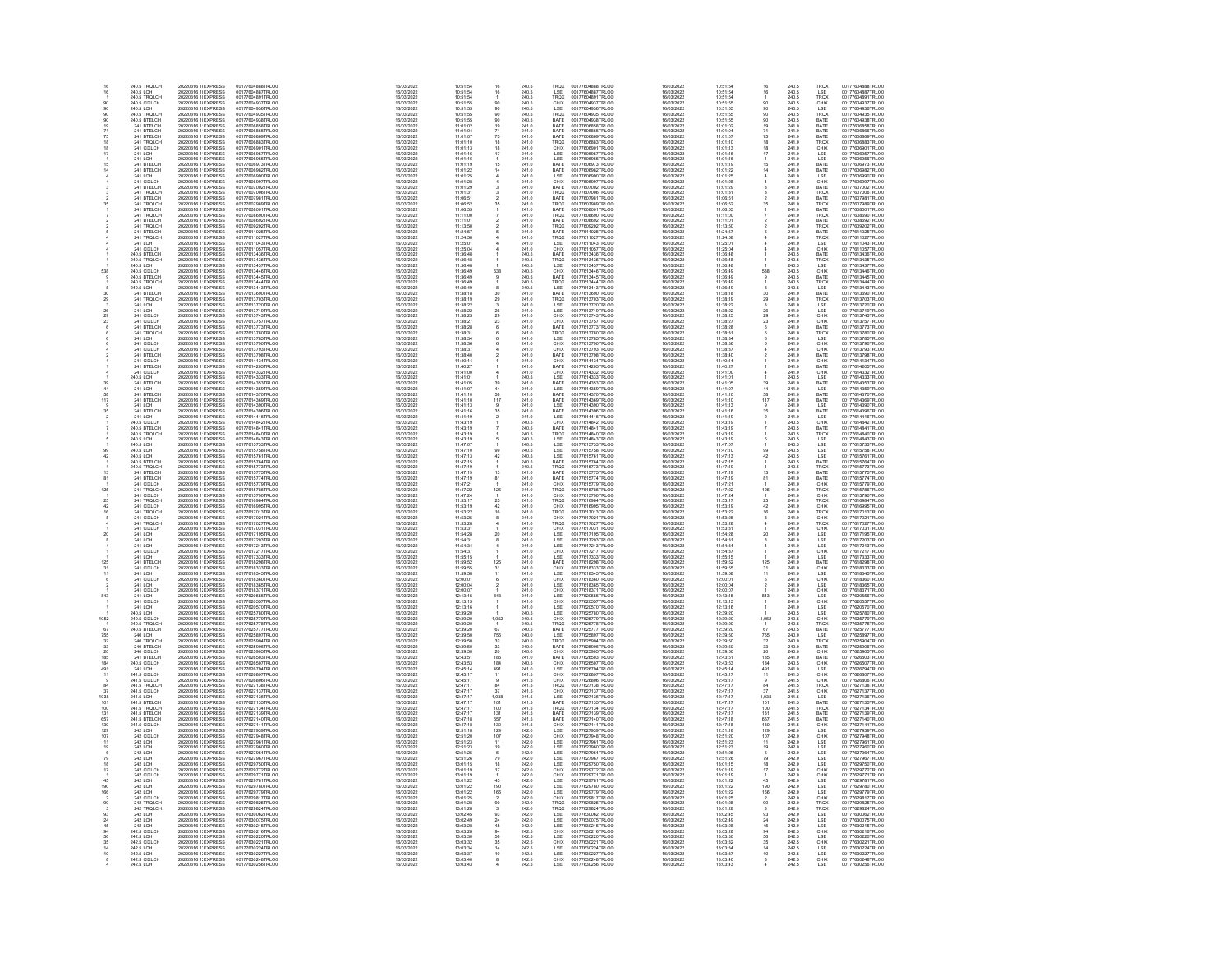| 16                    | 240.5 TROLCH                                                                                   | 20220316 1(EXPRESS                                                                                                               | 00177604888TRLOO                                                                                 | 16/03/2022                                                         | 10:51:54                                                          |                                                           | 240.5                                              | TRQX                                                        | 00177604888TRLO0                                                                                                                                             | 16/03/2022                                                         | 10:51:54                                                 |                                                                           | 240.5                                              | TRQX                                                                                    | 00177604888TRLO0                                                                                                                         |
|-----------------------|------------------------------------------------------------------------------------------------|----------------------------------------------------------------------------------------------------------------------------------|--------------------------------------------------------------------------------------------------|--------------------------------------------------------------------|-------------------------------------------------------------------|-----------------------------------------------------------|----------------------------------------------------|-------------------------------------------------------------|--------------------------------------------------------------------------------------------------------------------------------------------------------------|--------------------------------------------------------------------|----------------------------------------------------------|---------------------------------------------------------------------------|----------------------------------------------------|-----------------------------------------------------------------------------------------|------------------------------------------------------------------------------------------------------------------------------------------|
| 16                    | 240.5 LCH<br>240.5 TRQLCH                                                                      | 20220316 1(EXPRESS<br>20220316 1(EXPRESS                                                                                         | 00177604887TRLO0<br>00177604891TRLOO                                                             | 16/03/2022<br>16/03/2022                                           | 10:51:54<br>10:51:54                                              | 16                                                        | 240.5<br>240.5                                     | LSE<br>TROX                                                 | 00177604887TRLO0<br>00177604891TRLO0                                                                                                                         | 16/03/2022<br>16/03/2022                                           | 10:51:54<br>10:51:54                                     | 16                                                                        | 240.5<br>240.5                                     | LSE<br>TROX                                                                             | 00177604887TRLO0<br>00177604891TRLO0                                                                                                     |
|                       |                                                                                                | 20220316 1(EXPRESS                                                                                                               | 00177604937TRLOC                                                                                 | 16/03/2022                                                         |                                                                   |                                                           |                                                    |                                                             |                                                                                                                                                              | 16/03/2022                                                         | 10:51:55                                                 |                                                                           |                                                    |                                                                                         | 00177604937TRLOO                                                                                                                         |
|                       |                                                                                                | 20220316 1(EXPRESS                                                                                                               | 00177604936TRLOC                                                                                 | 16/03/2022                                                         | 10:51:55<br>10:51:55                                              | $\begin{array}{c} 90 \\ 90 \end{array}$                   | 240.5<br>240.5                                     | CHIX<br>LSE                                                 | 00177604937TRLOO<br>00177604936TRLOO                                                                                                                         | 16/03/2022                                                         | 10.61.65                                                 | $\frac{90}{90}$                                                           | 240.5<br>240.5                                     | CHIX<br>LSE                                                                             | 00177604936TRLO0                                                                                                                         |
|                       | 240.5 TRUCCH<br>240.5 CIXLCH<br>240.5 TROLCH<br>240.5 BTELCH<br>241 BTELCH<br>241 BTELCH       | 20220316 11 EXPRESS<br>20220316 11 EXPRESS<br>20220316 11 EXPRESS                                                                | 00177604936TRLCO<br>00177604938TRLCO<br>00177606858TRLCO                                         | 16/03/2022                                                         | 10:51:55                                                          | 90<br>90<br>19                                            | 240.5                                              | TRQX<br>BATE<br>BATE                                        | 00177604936TRLO0<br>00177604935TRLO0<br>00177606858TRLO0                                                                                                     | 16/03/2022                                                         | 10.51:55                                                 |                                                                           | 240.5<br>240.5<br>240.5                            | TROX<br>BATE<br>BATE                                                                    | 00177604935TRLO0<br>00177604935TRLO0<br>00177606858TRLO0                                                                                 |
|                       |                                                                                                |                                                                                                                                  |                                                                                                  | 16/03/2022                                                         | 10:51:55<br>11:01:02                                              |                                                           | 240.5<br>241.0                                     |                                                             |                                                                                                                                                              | 16/03/2022<br>16/03/2022                                           | 10:51:55<br>11:01:02                                     | $\frac{90}{19}$                                                           |                                                    |                                                                                         |                                                                                                                                          |
|                       | 241 BTELCH                                                                                     |                                                                                                                                  |                                                                                                  | 16/03/2022<br>16/03/2022                                           |                                                                   |                                                           |                                                    |                                                             |                                                                                                                                                              | 16/03/2022                                                         | 11:01:04                                                 |                                                                           |                                                    |                                                                                         |                                                                                                                                          |
|                       | 241 BTELCH                                                                                     | 20220316 1 EXPRESS<br>20220316 1 EXPRESS                                                                                         | 00177606866TRLC0<br>00177606869TRLC0                                                             | 16/03/2022                                                         | 11:01:04<br>11:01:07                                              | $71$<br>$75$                                              | $241.0$<br>$241.0$                                 | BATE<br>BATE                                                | 00177606866TRLO0<br>00177606869TRLO0                                                                                                                         | 16/03/2022                                                         | 11:01:07                                                 | 71<br>75                                                                  | 241.0<br>241.0                                     | BATE<br>BATE                                                                            | 00177606866TRLO0<br>00177606869TRLO0                                                                                                     |
|                       | 241 TROLCH                                                                                     | 20220316 11 EXPRESS                                                                                                              | 00177606883TRLO0                                                                                 | 16/03/2022                                                         | 11:01:10                                                          | 18<br>18<br>17                                            | 241.0                                              | <b>TROX</b>                                                 | 00177606883TRLO0                                                                                                                                             | 16/03/2022                                                         | 11:01:10                                                 | 18                                                                        | 241.0                                              | TROX                                                                                    | 00177606883TRLO0                                                                                                                         |
|                       | 241 CIXLCH<br>241 LCH                                                                          | 20220316 11 EXPRESS<br>20220316 11 EXPRESS                                                                                       | 00177606901TRLC0<br>00177606957TRLC0                                                             | 16/03/2022<br>16/03/2022                                           | 11:01:13<br>11:01:16                                              |                                                           | 241.0<br>241.0                                     |                                                             | 00177606901TRLO0<br>00177606957TRLO0                                                                                                                         | 16/03/2022<br>16/03/2022                                           | 11:01:13<br>11:01:16                                     | $\frac{18}{17}$                                                           |                                                    |                                                                                         | 00177606901TRLOO<br>00177606957TRLOO                                                                                                     |
|                       |                                                                                                |                                                                                                                                  |                                                                                                  |                                                                    |                                                                   |                                                           |                                                    | CHIX<br>LSE<br>LSE<br>BATE<br>BATE                          |                                                                                                                                                              |                                                                    |                                                          |                                                                           | 241.0<br>241.0<br>241.0<br>241.0<br>241.0          | CHIX<br>LSE<br>LSE<br>BATE<br>BATE<br>LSE<br>CHIX                                       |                                                                                                                                          |
|                       | 241 LCH<br>241 BTELCH<br>241 BTELCH                                                            | 20220316 1 EXPRESS<br>20220316 1 EXPRESS<br>20220316 1 EXPRESS                                                                   | 00177606957TRLC0<br>00177606973TRLC0<br>00177606982TRLC0                                         | 16/03/2022<br>16/03/2022<br>16/03/2022                             | $11:01:16$ $11:01:19$ $11:01:22$                                  | $\frac{1}{16}$                                            | 241.0<br>241.0<br>241.0<br>241.0                   |                                                             | 00177606957TRLO0<br>00177606973TRLO0<br>00177606962TRLO0                                                                                                     | 16/03/2022<br>16/03/2022<br>16/03/2022                             | 11:01:16<br>11:01:16<br>11:01:19<br>11:01:22             |                                                                           |                                                    |                                                                                         | 00177606957TRLC0<br>00177606973TRLC0<br>00177606962TRLC0                                                                                 |
|                       |                                                                                                |                                                                                                                                  |                                                                                                  |                                                                    |                                                                   |                                                           |                                                    |                                                             |                                                                                                                                                              |                                                                    |                                                          |                                                                           |                                                    |                                                                                         |                                                                                                                                          |
|                       | 241 LCH<br>241 CIXLCH                                                                          | 20220316 1 EXPRESS<br>20220316 1 EXPRESS                                                                                         | 00177606990TRLC0<br>00177606997TRLC0                                                             | 16/03/2022<br>16/03/2022                                           | 11:01:25<br>11:01:28                                              |                                                           | $241.0$<br>$241.0$                                 | LSE<br>CHIX                                                 | 00177606990TRLO0<br>00177606997TRLO0                                                                                                                         | 16/03/2022<br>16/03/2022                                           | 11:01:25<br>11:01:28                                     |                                                                           | 241.0<br>241.0                                     |                                                                                         | 00177606990TRLO0<br>00177606997TRLO0                                                                                                     |
|                       |                                                                                                | 20220316 1 EXPRESS                                                                                                               | 00177607002TRLO0                                                                                 | 16/03/2022                                                         | 11:01:29                                                          |                                                           |                                                    |                                                             | 00177607002TRLO0                                                                                                                                             | 16/03/2022                                                         | 11:01:29                                                 |                                                                           |                                                    |                                                                                         | 00177607002TRLO0                                                                                                                         |
|                       | 241 BTELCH<br>241 TRQLCH                                                                       | 20220316 11 EXPRESS                                                                                                              | 00177607006TRLOO                                                                                 | 16/03/2022                                                         | 11:01:31                                                          |                                                           | 241.0<br>241.0                                     | BATE<br>TRQX                                                | 00177607006TRLO0                                                                                                                                             | 16/03/2022                                                         | 11:01:31                                                 |                                                                           | 241.0<br>241.0                                     | BATE<br>TRQX                                                                            | 00177607006TRLO0                                                                                                                         |
|                       | 241 IRQLCH<br>241 BTELCH<br>241 BTELCH<br>241 BTELCH<br>241 BTELCH<br>241 BTELCH<br>241 BTELCH | 20220316 11EXPRESS<br>20220316 11EXPRESS<br>20220316 11EXPRESS<br>20220316 11EXPRESS<br>20220316 11EXPRESS                       | 00177607981TRLOO                                                                                 | 16/03/2022                                                         | 11:06:51                                                          |                                                           | 241.0<br>241.0<br>241.0<br>241.0<br>241.0          | BATE<br>TRQX<br>BATE<br>TRQX<br>BATE                        | 001776070061RL00<br>00177607961TRL00<br>00177607969TRL00<br>001776096901TRL00<br>00177609692TRL00<br>00177609202TRL00<br>00177609202TRL00                    | 16/03/2022                                                         | 11:08:51                                                 |                                                                           | 241.0                                              | BATE<br>TROX<br>BATE<br>TROX<br>BATE<br>TROX                                            | 001776070061RLO0<br>00177607981TRLO0<br>00177607989TRLO0<br>00177609890TRLO0<br>00177609202TRLO0<br>00177609202TRLO0<br>00177609202TRLO0 |
|                       |                                                                                                |                                                                                                                                  | 001776079811RLC0<br>00177607989TRLC0<br>00177608690TRLC0<br>00177608692TRLC0                     | 16/03/2022<br>16/03/2022<br>16/03/2022<br>16/03/2022<br>16/03/2022 | 11:06:52<br>11:06:52<br>11:16:55<br>11:11:01<br>11:11:01          |                                                           |                                                    |                                                             |                                                                                                                                                              | 16/03/2022<br>16/03/2022<br>16/03/2022<br>16/03/2022<br>16/03/2022 | 11:06:52<br>11:06:52<br>11:11:00<br>11:11:01             |                                                                           | 241.0<br>241.0<br>241.0<br>241.0                   |                                                                                         |                                                                                                                                          |
|                       |                                                                                                |                                                                                                                                  |                                                                                                  |                                                                    |                                                                   |                                                           |                                                    |                                                             |                                                                                                                                                              |                                                                    |                                                          |                                                                           |                                                    |                                                                                         |                                                                                                                                          |
|                       |                                                                                                |                                                                                                                                  |                                                                                                  |                                                                    |                                                                   |                                                           |                                                    |                                                             |                                                                                                                                                              |                                                                    |                                                          |                                                                           |                                                    |                                                                                         |                                                                                                                                          |
|                       | 241 TROLCH                                                                                     | 20220316 1 EXPRESS                                                                                                               | 00177609202TRLO0                                                                                 | 16/03/2022                                                         | 11:13:50                                                          |                                                           | 241.0                                              | TRQX                                                        |                                                                                                                                                              | 16/03/2022                                                         | 11:13:50                                                 |                                                                           | 241.0                                              |                                                                                         |                                                                                                                                          |
|                       |                                                                                                |                                                                                                                                  | 00177611025TRLO0                                                                                 | 16/03/2022                                                         | 11:24:57                                                          |                                                           |                                                    |                                                             |                                                                                                                                                              | 16/03/2022                                                         | 11:24:57                                                 |                                                                           |                                                    |                                                                                         |                                                                                                                                          |
|                       | 241 BTELCH<br>241 TRQLCH                                                                       | 20220316 1 EXPRESS<br>20220316 1 EXPRESS                                                                                         | 00177611027TRLOO                                                                                 | 16/03/2022                                                         | 11:24:58                                                          |                                                           | 241.0<br>241.0                                     | BATE<br>TRQX                                                | 00177611025TRLO0<br>00177611027TRLO0                                                                                                                         | 16/03/2022                                                         | 11:24:58                                                 |                                                                           | 241.0<br>241.0                                     | BATE<br>TRQX                                                                            | 00177611025TRLO0<br>00177611027TRLO0                                                                                                     |
|                       | 241 LCH<br>241 CIXLCH                                                                          | 20220316 1: EXPRESS                                                                                                              | 00177611043TRLO0<br>00177611057TRLO0                                                             | 16/03/2022<br>16/03/2022                                           | 11:25:01<br>11:25:04                                              |                                                           | $\frac{241.0}{241.0}$                              | LSE<br>CHIX<br>BATE<br>TRQX<br>LSE                          | 00177611043TRLO0<br>00177611057TRLO0                                                                                                                         | 16/03/2022<br>16/03/2022                                           | 11:25:01                                                 |                                                                           | 241.0<br>241.0                                     | LSE<br>CHIX                                                                             | 00177611043TRLOO<br>00177611057TRLOO                                                                                                     |
|                       |                                                                                                | 20220316 1: EXPRESS                                                                                                              |                                                                                                  |                                                                    |                                                                   |                                                           |                                                    |                                                             |                                                                                                                                                              |                                                                    | 11:25:04                                                 |                                                                           |                                                    |                                                                                         |                                                                                                                                          |
|                       | 241 CALCH<br>240.5 BTELCH<br>240.5 LCH                                                         | 20220316 1 EXPRESS<br>20220316 1 EXPRESS<br>20220316 1 EXPRESS<br>20220316 1 EXPRESS                                             | 00177613436TRLOO<br>00177613435TRLOO<br>00177613437TRLOO                                         | 16/03/2022                                                         | 11:36:48<br>11:36:48<br>11:36:48                                  |                                                           | 241.0<br>240.5<br>240.5                            |                                                             | 00177613436TRLOO<br>00177613435TRLOO<br>00177613437TRLOO                                                                                                     | 16/03/2022<br>16/03/2022<br>16/03/2022                             | 11:36:48<br>11:36:48<br>11:36:48                         |                                                                           | 241.0<br>240.5<br>240.5                            | BATE<br>TROX<br>LSE                                                                     | 00177613436TRLOO<br>00177613435TRLOO<br>00177613437TRLOO                                                                                 |
|                       |                                                                                                |                                                                                                                                  |                                                                                                  | 16/03/2022<br>16/03/2022                                           |                                                                   |                                                           |                                                    |                                                             |                                                                                                                                                              |                                                                    |                                                          |                                                                           |                                                    |                                                                                         |                                                                                                                                          |
| 538                   |                                                                                                |                                                                                                                                  | 00177613446TRLOO                                                                                 | 16/03/2022                                                         |                                                                   | 538                                                       |                                                    |                                                             |                                                                                                                                                              | 16/03/2022                                                         |                                                          |                                                                           |                                                    |                                                                                         |                                                                                                                                          |
|                       | 240.5 CIXLCH<br>240.5 BTELCH                                                                   | 20220316 1 EXPRESS<br>20220316 1 EXPRESS                                                                                         | 00177613445TRLOO                                                                                 | 16/03/2022                                                         | 11:36:49<br>11:36:49                                              | $\mathbf{9}$                                              | 240.5<br>240.5                                     | CHIX<br>BATE                                                | 00177613446TRLO0<br>00177613445TRLO0                                                                                                                         | 16/03/2022                                                         | 11:36:49<br>11:36:49                                     | $\begin{array}{c} 538 \\ 9 \end{array}$                                   | 240.5<br>240.5                                     | CHIX<br>BATE                                                                            | 00177613446TRLO0<br>00177613445TRLO0                                                                                                     |
|                       | 240.5 TROLCH<br>240.5 LCH                                                                      | 20220316 11 EXPRESS                                                                                                              | 00177613444TRLO0                                                                                 | 16/03/2022<br>16/03/2022                                           | 11:36:49                                                          |                                                           | 240.5                                              | TRQX                                                        | 00177613444TRLO0                                                                                                                                             | 16/03/2022                                                         | 11:36:49                                                 |                                                                           | 240.5                                              | TROX                                                                                    | 00177613444TRLO0                                                                                                                         |
|                       |                                                                                                | 20220316 1'EXPRESS<br>20220316 1'EXPRESS                                                                                         | 00177613443TRLOO<br>00177613690TRLOO                                                             | 16/03/2022                                                         |                                                                   |                                                           | 240.5<br>241.0                                     |                                                             | 00177613443TRLO0<br>00177613690TRLO0                                                                                                                         | 16/03/2022<br>16/03/2022                                           | 11:36:49<br>11:38:18                                     | $\frac{6}{30}$                                                            | 240.5<br>241.0                                     | LSE<br>BATE                                                                             |                                                                                                                                          |
|                       | AUS LUM<br>241 BTELCH<br>241 LCH<br>241 LCH<br>241 LCH<br>241 LCH                              | 20220316 1 EXPRESS<br>20220316 1 EXPRESS<br>20220316 1 EXPRESS                                                                   | 00177613703TRLCO<br>00177613720TRLCO<br>00177613719TRLCO                                         | 16/03/2022<br>16/03/2022<br>16/03/2022<br>16/03/2022               | $11.36.49$ $11.36.49$ $11.38.18$ $11.38.22$ $11.38.22$ $11.36.22$ | 30 29 3 28 29 23                                          | 241.0<br>241.0<br>241.0<br>241.0                   | LSE<br>BATE<br>TROX<br>LSE<br>LSE                           | 001776138901RLO0<br>00177613703TRLO0<br>00177613720TRLO0<br>00177613743TRLO0<br>00177613743TRLO0                                                             | 16/03/2022<br>16/03/2022<br>16/03/2022                             | 11:36:16<br>11:38:19<br>11:38:22<br>11:38:22             |                                                                           | 241.0<br>241.0<br>241.0<br>241.0                   | EROX<br>LSE<br>LSE<br>CHIX<br>CHIX                                                      | 001776134441KLO0<br>00177613443TRLO0<br>00177613703TRLO0<br>00177613720TRLO0<br>00177613719TRLO0                                         |
|                       |                                                                                                |                                                                                                                                  |                                                                                                  |                                                                    |                                                                   |                                                           |                                                    |                                                             |                                                                                                                                                              |                                                                    |                                                          | $\begin{array}{c} 29 \\ 3 \\ 26 \end{array}$                              |                                                    |                                                                                         |                                                                                                                                          |
|                       |                                                                                                |                                                                                                                                  |                                                                                                  |                                                                    |                                                                   |                                                           |                                                    |                                                             |                                                                                                                                                              |                                                                    |                                                          |                                                                           |                                                    |                                                                                         |                                                                                                                                          |
| 23                    | 241 CIXLCH<br>241 CIXLCH                                                                       | 20220316 1 EXPRESS<br>20220316 1 EXPRESS                                                                                         | 00177613743TRLC0<br>00177613757TRLC0                                                             | 16/03/2022                                                         | 11:38:25<br>11:38:27                                              |                                                           | $\frac{241.0}{241.0}$                              | CHIX<br>CHIX                                                |                                                                                                                                                              | 16/03/2022                                                         | 11:38:25                                                 | $\frac{29}{23}$                                                           | 241.0<br>241.0                                     |                                                                                         | 00177613743TRLO0<br>00177613757TRLO0                                                                                                     |
|                       | 241 BTELCH                                                                                     | 20220316 11 EXPRESS                                                                                                              | 00177613773TRLO0                                                                                 | 16/03/2022<br>16/03/2022                                           | 11:38:28                                                          |                                                           |                                                    |                                                             | 00177613773TRLO0                                                                                                                                             | 16/03/2022<br>16/03/2022                                           | 11:38:27<br>11:38:28                                     |                                                                           |                                                    |                                                                                         | 00177613773TRLO0                                                                                                                         |
|                       | 241 TROLCH                                                                                     | 20220316 11 EXPRESS                                                                                                              | 00177613780TRLOO                                                                                 | 16/03/2022                                                         | 11:38:31                                                          |                                                           | 241.0<br>241.0                                     | BATE<br>TRQX                                                | 00177613780TRLO0                                                                                                                                             | 16/03/2022                                                         | 11:38:31                                                 |                                                                           | 241.0<br>241.0                                     | BATE<br>TRQX                                                                            | 00177613780TRLO0                                                                                                                         |
|                       | 241 LCH                                                                                        | 20220316 1: EXPRESS                                                                                                              | 00177613785TRLO0                                                                                 | 16/03/2022                                                         | 11:38:34                                                          |                                                           | 241.0                                              | LSE                                                         |                                                                                                                                                              | 16/03/2022                                                         | 11:38:34                                                 |                                                                           |                                                    |                                                                                         |                                                                                                                                          |
|                       |                                                                                                |                                                                                                                                  |                                                                                                  |                                                                    |                                                                   |                                                           |                                                    |                                                             |                                                                                                                                                              |                                                                    |                                                          |                                                                           |                                                    |                                                                                         |                                                                                                                                          |
|                       |                                                                                                |                                                                                                                                  |                                                                                                  |                                                                    |                                                                   |                                                           |                                                    |                                                             |                                                                                                                                                              |                                                                    |                                                          |                                                                           |                                                    |                                                                                         |                                                                                                                                          |
|                       | 241 CLH<br>241 CIXLCH<br>241 CIXLCH<br>241 CIXLCH<br>241 CIXLCH<br>241 CIXLCH                  | 20220316 1 EXPRESS<br>20220316 1 EXPRESS<br>20220316 1 EXPRESS<br>20220316 1 EXPRESS<br>20220316 1 EXPRESS                       | 00177613790TRLO0<br>00177613793TRLO0<br>00177613798TRLO0<br>00177614134TRLO0                     | 16/03/2022<br>16/03/2022<br>16/03/2022<br>16/03/2022<br>16/03/2022 | 11:38:34<br>11:38:37<br>11:38:40<br>11:40:14                      |                                                           | 241.0<br>241.0<br>241.0<br>241.0                   |                                                             | 001776137801RL00<br>00177613785TRL00<br>00177613793TRL00<br>00177613793TRL00<br>00177614134TRL00<br>00177614205TRL00<br>00177614205TRL00                     | 16/03/2022<br>16/03/2022<br>16/03/2022<br>16/03/2022<br>16/03/2022 | 11:38:34<br>11:38:36<br>11:38:40<br>11:40:14<br>11:40:14 |                                                                           | 241.0<br>241.0<br>241.0<br>241.0<br>241.0          | LSE<br>CHIX<br>CHIX<br>BATE<br>CHIX<br>BATE                                             | 001776137801RLO0<br>00177613785TRLO0<br>00177613793TRLO0<br>00177613798TRLO0<br>00177614134TRLO0                                         |
|                       | 241 BTELCH                                                                                     | 20220316 1 EXPRESS                                                                                                               | 00177614205TRLOO                                                                                 | 16/03/2022                                                         | 11:40:27                                                          |                                                           | 241.0                                              |                                                             |                                                                                                                                                              | 16/03/2022                                                         | 11:40:27                                                 |                                                                           | 241.0                                              |                                                                                         | 00177614205TRLO0                                                                                                                         |
|                       | 241 CIXLCH                                                                                     | 20220316 1'EXPRESS                                                                                                               | 00177614332TRLO0                                                                                 | 16/03/2022                                                         |                                                                   |                                                           |                                                    | LSE<br>CHIX<br>CHIX<br>BATE<br>CHIX<br>LSE<br>LSE           |                                                                                                                                                              | 16/03/2022                                                         | 11:41:00                                                 |                                                                           |                                                    |                                                                                         |                                                                                                                                          |
|                       | 240.5 LCH                                                                                      | 20220316 1 EXPRESS                                                                                                               | 00177614333TRLOO                                                                                 | 16/03/2022                                                         | 11:41:00<br>11:41:01                                              |                                                           | 241.0<br>240.5                                     |                                                             | 00177614332TRLO0<br>00177614333TRLO0                                                                                                                         | 16/03/2022                                                         | 11:41:01                                                 |                                                                           | 241.0<br>240.5                                     | CHIX<br>LSE                                                                             | 00177614332TRLO0<br>00177614333TRLO0                                                                                                     |
|                       | 241 BTELCH<br>241 LCH                                                                          | 20220316 1'EXPRESS<br>20220316 1'EXPRESS                                                                                         | 00177614353TRLO0<br>00177614359TRLOC                                                             | 16/03/2022<br>16/03/2022                                           |                                                                   | $\frac{39}{44}$                                           | 241.0<br>241.0                                     | BATE<br>LSE                                                 |                                                                                                                                                              | 16/03/2022<br>16/03/2022                                           | 11:41:05<br>11:41:07                                     | $\frac{39}{44}$                                                           | 241.0<br>241.0                                     |                                                                                         |                                                                                                                                          |
|                       |                                                                                                |                                                                                                                                  |                                                                                                  |                                                                    |                                                                   |                                                           |                                                    |                                                             |                                                                                                                                                              |                                                                    |                                                          |                                                                           |                                                    |                                                                                         |                                                                                                                                          |
|                       |                                                                                                |                                                                                                                                  |                                                                                                  |                                                                    |                                                                   | $rac{68}{117}$                                            |                                                    |                                                             |                                                                                                                                                              |                                                                    |                                                          | $\frac{10}{117}$                                                          |                                                    |                                                                                         |                                                                                                                                          |
|                       | 241 LCH<br>241 BTELCH<br>241 BTELCH<br>241 BTELCH<br>241 BTELCH                                | 20220316 1 EXPRESS<br>20220316 1 EXPRESS<br>20220316 1 EXPRESS                                                                   | 00177614370TRLOO<br>00177614369TRLOO<br>00177614390TRLOO                                         | 16/03/2022<br>16/03/2022<br>16/03/2022<br>16/03/2022               | $11.41.05$ $11.41.07$ $11.41.10$ $11.41.10$ $11.41.13$ $11.41.13$ |                                                           | 241.0<br>241.0<br>241.0<br>241.0                   | LSE<br>BATE<br>BATE<br>LSE<br>BATE<br>LSE                   | 00177614333TRLO0<br>00177614353TRLO0<br>00177614359TRLO0<br>00177614369TRLO0<br>00177614396TRLO0<br>00177614396TRLO0<br>00177614396TRLO0<br>00177614416TRLO0 | 16/03/2022<br>16/03/2022<br>16/03/2022                             | 11:41:10<br>11:41:10<br>11:41:13                         |                                                                           | 241.0<br>241.0<br>241.0<br>241.0                   | <b>ESE<br/> BATE<br/> BATE<br/> BATE<br/> BATE<br/> LSE<br/> BATE<br/> LSE<br/> LSE</b> | 001776143331RLO0<br>00177614353TRLO0<br>00177614359TRLO0<br>00177614389TRLO0<br>00177614390TRLO0                                         |
|                       |                                                                                                | 20220316 1 EXPRESS                                                                                                               |                                                                                                  | 16/03/2022                                                         |                                                                   | $\frac{9}{35}$                                            |                                                    |                                                             |                                                                                                                                                              | 16/03/2022                                                         |                                                          | 35                                                                        |                                                    |                                                                                         |                                                                                                                                          |
|                       | 241 LCH                                                                                        | 20220316 1 EXPRESS                                                                                                               | 00177614396TRLC0<br>00177614416TRLC0                                                             | 16/03/2022                                                         | 11:41:16<br>11:41:19                                              |                                                           | $241.0$<br>$241.0$                                 |                                                             |                                                                                                                                                              | 16/03/2022                                                         | 11:41:16<br>11:41:19                                     | $\overline{a}$                                                            | 241.0<br>241.0                                     |                                                                                         | 00177614396TRLO0<br>00177614416TRLO0                                                                                                     |
|                       | 240.5 CIXLCH                                                                                   | 20220316 11 EXPRESS                                                                                                              | 00177614842TRLO0                                                                                 | 16/03/2022                                                         | 11:43:19                                                          |                                                           | 240.5                                              | CHIX                                                        | 00177614842TRLO0                                                                                                                                             | 16/03/2022                                                         | 11:43:19                                                 |                                                                           | 240.5                                              | CHIX                                                                                    | 00177614842TRLO0                                                                                                                         |
|                       | 240.5 BTELCH<br>240.5 TROLCH                                                                   | 20220316 1 EXPRESS<br>20220316 1 EXPRESS                                                                                         | 00177614841TRLO0<br>00177614840TRLO0                                                             | 16/03/2022<br>16/03/2022                                           | 11:43:19<br>11:43:19                                              |                                                           | 240.5<br>240.5                                     | BATE<br>TROX                                                | 00177614841TRLO0<br>00177614840TRLO0                                                                                                                         | 16/03/2022<br>16/03/2022                                           | 11:43:19<br>11:43:19                                     |                                                                           | 240.5<br>240.5                                     | CHIX<br>BATE<br>LSE<br>LSE<br>LSE<br>LSE<br>BATE                                        | 00177614841TRLOO<br>00177614840TRLOO                                                                                                     |
|                       |                                                                                                |                                                                                                                                  |                                                                                                  |                                                                    |                                                                   |                                                           |                                                    | ESE<br>LSE<br>LSE<br>LSE<br>LSE<br>BATE                     |                                                                                                                                                              |                                                                    |                                                          |                                                                           | 240.5<br>240.5<br>240.5<br>240.5<br>240.5          |                                                                                         |                                                                                                                                          |
|                       | 240.5 LCH<br>240.5 LCH<br>240.5 LCH                                                            | 20220316 1 EXPRESS<br>20220316 1 EXPRESS<br>20220316 1 EXPRESS<br>20220316 1 EXPRESS                                             | 00177614840TRECO<br>00177615733TRLO0<br>00177615758TRLO0                                         | 16/03/2022<br>16/03/2022<br>16/03/2022                             | 11:43:19<br>11:47:07<br>11:47:10                                  |                                                           | 240.5<br>240.5<br>240.5                            |                                                             | 001776148401RE00<br>00177615733TRLO0<br>00177615758TRLO0                                                                                                     | 16/03/2022<br>16/03/2022<br>16/03/2022                             | 11:43:19<br>11:43:19<br>11:47:07<br>11:47:10             |                                                                           |                                                    |                                                                                         | 001776148401RE00<br>00177615733TRLO0<br>00177615758TRLO0                                                                                 |
|                       |                                                                                                |                                                                                                                                  |                                                                                                  |                                                                    |                                                                   |                                                           |                                                    |                                                             |                                                                                                                                                              |                                                                    |                                                          |                                                                           |                                                    |                                                                                         |                                                                                                                                          |
| 42                    | 240.5 LCH<br>240.5 BTELCH                                                                      | 20220316 1 EXPRESS<br>20220316 1 EXPRESS                                                                                         | 00177615761TRLOO                                                                                 | 16/03/2022                                                         | 11:47:13<br>11:47:15                                              | $\frac{99}{42}$                                           | 240.5<br>240.5                                     |                                                             | 00177615761TRLO0<br>00177615764TRLO0                                                                                                                         | 16/03/2022                                                         | 11:47:13<br>11:47:15                                     | $\frac{99}{42}$                                                           |                                                    |                                                                                         | 00177615761TRLO0<br>00177615764TRLO0                                                                                                     |
|                       | 240.5 TROLCH                                                                                   |                                                                                                                                  | 00177615764TRLOO<br>00177615773TRLO0                                                             | 16/03/2022<br>16/03/2022                                           |                                                                   |                                                           |                                                    |                                                             | 00177615773TRLO0                                                                                                                                             | 16/03/2022<br>16/03/2022                                           | 11:47:19                                                 |                                                                           |                                                    |                                                                                         |                                                                                                                                          |
|                       | 241 BTELCH                                                                                     | 20220316 1 EXPRESS<br>20220316 1 EXPRESS                                                                                         | 00177615775TRLOO                                                                                 | 16/03/2022                                                         | 11:47:19<br>11:47:19                                              | 13                                                        | 240.5<br>241.0                                     | TRQX<br>BATE                                                | 00177615775TRLO0                                                                                                                                             | 16/03/2022                                                         | 11:47:19                                                 | 13                                                                        | 240.5<br>241.0                                     | TRQX<br>BATE                                                                            | 00177615773TRLO0<br>00177615775TRLO0                                                                                                     |
|                       | 241 BTELCH                                                                                     | 20220316.1: EXPRESS                                                                                                              | 00177615774TRLO0                                                                                 | 16/03/2022                                                         | 11:47:19                                                          | 81                                                        | 241.0                                              | BATE<br>CHIX<br>CHIX<br>TRQX<br>CHIX<br>CHIX                | 00177615775TRL00<br>00177615774TRL00<br>00177615779TRL00<br>00177615796TRL00<br>00177616984TRL00<br>00177616984TRL00<br>00177616985TRL00                     | 16/03/2022                                                         | 11:47-19                                                 | 81                                                                        | 241.0<br>241.0<br>241.0<br>241.0<br>241.0<br>241.0 |                                                                                         | 00177615775TRL00<br>00177615774TRL00<br>00177615779TRL00<br>00177615790TRL00<br>00177616984TRL00<br>00177616986TRL00<br>00177616985TRL00 |
|                       |                                                                                                |                                                                                                                                  |                                                                                                  |                                                                    |                                                                   |                                                           |                                                    |                                                             |                                                                                                                                                              |                                                                    |                                                          |                                                                           |                                                    |                                                                                         |                                                                                                                                          |
| 125                   |                                                                                                |                                                                                                                                  |                                                                                                  |                                                                    |                                                                   |                                                           |                                                    |                                                             |                                                                                                                                                              |                                                                    |                                                          | 125                                                                       |                                                    |                                                                                         |                                                                                                                                          |
|                       | 241 BTELCH<br>241 CIXLCH<br>241 TRQLCH<br>241 CIXLCH<br>241 CIXLCH<br>241 CIXLCH               | 20220316 11EXPRESS<br>20220316 11EXPRESS<br>20220316 11EXPRESS<br>20220316 11EXPRESS<br>20220316 11EXPRESS<br>20220316 11EXPRESS | 00177615774TRLO0<br>00177615779TRLO0<br>00177615786TRLO0<br>00177616984TRLO0<br>00177616995TRLO0 | 16/03/2022<br>16/03/2022<br>16/03/2022<br>16/03/2022               | $11:47:19$ $11:47:22$ $11:47:24$ $11:53:17$ $11:53:17$            | $\begin{array}{c} 1 \\ 125 \\ 1 \\ 25 \\ 42 \end{array}$  | 241.0<br>241.0<br>241.0<br>241.0                   |                                                             |                                                                                                                                                              | 16/03/2022<br>16/03/2022<br>16/03/2022<br>16/03/2022<br>16/03/2022 | 11:47:15<br>11:47:21<br>11:47:24<br>11:53:17             |                                                                           |                                                    |                                                                                         |                                                                                                                                          |
|                       |                                                                                                |                                                                                                                                  |                                                                                                  | 16/03/2022                                                         | 11:53:19                                                          |                                                           | 241.0                                              |                                                             |                                                                                                                                                              | 16/03/2022                                                         | 11:53:19                                                 | $\frac{1}{25}$                                                            |                                                    |                                                                                         |                                                                                                                                          |
|                       |                                                                                                |                                                                                                                                  | 00177617013TRLO0                                                                                 | 16/03/2022                                                         | 11:53:22                                                          |                                                           |                                                    |                                                             |                                                                                                                                                              | 16/03/2022                                                         | 11:53:22                                                 |                                                                           |                                                    |                                                                                         |                                                                                                                                          |
|                       | 241 TRQLCH<br>241 CIXLCH                                                                       | 20220316 1 EXPRESS<br>20220316 1 EXPRESS                                                                                         | 00177617021TRLOO                                                                                 | 16/03/2022                                                         | 11:53:25                                                          | $\begin{array}{c} 16 \\ 8 \end{array}$                    | 241.0<br>241.0                                     | TRQX<br>CHIX                                                | 00177617013TRLO0<br>00177617021TRLO0                                                                                                                         | 16/03/2022                                                         | 11:53:25                                                 | $^{16}_{\phantom{1}8}$                                                    | 241.0<br>241.0                                     |                                                                                         | 00177617013TRLO0<br>00177617021TRLO0                                                                                                     |
|                       | 241 TRQLCH<br>241 CIXLCH                                                                       | 20220316 1 EXPRESS<br>20220316 1 EXPRESS                                                                                         | 00177617027TRLO0<br>00177617031TRLO0                                                             | 16/03/2022<br>16/03/2022                                           | 11:53:28<br>11:53:31                                              |                                                           | $\frac{241.0}{241.0}$                              | CHIX<br>TROX<br>CHIX<br>CHIX<br>LSE<br>CHIX<br>CHIX<br>CHIX | 00177617027TRLO0<br>00177617031TRLO0                                                                                                                         | 16/03/2022<br>16/03/2022                                           | 11:53:28                                                 |                                                                           | $\frac{241.0}{241.0}$                              |                                                                                         | 00177617027TRLOO<br>00177617031TRLOO                                                                                                     |
|                       |                                                                                                |                                                                                                                                  |                                                                                                  |                                                                    |                                                                   |                                                           |                                                    |                                                             |                                                                                                                                                              |                                                                    | $11 - 63 - 31$                                           |                                                                           |                                                    |                                                                                         |                                                                                                                                          |
|                       |                                                                                                |                                                                                                                                  |                                                                                                  |                                                                    |                                                                   | $\overline{20}$                                           |                                                    |                                                             |                                                                                                                                                              |                                                                    |                                                          |                                                                           |                                                    |                                                                                         |                                                                                                                                          |
|                       | 241 LCH<br>241 LCH<br>241 LCH                                                                  | 20220316 1 EXPRESS<br>20220316 1 EXPRESS<br>20220316 1 EXPRESS<br>20220316 1 EXPRESS                                             | 00177617195TRLOO<br>00177617203TRLOO<br>00177617213TRLOO                                         | 16/03/2022<br>16/03/2022<br>16/03/2022                             | 11:54:28<br>11:54:31<br>11:54:34                                  |                                                           | 241.0<br>241.0<br>241.0<br>241.0                   |                                                             | 00177617195TRLOO<br>00177617203TRLOO<br>00177617213TRLOO                                                                                                     | 16/03/2022<br>16/03/2022<br>16/03/2022                             |                                                          | 208                                                                       | 241.0<br>241.0<br>241.0<br>241.0                   |                                                                                         | 00177617195TRLOO<br>00177617203TRLOO<br>00177617213TRLOO                                                                                 |
|                       | 241 CIXLCH                                                                                     |                                                                                                                                  |                                                                                                  | 16/03/2022                                                         |                                                                   |                                                           |                                                    |                                                             |                                                                                                                                                              | 16/03/2022                                                         |                                                          |                                                                           |                                                    |                                                                                         |                                                                                                                                          |
|                       | 241 LCH                                                                                        | 20220316 1 EXPRESS<br>20220316 1 EXPRESS                                                                                         | 00177617217TRLC0<br>00177617333TRLC0                                                             | 16/03/2022                                                         | 11:54:37<br>11:55:15                                              |                                                           | $241.0$<br>$241.0$                                 |                                                             | 00177617217TRLO0<br>00177617333TRLO0                                                                                                                         | 16/03/2022                                                         | 11:54:37<br>11:55:15                                     |                                                                           | 241.0<br>241.0                                     |                                                                                         | 00177617217TRLO0<br>00177617333TRLO0                                                                                                     |
| 125                   | 241 BTELCH                                                                                     | 20220316 1 EXPRESS                                                                                                               | 00177618298TRLO0<br>00177618333TRLOC                                                             | 16/03/2022<br>16/03/2022                                           | 11:59:52                                                          | 125                                                       | 241.0                                              |                                                             | 00177618298TRLO0                                                                                                                                             | 16/03/2022<br>16/03/2022                                           | 11:59:52<br>11:59:55                                     | 125                                                                       | 241.0                                              | BATE                                                                                    | 00177618298TRLO0                                                                                                                         |
|                       | 241 CIXLCH<br>241 LCH                                                                          | 20220316 1'EXPRESS<br>20220316 1'EXPRESS                                                                                         | 00177618345TRLOC                                                                                 | 16/03/2022                                                         | 11:59:55<br>11:59:58                                              | $31$<br>$11$<br>$6$<br>$2$                                | 241.0<br>241.0                                     | BATE<br>CHIX<br>LSE                                         | 00177618333TRLO0<br>00177618345TRLO0                                                                                                                         | 16/03/2022                                                         | 11:59:58                                                 | $\frac{31}{11}$                                                           | $\frac{241.0}{241.0}$                              |                                                                                         | 00177618333TRLOO<br>00177618345TRLOO                                                                                                     |
|                       |                                                                                                |                                                                                                                                  |                                                                                                  |                                                                    |                                                                   |                                                           |                                                    |                                                             |                                                                                                                                                              |                                                                    |                                                          |                                                                           |                                                    |                                                                                         |                                                                                                                                          |
|                       |                                                                                                |                                                                                                                                  |                                                                                                  |                                                                    |                                                                   |                                                           |                                                    |                                                             |                                                                                                                                                              |                                                                    |                                                          |                                                                           |                                                    |                                                                                         |                                                                                                                                          |
|                       | 241 CIXLCH<br>241 LCH<br>241 CIXLCH                                                            | 20220316 1 EXPRESS<br>20220316 1: EXPRESS<br>20220316 1: EXPRESS<br>20220316 1: EXPRESS                                          | 00177618360TRLCO<br>00177618365TRLCO<br>00177618371TRLCO                                         | 16/03/2022<br>16/03/2022<br>16/03/2022                             | 12:00:01<br>12:00:01<br>12:00:04                                  |                                                           | 241.0<br>241.0<br>241.0<br>241.0                   | LSE<br>CHIX<br>CHIX<br>CHIX<br>CHIX                         | 001776183451RLO0<br>00177618360TRLO0<br>00177618365TRLO0<br>00177620565TRLO0<br>00177620556TRLO0                                                             | 16/03/2022<br>16/03/2022<br>16/03/2022                             | 12:00:01<br>12:00:01<br>12:00:04                         |                                                                           | 241.0<br>241.0<br>241.0<br>241.0                   |                                                                                         | 001776183451RLO0<br>00177618365TRLO0<br>00177618365TRLO0<br>00177620565TRLO0<br>00177620565TRLO0                                         |
| 843                   | 241 LCH<br>241 CIXLCH                                                                          | 20220316 1:EXPRESS<br>20220316 1:EXPRESS                                                                                         | 00177620556TRLC0<br>00177620557TRLC0                                                             | 16/03/2022                                                         | 12:13:15<br>12:13:15                                              | 843                                                       | $241.0$<br>$241.0$                                 |                                                             |                                                                                                                                                              | 16/03/2022                                                         | 12:13:15<br>12:13:15                                     | 843                                                                       | 241.0<br>241.0                                     |                                                                                         |                                                                                                                                          |
|                       |                                                                                                |                                                                                                                                  | 00177620570TRLO0                                                                                 | 16/03/2022<br>16/03/2022                                           |                                                                   |                                                           |                                                    |                                                             |                                                                                                                                                              | 16/03/2022<br>16/03/2022                                           | 12:13:16                                                 |                                                                           |                                                    |                                                                                         |                                                                                                                                          |
|                       | 241 LCH<br>240.5 LCH                                                                           | 20220316 11EXPRESS<br>20220316 11EXPRESS                                                                                         | 00177625780TRLOO                                                                                 | 16/03/2022                                                         | 12:13:16<br>12:39:20                                              |                                                           | 241.0<br>240.5                                     | $_{\rm LSE}^{\rm LSE}$                                      | 00177620570TRLO0<br>00177625780TRLO0                                                                                                                         | 16/03/2022                                                         | 12:39:20                                                 |                                                                           | 241.0<br>240.5                                     | CHIX<br>LSE<br>CHIX<br>CHIX<br>LSE<br>LSE<br>LSE                                        | 00177620570TRLO0<br>00177625780TRLO0                                                                                                     |
| 1052                  |                                                                                                | 20220316 1: EXPRESS                                                                                                              | 00177625779TRLO0                                                                                 | 16/03/2022                                                         | 12:39:20                                                          | 1,052                                                     | 240.5                                              |                                                             | 00177625779TRLO0                                                                                                                                             | 16/03/2022                                                         | 12:39:20                                                 | 1.052                                                                     |                                                    | CHIX                                                                                    | 00177625779TRLO0                                                                                                                         |
|                       | 240.5 CDH<br>240.5 CDKLCH<br>240.5 TRQLCH<br>240.5 BTELCH<br>240 TRQLCH<br>240 TRQLCH          | 20220316 1:EXPRESS<br>20220316 1:EXPRESS<br>20220316 1:EXPRESS<br>20220316 1:EXPRESS<br>20220316 1:EXPRESS<br>20220316 1:EXPRESS | 00177625779TRLO0<br>00177625778TRLO0<br>00177625777TRLO0<br>00177625897TRLO0<br>00177625904TRLO0 | 16/03/2022<br>16/03/2022<br>16/03/2022<br>16/03/2022<br>16/03/2022 | 12:39:20<br>12:39:20<br>12:39:20<br>12:39:50<br>12:39:50          |                                                           | 240.5<br>240.5<br>240.6<br>240.0<br>240.0<br>240.0 | CHIX<br>TRQX<br>BATE<br>LSE<br>TRQX<br>BATE                 | 001776257791RLO0<br>00177625775TRLO0<br>00177625777TRLO0<br>00177625897TRLO0<br>00177625904TRLO0<br>00177625906TRLO0                                         | 16/03/2022<br>16/03/2022<br>16/03/2022<br>16/03/2022<br>16/03/2022 | 12:39:20<br>12:39:20<br>12:39:50<br>12:39:50<br>12:39:50 |                                                                           | 240.5<br>240.5<br>240.5<br>240.6<br>240.0<br>240.0 | TROX<br>BATE<br>LSE<br>LSE<br>TROX<br>BATE                                              | 00177625779TRLO0<br>00177625775TRLO0<br>00177625777TRLO0<br>00177625897TRLO0<br>00177625904TRLO0<br>00177625906TRLO0                     |
|                       |                                                                                                |                                                                                                                                  |                                                                                                  |                                                                    |                                                                   |                                                           |                                                    |                                                             |                                                                                                                                                              |                                                                    |                                                          |                                                                           |                                                    |                                                                                         |                                                                                                                                          |
|                       |                                                                                                |                                                                                                                                  |                                                                                                  |                                                                    |                                                                   | 1<br>67<br>755<br>32<br>33                                |                                                    |                                                             |                                                                                                                                                              |                                                                    |                                                          | 67<br>755<br>32<br>33                                                     |                                                    |                                                                                         |                                                                                                                                          |
| 33                    | 240 BTELCH                                                                                     |                                                                                                                                  |                                                                                                  | 16/03/2022                                                         | 12:39:50                                                          |                                                           |                                                    |                                                             |                                                                                                                                                              | 16/03/2022                                                         | 12:39:50                                                 |                                                                           |                                                    |                                                                                         |                                                                                                                                          |
|                       | 240 CIXLCH                                                                                     | 20220316 1:EXPRESS<br>20220316 1:EXPRESS                                                                                         | 00177625905TRLO0                                                                                 | 16/03/2022                                                         | 12:39:50                                                          | 20<br>185                                                 | 240.0<br>241.0                                     | CHIX<br>BATE                                                | 00177625905TRLO0<br>00177626503TRLO0                                                                                                                         | 16/03/2022                                                         | 12:39:50                                                 | $\frac{20}{185}$                                                          | 240.0<br>241.0                                     | CHIX<br>BATE                                                                            | 00177625905TRLO0                                                                                                                         |
| 1R <sup></sup><br>184 | 241 BTELCH                                                                                     |                                                                                                                                  | 00177626503TRLO0<br>00177626507TRLO0                                                             | 16/03/2022<br>16/03/2022                                           | 12:43:51                                                          |                                                           |                                                    |                                                             |                                                                                                                                                              | 16/03/2022<br>16/03/2022                                           | 12:43:51<br>12:43:53                                     |                                                                           |                                                    |                                                                                         | 00177626503TRLO0<br>00177626507TRLO0                                                                                                     |
|                       | 240.5 CIXLCH<br>241 LCH                                                                        | 20220316 1:EXPRESS<br>20220316 1:EXPRESS                                                                                         | 00177626794TRLOC                                                                                 | 16/03/2022                                                         | 12:43:53<br>12:45:14                                              | $184$<br>$491$                                            | 240.5<br>241.0                                     | CHIX<br>LSE                                                 | 00177626507TRLO0<br>00177626794TRLO0                                                                                                                         | 16/03/2022                                                         | $12 - 45 - 14$                                           | $\begin{array}{c} 184 \\ 491 \\ 11 \\ 9 \\ 84 \\ 37 \\ 1,038 \end{array}$ | 240.5<br>241.0                                     | CHIX<br>LSE<br>CHIX<br>CHIX<br>TRQX<br>CHIX<br>LSE<br>BATE                              | 00177626794TRLO0                                                                                                                         |
|                       |                                                                                                |                                                                                                                                  |                                                                                                  |                                                                    |                                                                   |                                                           |                                                    |                                                             |                                                                                                                                                              |                                                                    |                                                          |                                                                           |                                                    |                                                                                         |                                                                                                                                          |
|                       | 241 LCH<br>241.5 CIXLCH<br>241.5 CIXLCH<br>241.5 CIXLCH<br>241.5 LCH                           | 20220316 1:EXPRESS<br>20220316 1:EXPRESS<br>20220316 1:EXPRESS<br>20220316 1:EXPRESS<br>20220316 1:EXPRESS<br>20220316 1:EXPRESS | 001776267941RLO0<br>00177626807TRLO0<br>00177626806TRLO0<br>00177627138TRLO0<br>00177627137TRLO0 | 16/03/2022<br>16/03/2022<br>16/03/2022<br>16/03/2022               | 12:45:17<br>12:45:17<br>12:47:17                                  | 491<br>11<br>9<br>84<br>37<br>1,038                       | 241.5<br>241.5<br>241.5                            | CHIX<br>CHIX<br>CHIX<br>CHIX<br>LSE                         | 001776267941RLO0<br>00177626807TRLO0<br>00177626806TRLO0<br>00177627138TRLO0<br>00177627137TRLO0                                                             | 16/03/2022<br>16/03/2022<br>16/03/2022                             | 12:45:17<br>12:45:17<br>12:47:17                         |                                                                           | 241.0<br>241.5<br>241.5<br>241.5<br>241.5<br>241.5 |                                                                                         | 0017762679411RL00<br>00177626807TRL00<br>00177626806TRL00<br>00177627137TRL00<br>00177627137TRL00                                        |
|                       |                                                                                                |                                                                                                                                  |                                                                                                  |                                                                    |                                                                   |                                                           |                                                    |                                                             |                                                                                                                                                              |                                                                    |                                                          |                                                                           |                                                    |                                                                                         |                                                                                                                                          |
|                       |                                                                                                |                                                                                                                                  |                                                                                                  | 16/03/2022<br>16/03/2022                                           | 12:47:17<br>12:47:17                                              |                                                           | $241.5$<br>$241.5$                                 |                                                             |                                                                                                                                                              | 16/03/2022<br>16/03/2022                                           | 12:47:17<br>12:47:17                                     |                                                                           |                                                    |                                                                                         |                                                                                                                                          |
| 101                   | 241.5 BTELCH                                                                                   | 20220316 1 EXPRESS                                                                                                               | 00177627135TRLO0                                                                                 | 16/03/2022                                                         | 12:47:17                                                          |                                                           | 241.5                                              | BATE                                                        | 00177627135TRLO0                                                                                                                                             | 16/03/2022                                                         | 12:47:17                                                 | 101                                                                       | 241.5                                              |                                                                                         | 00177627135TRLO0                                                                                                                         |
| 100                   |                                                                                                |                                                                                                                                  |                                                                                                  |                                                                    |                                                                   |                                                           |                                                    |                                                             |                                                                                                                                                              |                                                                    | $12 - 47 - 17$                                           |                                                                           |                                                    |                                                                                         |                                                                                                                                          |
| $-12$                 | 241.5 TROLCH<br>241.5 BTELCH                                                                   | 20220316 1:EXPRESS<br>20220316 1:EXPRESS                                                                                         | 00177627134TRLO0<br>00177627139TRLO0                                                             | 16/03/2022<br>16/03/2022                                           | 12:47:17<br>12:47:17                                              | 101<br>100<br>131<br>657<br>130<br>129<br>107<br>11<br>6  | $\frac{241.5}{241.5}$                              | TRQX<br>BATE                                                | 00177627134TRLO0<br>00177627139TRLO0                                                                                                                         | 16/03/2022<br>16/03/2022                                           | $12 - 47 - 17$                                           | 100<br>131                                                                | $\frac{241.5}{241.5}$                              | TROX<br>BATE                                                                            | 00177627134TRLO0<br>00177627139TRLO0                                                                                                     |
| $\frac{001}{130}$     | 241.5 BTELCH<br>241.5 CIXLCH<br>242 LCH                                                        | 20220316 1:EXPRESS<br>20220316 1:EXPRESS                                                                                         | 00177627140TRLCO<br>00177627141TRLCO<br>00177627939TRLCO                                         | ---------<br>16/03/2022<br>16/03/2022                              | 12:47:18<br>12:47:18<br>12:51:18                                  |                                                           | 241.5<br>241.5<br>241.5<br>242.0                   |                                                             | 00177627140TRLOO<br>00177627141TRLOO<br>00177627939TRLOO                                                                                                     | 16/03/2022<br>16/03/2022                                           | 12:47:18<br>12:47:18<br>12:47:18                         |                                                                           | 241.5<br>241.5<br>241.5<br>242.0                   |                                                                                         | 00177627140TRLOO<br>00177627141TRLOO<br>00177627939TRLOO                                                                                 |
|                       |                                                                                                | 20220316 1:EXPRESS                                                                                                               |                                                                                                  | 16/03/2022                                                         |                                                                   |                                                           |                                                    |                                                             |                                                                                                                                                              | 16/03/2022                                                         |                                                          |                                                                           |                                                    |                                                                                         |                                                                                                                                          |
| 107                   |                                                                                                |                                                                                                                                  |                                                                                                  | 16/03/2022                                                         |                                                                   |                                                           |                                                    |                                                             |                                                                                                                                                              | 16/03/2022                                                         | 12:51:20                                                 | 657<br>130<br>129<br>107<br>11                                            |                                                    |                                                                                         |                                                                                                                                          |
|                       | 242 CIXLCH<br>242 LCH                                                                          | 20220316 1:EXPRESS<br>20220316 1:EXPRESS                                                                                         | 00177627948TRLC0<br>00177627961TRLC0                                                             | 16/03/2022                                                         | 12:51:20<br>12:51:23                                              |                                                           | 242.0<br>242.0                                     | BATE<br>BATE<br>CHIX<br>LSE<br>CHIX<br>LSE                  | 00177627948TRLO0<br>00177627961TRLO0                                                                                                                         | 16/03/2022                                                         | 12:51:23                                                 |                                                                           | 242.0<br>242.0                                     |                                                                                         | 00177627948TRLO0<br>00177627961TRLO0                                                                                                     |
|                       | 242 LCH                                                                                        | 20220316 1:EXPRESS<br>20220316 1:EXPRESS                                                                                         | 00177627960TRLO0                                                                                 | 16/03/2022                                                         | 12:51:23<br>12:51:25                                              |                                                           | 242.0<br>242.0                                     | LSE<br>LSE                                                  | 00177627960TRLO0<br>00177627964TRLO0                                                                                                                         | 16/03/2022                                                         | 12:51:23                                                 | $\begin{array}{c} 19 \\ 6 \end{array}$                                    | 242.0<br>242.0                                     | BATE<br>CHIX<br>LSE<br>CHIX<br>LSE<br>LSE<br>LSE                                        | 00177627960TRLO0<br>00177627964TRLO0                                                                                                     |
|                       | 242 LCH<br>242 LCH                                                                             | 20220316 1: EXPRESS                                                                                                              | 00177627964TRLO0<br>00177627967TRLO0                                                             | 16/03/2022<br>16/03/2022                                           |                                                                   |                                                           | 242.0                                              |                                                             | 00177627967TRLO0                                                                                                                                             | 16/03/2022<br>16/03/2022                                           | 12:51:25<br>12:51:26                                     | 79                                                                        | 2420                                               | LSE                                                                                     | 00177627967TRLO0                                                                                                                         |
|                       |                                                                                                |                                                                                                                                  |                                                                                                  |                                                                    | 12:51:26                                                          | $79$<br>18<br>17                                          |                                                    | LSE<br>LSE<br>CHIX<br>CHIX<br>LSE<br>LSE                    |                                                                                                                                                              |                                                                    |                                                          |                                                                           |                                                    |                                                                                         |                                                                                                                                          |
|                       | 242 LCH<br>242 CIXLCH<br>242 CIXLCH<br>242 LCH<br>242 LCH                                      | 20220316 11EXPRESS<br>20220316 11EXPRESS<br>20220316 11EXPRESS<br>20220316 11EXPRESS<br>20220316 11EXPRESS<br>20220316 11EXPRESS | 00177627967TRLO0<br>00177629750TRLO0<br>00177629772TRLO0<br>00177629781TRLO0<br>00177629781TRLO0 | 16/03/2022<br>16/03/2022<br>16/03/2022<br>16/03/2022               | 12:51:20<br>13:01:15<br>13:01:19<br>13:01:19<br>13:01:22          |                                                           | 242.0<br>242.0<br>242.0<br>242.0<br>242.0          |                                                             | 001776279671RLO0<br>00177629772TRLO0<br>00177629772TRLO0<br>00177629781TRLO0<br>00177629781TRLO0                                                             | 16/03/2022<br>16/03/2022<br>16/03/2022<br>16/03/2022<br>16/03/2022 | 12:51:26<br>13:01:15<br>13:01:19<br>13:01:22<br>13:01:22 | $\frac{18}{17}$                                                           | 242.0<br>242.0<br>242.0<br>242.0<br>242.0<br>242.0 | LSE<br>CHIX<br>CHIX<br>LSE<br>LSE<br>CHIX                                               | 001776279671RLO0<br>00177629772TRLO0<br>00177629772TRLO0<br>00177629781TRLO0<br>00177629781TRLO0                                         |
|                       |                                                                                                |                                                                                                                                  |                                                                                                  |                                                                    |                                                                   |                                                           |                                                    |                                                             |                                                                                                                                                              |                                                                    |                                                          |                                                                           |                                                    |                                                                                         |                                                                                                                                          |
|                       |                                                                                                |                                                                                                                                  |                                                                                                  |                                                                    |                                                                   | $\begin{array}{c} 1 \\ 45 \\ 190 \\ 166 \\ 2 \end{array}$ |                                                    |                                                             |                                                                                                                                                              |                                                                    |                                                          |                                                                           |                                                    |                                                                                         |                                                                                                                                          |
| 190                   | 242 LCH                                                                                        |                                                                                                                                  |                                                                                                  | 16/03/2022                                                         | 13:01:22                                                          |                                                           |                                                    |                                                             |                                                                                                                                                              | 16/03/2022                                                         | 13:01:22                                                 | 190                                                                       |                                                    |                                                                                         |                                                                                                                                          |
| 166                   | 242 LCH<br>242 CIXLCH                                                                          | 20220316 1: EXPRESS<br>20220316 1: EXPRESS                                                                                       | 00177629779TRLC0<br>00177629817TRLC0                                                             | 16/03/2022<br>16/03/2022                                           | 13:01:22<br>13:01:25                                              |                                                           | 242.0<br>242.0                                     | LSE<br>CHIX                                                 | 00177629779TRLO0<br>00177629817TRLO0                                                                                                                         | 16/03/2022<br>16/03/2022                                           | 13:01:22<br>13:01:25                                     | $\frac{166}{2}$                                                           | 242.0<br>242.0                                     |                                                                                         | 00177629779TRLO0<br>00177629817TRLO0                                                                                                     |
|                       |                                                                                                | 20220316 11 EXPRESS                                                                                                              | 00177629825TRLO0                                                                                 | 16/03/2022                                                         |                                                                   |                                                           | 242.0                                              |                                                             | 00177629825TRLO0                                                                                                                                             | 16/03/2022                                                         | 13:01:28                                                 |                                                                           |                                                    |                                                                                         | 00177629825TRLO0                                                                                                                         |
|                       | 242 TROLCH<br>242 TROLCH                                                                       | 20220316 11 EXPRESS                                                                                                              | 00177629824TRLO0                                                                                 | 16/03/2022                                                         | 13:01:28<br>13:01:28                                              | $\frac{90}{3}$                                            | 242.0                                              | TRQX<br>TRQX                                                | 00177629824TRLO0                                                                                                                                             | 16/03/2022                                                         | 13:01:28                                                 | $\frac{90}{3}$                                                            | 242.0<br>242.0                                     |                                                                                         | 00177629824TRLOO                                                                                                                         |
|                       |                                                                                                | 20220316 1: EXPRESS                                                                                                              |                                                                                                  |                                                                    |                                                                   |                                                           |                                                    |                                                             |                                                                                                                                                              |                                                                    | 13:02:45                                                 |                                                                           |                                                    |                                                                                         |                                                                                                                                          |
|                       | 242 LCH<br>242 LCH<br>242 LCH                                                                  | 20220316-1:EXPRESS<br>20220316-1:EXPRESS<br>20220316-1:EXPRESS                                                                   | 00177630062TRLOO<br>00177630075TRLOO<br>00177630215TRLOO                                         | 16/03/2022<br>16/03/2022<br>16/03/2022                             | 13:02:45<br>13:02:45<br>13:03:28                                  | 93<br>24<br>45                                            |                                                    |                                                             | 00177630062TRLO0<br>00177630075TRLO0<br>00177630215TRLO0                                                                                                     | 16/03/2022<br>16/03/2022<br>16/03/2022                             | 13:02:45<br>13:02:49<br>13:03:28                         | 93<br>24<br>45                                                            |                                                    |                                                                                         | 00177630062TRLO0<br>00177630075TRLO0<br>00177630215TRLO0                                                                                 |
|                       | 242.5 CIXLCH                                                                                   |                                                                                                                                  | 00177630216TRLOD                                                                                 | 16/03/2022                                                         |                                                                   |                                                           |                                                    |                                                             |                                                                                                                                                              | 16/03/2022                                                         | 13:03:28                                                 |                                                                           |                                                    |                                                                                         | 00177630216TRLO0                                                                                                                         |
|                       | 242.5 LCH                                                                                      | 20220316 1:EXPRESS<br>20220316 1:EXPRESS                                                                                         | 00177630220TRLOC                                                                                 | 16/03/2022                                                         | 13:03:28<br>13:03:30                                              | 94<br>56                                                  | 242.0<br>242.0<br>242.0<br>242.0<br>242.5          | ESE<br>LSE<br>CHIX<br>LSE                                   | 00177630216TRLO0<br>00177630220TRLO0                                                                                                                         | 16/03/2022                                                         | 13:03:30                                                 | $\substack{94 \\ 56}$                                                     | 242.0<br>242.0<br>242.0<br>242.5<br>242.5          | CHIX<br>TROX<br>LSE LSE<br>LSE CHIX<br>CHIX<br>LSE                                      | 00177630220TRLO0                                                                                                                         |
| 35                    |                                                                                                |                                                                                                                                  | 00177630221TRLO0                                                                                 | 16/03/2022                                                         | 13:03:32                                                          |                                                           | 242.5                                              | CHIX                                                        | 00177630221TRLO0                                                                                                                                             | 16/03/2022                                                         | 13:03:32                                                 | 35                                                                        | 242.5                                              | CHIX                                                                                    | 00177630221TRLO0                                                                                                                         |
|                       | 242.5 CIXLCH                                                                                   | 20220316 1: EXPRESS                                                                                                              |                                                                                                  |                                                                    |                                                                   |                                                           |                                                    |                                                             |                                                                                                                                                              |                                                                    |                                                          |                                                                           |                                                    |                                                                                         |                                                                                                                                          |
|                       |                                                                                                |                                                                                                                                  | 00177630224TRLO0                                                                                 | 16/03/2022                                                         |                                                                   |                                                           |                                                    |                                                             |                                                                                                                                                              | 16/03/2022                                                         | 13:03:34                                                 | 14                                                                        |                                                    |                                                                                         | 00177630224TRLO0                                                                                                                         |
|                       | 242.5 LCH<br>242.5 LCH                                                                         | 20220316 1:EXPRESS<br>20220316 1:EXPRESS                                                                                         | 00177630227TRLOC                                                                                 | 16/03/2022                                                         | 13:03:34<br>13:03:37                                              |                                                           | 242.5<br>242.5                                     | LSE<br>LSE                                                  | 00177630224TRLO0<br>00177630227TRLO0                                                                                                                         | 16/03/2022                                                         | 13:03:37                                                 | ió                                                                        | 242.5<br>242.5                                     | LSE<br>LSE                                                                              | 00177630227TRLO0                                                                                                                         |
|                       | 242.5 CDH<br>242.5 CIXLCH<br>242.5 LCH                                                         | 20220316 1:EXPRESS<br>20220316 1:EXPRESS                                                                                         | 00177630248TRLOO                                                                                 | 16/03/2022<br>16/03/2022                                           | $\begin{array}{r} 13.03.37 \\ 13.03.40 \\ 13.03.43 \end{array}$   | 35<br>14<br>10<br>8<br>4                                  | 242.5<br>242.5                                     | CHIX<br>LSE                                                 | 00177630248TRLOO                                                                                                                                             | 16/03/2022<br>16/03/2022                                           | 13:03:40<br>13:03:43                                     |                                                                           | 242.5<br>242.5                                     | CHIX<br>LSE                                                                             | 00177630248TRLOO<br>00177630248TRLOO                                                                                                     |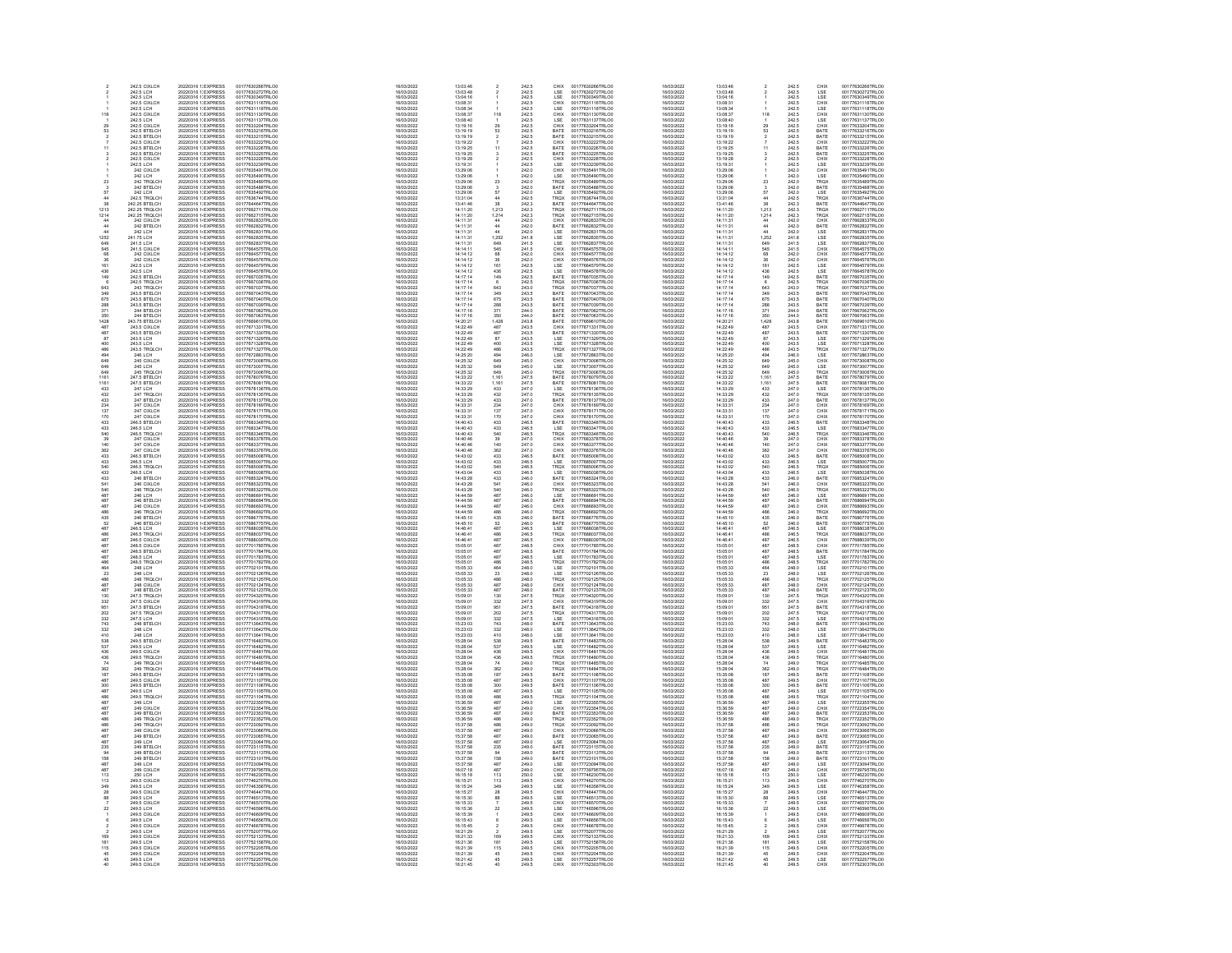|                                                                  | 242.5 CIXLCH                                                                                              | 20220316 1: EXPRESS                                                                                                                      | 00177630266TRLO                                                                                                      | 16/03/2022                                                         | 13:03:46                                                           |                                                                                                                                            |                                                    | CHIX                                        | 00177630266TRLO                                                                                                                          | 16/03/2022                                                         | 13:03:46                                                 |                                                                          |                                                             |                                                                                                                                                                                                                                                                                                             | 00177630266TRLO0                                                                                                     |
|------------------------------------------------------------------|-----------------------------------------------------------------------------------------------------------|------------------------------------------------------------------------------------------------------------------------------------------|----------------------------------------------------------------------------------------------------------------------|--------------------------------------------------------------------|--------------------------------------------------------------------|--------------------------------------------------------------------------------------------------------------------------------------------|----------------------------------------------------|---------------------------------------------|------------------------------------------------------------------------------------------------------------------------------------------|--------------------------------------------------------------------|----------------------------------------------------------|--------------------------------------------------------------------------|-------------------------------------------------------------|-------------------------------------------------------------------------------------------------------------------------------------------------------------------------------------------------------------------------------------------------------------------------------------------------------------|----------------------------------------------------------------------------------------------------------------------|
|                                                                  | 242.5 LCH<br>242.5 LCH                                                                                    | 20220316 1: EXPRESS<br>20220316 1: EXPRESS                                                                                               | 00177630272TRLO0<br>00177630349TRLO0                                                                                 | 16/03/2022<br>16/03/2022                                           | 13:03:48<br>13:04:16                                               |                                                                                                                                            | 242.5<br>242.5                                     | LSE<br>LSE                                  | 00177630272TRLO0<br>00177630349TRLO0                                                                                                     | 16/03/2022<br>16/03/2022                                           | 13:03:48<br>13:04:16                                     |                                                                          | 242.5<br>242.5                                              | LSE<br>LSE                                                                                                                                                                                                                                                                                                  | 00177630272TRLO0<br>00177630349TRLO0                                                                                 |
|                                                                  | 242.5 CIXLCH                                                                                              | 20220316 1: EXPRESS                                                                                                                      | 00177631116TRLOO                                                                                                     | 16/03/2022                                                         | 13:08:31                                                           |                                                                                                                                            | 242.5                                              | CHIX                                        | 00177631116TRLOD                                                                                                                         | 16/03/2022                                                         | 13:08:31                                                 |                                                                          | 242.5                                                       |                                                                                                                                                                                                                                                                                                             | 00177631116TRLO0                                                                                                     |
|                                                                  | 242.5 LCH                                                                                                 | 20220316 1: EXPRESS                                                                                                                      | 00177631118TRLOC                                                                                                     | 16/03/2022                                                         | 13:08:34                                                           |                                                                                                                                            | 242.5                                              | LSE                                         | 00177631118TRLOD                                                                                                                         | 16/03/2022                                                         | 13:08:34                                                 |                                                                          | 242.5                                                       | CHIX<br>LSE                                                                                                                                                                                                                                                                                                 | 00177631118TRLO0                                                                                                     |
| 118                                                              | 242.5 CCH<br>242.5 CIXLCH<br>242.5 CIXLCH<br>242.5 BTELCH<br>242.5 BTELCH<br>242.5 BTELCH                 | 20220316 1: EXPRESS                                                                                                                      | 00177631130TRLO0<br>00177631130TRLO0<br>00177631137TRLO0<br>00177633204TRLO0<br>00177633216TRLO0                     | 16/03/2022                                                         | 13:08:37<br>13:08:40<br>13:19:16<br>13:19:19<br>13:19:19           | 118                                                                                                                                        | 242.5<br>242.5<br>242.5<br>242.5<br>242.5          | CHIX<br>LSE<br>CHIX<br>BATE<br>BATE         | 00177631130TRLO0<br>00177631137TRLO0<br>00177633204TRLO0<br>00177633216TRLO0<br>00177633215TRLO0                                         | 16/03/2022                                                         | 13:08:37<br>13:08:40<br>13:19:16                         | 118                                                                      | 242.5<br>242.5<br>242.5                                     | CHIX<br>LSE<br>CHIX<br>BATE<br>BATE<br>CHIX<br>BATE<br>BATE                                                                                                                                                                                                                                                 | 00177631130TRLO0<br>00177631130TRLO0<br>00177631137TRLO0<br>00177633204TRLO0<br>00177633216TRLO0<br>00177633215TRLO0 |
|                                                                  |                                                                                                           | 20220316 1:EXPRESS<br>20220316 1:EXPRESS<br>20220316 1:EXPRESS<br>20220316 1:EXPRESS<br>20220316 1:EXPRESS<br>20220316 1:EXPRESS         |                                                                                                                      | 16/03/2022<br>16/03/2022<br>16/03/2022                             |                                                                    |                                                                                                                                            |                                                    |                                             |                                                                                                                                          | 16/03/2022<br>16/03/2022<br>16/03/2022<br>16/03/2022               |                                                          |                                                                          |                                                             |                                                                                                                                                                                                                                                                                                             |                                                                                                                      |
| $rac{29}{53}$                                                    |                                                                                                           |                                                                                                                                          |                                                                                                                      |                                                                    |                                                                    | $29$<br>53<br>$2$<br>7                                                                                                                     |                                                    |                                             |                                                                                                                                          |                                                                    |                                                          | $\frac{1}{29}$                                                           |                                                             |                                                                                                                                                                                                                                                                                                             |                                                                                                                      |
|                                                                  |                                                                                                           |                                                                                                                                          |                                                                                                                      | 16/03/2022                                                         |                                                                    |                                                                                                                                            |                                                    |                                             |                                                                                                                                          | 16/03/2022                                                         | 13:19:19<br>13:19:19                                     |                                                                          | 242.5<br>242.5                                              |                                                                                                                                                                                                                                                                                                             |                                                                                                                      |
|                                                                  | 242.5 CIXLCH                                                                                              |                                                                                                                                          | 00177633222TRLO0                                                                                                     | 16/03/2022                                                         | 13:19:22                                                           |                                                                                                                                            | 242.5                                              | CHIX                                        | 00177633222TRLOD                                                                                                                         | 16/03/2022                                                         | 13:19:22                                                 |                                                                          | 242.5                                                       |                                                                                                                                                                                                                                                                                                             | 00177633222TRLO0                                                                                                     |
| 11                                                               | 242.5 BTELCH<br>242.5 BTELCH                                                                              | 20220316 1:EXPRESS<br>20220316 1:EXPRESS                                                                                                 | 00177633226TRLOD<br>00177633225TRLOD                                                                                 | 16/03/2022<br>16/03/2022                                           | 13:19:25<br>13:19:25                                               | $\frac{11}{3}$                                                                                                                             | 242.5<br>242.5                                     | BATE<br>BATE                                | 00177633226TRLO0<br>00177633225TRLO0                                                                                                     | 16/03/2022<br>16/03/2022                                           | 13:19:25<br>13:19:25                                     | 11                                                                       | 242.5<br>242.5                                              |                                                                                                                                                                                                                                                                                                             | 00177633226TRLO0<br>00177633225TRLO0                                                                                 |
|                                                                  |                                                                                                           | 20220316 1:EXPRESS<br>20220316 1:EXPRESS<br>20220316 1:EXPRESS<br>20220316 1:EXPRESS<br>20220316 1:EXPRESS<br>20220316 1:EXPRESS         | 00177633228TRLO0<br>00177633228TRLO0<br>00177633239TRLO0<br>00177635491TRLO0<br>00177635490TRLO0                     |                                                                    |                                                                    |                                                                                                                                            |                                                    |                                             | 00177633225TRLO0<br>00177633226TRLO0<br>00177633239TRLO0<br>00177635491TRLO0<br>00177635490TRLO0<br>00177635489TRLO0                     |                                                                    |                                                          |                                                                          |                                                             | ENTERE<br>CHIX<br>CHIX<br>LSE<br>TROX<br>BATE<br>LSE                                                                                                                                                                                                                                                        | 00177633225TRLO0<br>00177633226TRLO0<br>00177633239TRLO0<br>00177635491TRLO0<br>00177635480TRLO0<br>00177635489TRLO0 |
|                                                                  | 242.5 CIXLCH<br>242.5 LCH                                                                                 |                                                                                                                                          |                                                                                                                      | 16/03/2022<br>16/03/2022                                           | 13:19:28<br>13:19:31<br>13:29:06                                   |                                                                                                                                            | 242.5<br>242.5<br>242.0                            | CHIX<br>LSE<br>CHIX<br>LSE<br>TRQX          |                                                                                                                                          | 16/03/2022<br>16/03/2022                                           | 13:19:28<br>13:19:31<br>13:29:06                         |                                                                          | 242.5<br>242.5<br>242.0                                     |                                                                                                                                                                                                                                                                                                             |                                                                                                                      |
|                                                                  | 242 CIXLCH                                                                                                |                                                                                                                                          |                                                                                                                      | 16/03/2022                                                         |                                                                    |                                                                                                                                            |                                                    |                                             |                                                                                                                                          | 16/03/2022                                                         |                                                          |                                                                          |                                                             |                                                                                                                                                                                                                                                                                                             |                                                                                                                      |
| 23                                                               | 242 LCH<br>242 TRQLCH                                                                                     |                                                                                                                                          |                                                                                                                      | 16/03/2022                                                         | 13:29:06<br>13:29:06                                               | $\overline{23}$                                                                                                                            | 242.0<br>242.0                                     |                                             |                                                                                                                                          | 16/03/2022                                                         | 13:29:06                                                 |                                                                          | 242.0<br>242.0                                              |                                                                                                                                                                                                                                                                                                             |                                                                                                                      |
|                                                                  | 242 BTELCH                                                                                                |                                                                                                                                          | 00177635488TRLOD                                                                                                     | 16/03/2022<br>16/03/2022                                           | 13:29:06                                                           |                                                                                                                                            |                                                    |                                             | 00177635488TRLOD                                                                                                                         | 16/03/2022<br>16/03/2022                                           | 13:29:06<br>13:29:06                                     | 23                                                                       |                                                             |                                                                                                                                                                                                                                                                                                             |                                                                                                                      |
|                                                                  | 242 LCH                                                                                                   | 20220316 1:EXPRESS<br>20220316 1:EXPRESS                                                                                                 | 00177635492TRLOC                                                                                                     | 16/03/2022                                                         | 13:29:06                                                           | $\begin{array}{c} 3 \\ 57 \end{array}$                                                                                                     | 242.0<br>242.0                                     | BATE<br>LSE                                 | 00177635492TRLOD                                                                                                                         | 16/03/2022                                                         | 13:29:06                                                 | $\frac{3}{57}$                                                           | 242.0<br>242.0                                              |                                                                                                                                                                                                                                                                                                             | 00177635488TRLO0<br>00177635492TRLO0                                                                                 |
| a4                                                               | 242 S TROLCH                                                                                              | 20220316 1: EXPRESS                                                                                                                      | 00177636744TRLOC                                                                                                     | 16/03/2022                                                         | 13:31:04                                                           |                                                                                                                                            | 242.0<br>242.5<br>242.3<br>242.3<br>242.0<br>242.0 | TROX                                        | 00177636744TRLO0                                                                                                                         | 16/03/2022                                                         | 13:31:04                                                 |                                                                          | 242.0<br>242.5<br>242.3<br>242.3<br>242.3                   | TROX                                                                                                                                                                                                                                                                                                        | 00177636744TRLO0                                                                                                     |
|                                                                  | 242.5 TROLCH<br>242.25 TROLCH<br>242.25 TROLCH<br>242 CIXLCH<br>242 BTELCH<br>242 BTELCH                  | 20220316 1:EXPRESS<br>20220316 1:EXPRESS<br>20220316 1:EXPRESS<br>20220316 1:EXPRESS<br>20220316 1:EXPRESS<br>20220316 1:EXPRESS         | 00177636744TRLO0<br>00177644647TRLO0<br>00177662711TRLO0<br>00177662833TRLO0<br>00177662833TRLO0                     | 16/03/2022<br>16/03/2022<br>16/03/2022<br>16/03/2022<br>16/03/2022 | 13:41:46<br>14:11:20<br>14:11:20<br>14:11:31<br>14:11:31           | 44<br>381314<br>444<br>444<br>44<br>545<br>545<br>68<br>36<br>16<br>14<br>36<br>44<br>44<br>44<br>5<br>4<br>5<br>4<br>4<br>4<br>4<br>4<br> |                                                    | ENTE<br>TROX<br>TROX<br>CHIX<br>BATE        | 001776367441RL00<br>00177644647TRL00<br>00177662711TRL00<br>00177662715TRL00<br>00177662833TRL00<br>00177662832TRL00                     | 16/03/2022<br>16/03/2022<br>16/03/2022<br>16/03/2022<br>16/03/2022 | $13:41:46$<br>$14:11:20$<br>$14:11:20$<br>$14:11:31$     | $\begin{array}{c} 44 \\ 38 \\ 1,213 \\ 1,214 \\ 44 \\ 44 \\ \end{array}$ |                                                             | FROM<br>BATE<br>TROM<br>TROM<br>CHIX<br>BATE                                                                                                                                                                                                                                                                | 00177636744TRL00<br>00177644647TRL00<br>00177662711TRL00<br>00177662833TRL00<br>00177662833TRL00                     |
| $\begin{array}{r} 38 \\ 1213 \\ 1214 \\ 44 \\ 44 \\ \end{array}$ |                                                                                                           |                                                                                                                                          |                                                                                                                      |                                                                    |                                                                    |                                                                                                                                            |                                                    |                                             |                                                                                                                                          |                                                                    |                                                          |                                                                          |                                                             |                                                                                                                                                                                                                                                                                                             |                                                                                                                      |
|                                                                  |                                                                                                           |                                                                                                                                          |                                                                                                                      |                                                                    |                                                                    |                                                                                                                                            |                                                    |                                             |                                                                                                                                          |                                                                    |                                                          |                                                                          |                                                             |                                                                                                                                                                                                                                                                                                             |                                                                                                                      |
|                                                                  |                                                                                                           |                                                                                                                                          |                                                                                                                      | 16/03/2022                                                         |                                                                    |                                                                                                                                            |                                                    |                                             |                                                                                                                                          | 16/03/2022                                                         | 14:11:31                                                 |                                                                          | 242.0                                                       |                                                                                                                                                                                                                                                                                                             |                                                                                                                      |
| 44                                                               |                                                                                                           |                                                                                                                                          |                                                                                                                      | 16/03/2022                                                         | 14:11:31                                                           |                                                                                                                                            |                                                    |                                             |                                                                                                                                          | 16/03/2022                                                         |                                                          |                                                                          |                                                             |                                                                                                                                                                                                                                                                                                             |                                                                                                                      |
| 1252                                                             | 242 LCH<br>241.75 LCH                                                                                     | 20220316 1 / EXPRESS<br>20220316 1 / EXPRESS                                                                                             | 00177662831TRLOO<br>00177662835TRLOO                                                                                 | 16/03/2022                                                         | 14:11:31                                                           |                                                                                                                                            | 242.0<br>241.8                                     | LSE<br>LSE                                  | 00177662831TRLO0<br>00177662835TRLO0                                                                                                     | 16/03/2022                                                         | 14:11:31<br>14:11:31                                     | $\frac{44}{1,252}$                                                       | 242.0<br>241.8                                              |                                                                                                                                                                                                                                                                                                             | 00177662831TRLO0<br>00177662835TRLO0                                                                                 |
| <b>R49</b><br>K45                                                | 241.5 LCH<br>241.5 CIXLCH                                                                                 | 20220316 14 EXPRESS<br>20220316 14 EXPRESS                                                                                               | 00177662837TRLOO                                                                                                     | 16/03/2022<br>16/03/2022                                           | 14:11:31<br>14.14.11                                               |                                                                                                                                            | 241.5<br>241.5                                     | LSE<br>CHIX                                 | 00177662837TRLO0<br>00177664575TRLO0                                                                                                     | 16/03/2022<br>16/03/2022                                           | 14:11:31<br>14:14:11                                     | 649<br>545<br>58<br>68<br>36<br>161                                      | $\frac{241.5}{241.5}$                                       | LSE<br>LSE<br>LSE<br>CHIX<br>CHIX<br>LSE<br>LSE<br>LSE<br>BATE                                                                                                                                                                                                                                              | 00177662837TRLO0<br>00177664575TRLO0                                                                                 |
| $\overline{68}$                                                  |                                                                                                           |                                                                                                                                          |                                                                                                                      |                                                                    |                                                                    |                                                                                                                                            |                                                    |                                             |                                                                                                                                          |                                                                    |                                                          |                                                                          |                                                             |                                                                                                                                                                                                                                                                                                             |                                                                                                                      |
|                                                                  | 241.9 CIXLCH<br>242 CIXLCH<br>242.5 LCH                                                                   | 20220316 1-EXPRESS<br>20220316 1-EXPRESS<br>20220316 1-EXPRESS                                                                           | 00177664577TRLOO<br>00177664576TRLOO<br>00177664576TRLOO                                                             | 16/03/2022<br>16/03/2022<br>16/03/2022                             | 14:14:12<br>14:14:12<br>14:14:12                                   |                                                                                                                                            | 241.9<br>242.0<br>242.0<br>242.5                   | CHIX<br>CHIX<br>LSE<br>LSE<br>BATE          | 00177664577TRLO0<br>00177664576TRLO0<br>00177664576TRLO0                                                                                 | 16/03/2022<br>16/03/2022<br>16/03/2022                             | 14:14:12<br>14:14:12<br>14:14:12                         |                                                                          | 241.9<br>242.0<br>242.0<br>242.5                            |                                                                                                                                                                                                                                                                                                             | 00177664577TRLO0<br>00177664576TRLO0<br>00177664576TRLO0                                                             |
| 36<br>161                                                        |                                                                                                           |                                                                                                                                          |                                                                                                                      |                                                                    |                                                                    |                                                                                                                                            |                                                    |                                             |                                                                                                                                          |                                                                    |                                                          |                                                                          |                                                             |                                                                                                                                                                                                                                                                                                             |                                                                                                                      |
| 436<br>149                                                       | 242.5 LCH<br>242.5 BTELCH                                                                                 | 20220316 1/ EXPRESS<br>20220316 1/ EXPRESS                                                                                               | 00177664578TRLO0<br>00177667035TRLO0                                                                                 | 16/03/2022                                                         | 14:14:12<br>14:17:14                                               |                                                                                                                                            | 242.5<br>242.5                                     |                                             | 00177664578TRLO0<br>00177667035TRLO0                                                                                                     | 16/03/2022                                                         | 14:14:12                                                 | 436<br>149                                                               | 242.5<br>242.5                                              |                                                                                                                                                                                                                                                                                                             | 00177664578TRLO0<br>00177667035TRLO0                                                                                 |
|                                                                  | 242.5 TROLCH                                                                                              | 20220316 14 EXPRESS                                                                                                                      | 00177667036TRLO0                                                                                                     | 16/03/2022<br>16/03/2022                                           | 14:17:14                                                           | 6                                                                                                                                          | 242.5                                              | TRQX                                        | 00177667036TRLO0                                                                                                                         | 16/03/2022<br>16/03/2022                                           | 14:17:14<br>14:17:14                                     |                                                                          | 242.5                                                       | TRQX                                                                                                                                                                                                                                                                                                        | 00177667036TRLO0                                                                                                     |
|                                                                  |                                                                                                           | 20220316 1/EXPRESS                                                                                                                       |                                                                                                                      | 16/03/2022                                                         |                                                                    |                                                                                                                                            |                                                    |                                             |                                                                                                                                          | 16/03/2022                                                         |                                                          |                                                                          |                                                             |                                                                                                                                                                                                                                                                                                             |                                                                                                                      |
| 643<br>349                                                       |                                                                                                           | 20220316 1-EXPRESS                                                                                                                       |                                                                                                                      | 16/03/2022                                                         |                                                                    |                                                                                                                                            |                                                    | TROX<br>BATE                                |                                                                                                                                          | 16/03/2022                                                         | 14:17:14<br>14:17:14                                     |                                                                          |                                                             | TROX<br>BATE                                                                                                                                                                                                                                                                                                |                                                                                                                      |
|                                                                  |                                                                                                           |                                                                                                                                          |                                                                                                                      |                                                                    |                                                                    |                                                                                                                                            |                                                    |                                             |                                                                                                                                          |                                                                    |                                                          |                                                                          |                                                             |                                                                                                                                                                                                                                                                                                             |                                                                                                                      |
| 675<br>288<br>371                                                | 242.5 TRUCCH<br>243.5 BTELCH<br>243.5 BTELCH<br>243.5 BTELCH<br>244 BTELCH<br>244 BTELCH                  | 20220316 1-EXPRESS<br>20220316 1-EXPRESS<br>20220316 1-EXPRESS                                                                           | 001776670361RLO0<br>00177667043TRLO0<br>00177667040TRLO0<br>00177667040TRLO0<br>00177667062TRLO0                     | 16/03/2022<br>16/03/2022<br>16/03/2022                             | $14:17:14$<br>$14:17:14$<br>$14:17:14$<br>$14:17:14$<br>$14:17:16$ | $643$<br>$349$<br>$675$<br>$288$<br>$371$<br>$350$<br>$1,428$                                                                              | 242.0<br>243.0<br>243.5<br>243.5<br>243.5<br>244.0 | BATE<br>BATE<br>BATE                        | 001776670361KLO0<br>00177667037TRLO0<br>00177667043TRLO0<br>00177667039TRLO0<br>00177667062TRLO0                                         | 16/03/2022<br>16/03/2022<br>16/03/2022                             | $14:17:14$ $14:17:14$ $14:17:16$                         | 643<br>849<br>675<br>288<br>371                                          | 242.0<br>243.0<br>243.5<br>243.5<br>243.5<br>244.0          | BATE<br>BATE<br>BATE<br>BATE<br>BATE<br>BATE                                                                                                                                                                                                                                                                | 001776670361 REDU<br>00177667043TRLO0<br>00177667043TRLO0<br>00177667040TRLO0<br>00177667062TRLO0                    |
|                                                                  |                                                                                                           |                                                                                                                                          |                                                                                                                      | 16/03/2022                                                         | 14:17:16                                                           |                                                                                                                                            |                                                    |                                             |                                                                                                                                          | 16/03/2022                                                         | 14:17:16                                                 |                                                                          |                                                             |                                                                                                                                                                                                                                                                                                             |                                                                                                                      |
| 350<br>1428                                                      | 244 BTELCH<br>243.75 BTELCH                                                                               | 20220316 1/ EXPRESS<br>20220316 1/ EXPRESS                                                                                               | 00177667063TRLO0<br>00177669610TRLO0                                                                                 | 16/03/2022                                                         | 14:20:21                                                           |                                                                                                                                            | $\substack{244.0 \\ 243.8}$                        | BATE<br>BATE                                | 00177667063TRLO0<br>00177669610TRLO0                                                                                                     | 16/03/2022                                                         | 14:20:21                                                 | 350<br>1,428                                                             | 244.0<br>243.8                                              |                                                                                                                                                                                                                                                                                                             | 00177667063TRLO0<br>00177669610TRLO0                                                                                 |
| 487<br>487                                                       | 243.5 CIXLCH<br>243.5 BTELCH                                                                              | 20220316 1 / EXPRESS<br>20220316 1 / EXPRESS                                                                                             | 00177671331TRLOO<br>00177671330TRLOO                                                                                 | 16/03/2022                                                         | 14:22:49                                                           |                                                                                                                                            | 243.5<br>243.5                                     | CHIX<br>BATE                                | 00177671331TRLO0<br>00177671330TRLO0                                                                                                     | 16/03/2022                                                         | 14:22:49<br>14:22:49                                     | 487<br>487                                                               | 243.5<br>243.5                                              | CHIX<br>BATE                                                                                                                                                                                                                                                                                                | 00177671331TRLO0<br>00177671330TRLO0                                                                                 |
|                                                                  |                                                                                                           |                                                                                                                                          |                                                                                                                      | 16/03/2022                                                         | 14:22:49                                                           |                                                                                                                                            |                                                    |                                             |                                                                                                                                          | 16/03/2022                                                         |                                                          |                                                                          |                                                             |                                                                                                                                                                                                                                                                                                             |                                                                                                                      |
| R7                                                               | 243.5 LCH<br>243.5 LCH<br>243.5 TROLCH<br>243.5 TROLCH                                                    |                                                                                                                                          | 00177671329TRLOD                                                                                                     | 16/03/2022<br>16/03/2022<br>16/03/2022                             | $14.22.49$<br>$14.22.49$<br>$14.22.49$                             |                                                                                                                                            |                                                    |                                             | 00177671329TRLOO<br>00177671328TRLOO<br>00177671327TRLOO                                                                                 | 16/03/2022                                                         | 14:22:49                                                 |                                                                          |                                                             |                                                                                                                                                                                                                                                                                                             |                                                                                                                      |
|                                                                  |                                                                                                           |                                                                                                                                          |                                                                                                                      |                                                                    |                                                                    |                                                                                                                                            |                                                    |                                             |                                                                                                                                          | 16/03/2022<br>16/03/2022<br>16/03/2022                             | 14.22.49<br>14.22:49<br>14.22:49                         |                                                                          |                                                             |                                                                                                                                                                                                                                                                                                             |                                                                                                                      |
|                                                                  |                                                                                                           |                                                                                                                                          |                                                                                                                      | 16/03/2022                                                         |                                                                    |                                                                                                                                            |                                                    |                                             |                                                                                                                                          | 16/03/2022                                                         |                                                          |                                                                          |                                                             |                                                                                                                                                                                                                                                                                                             |                                                                                                                      |
| 400<br>486<br>494<br>649                                         | 246 LCH<br>245 CIXLCH                                                                                     | 20220316<br>20220316<br>20220316<br>20220316<br>14 EXPRESS<br>20220316<br>14 EXPRESS<br>20220316<br>14 EXPRESS<br>20220316<br>14 EXPRESS | 001776713291RL00<br>00177671328TRL00<br>00177672863TRL00<br>00177673008TRL00                                         | 16/03/2022                                                         | 14:25:20<br>14:25:32                                               | 487 87 848 486 496 649                                                                                                                     | 243.5<br>243.5<br>243.5<br>243.5<br>246.0<br>246.0 | LSE<br>LSE<br>LSE<br>TRQX<br>LSE<br>CHIX    | 00177672863TRLO0<br>00177673008TRLO0                                                                                                     | 16/03/2022                                                         | 14:25:20<br>14:25:32                                     |                                                                          | 243.5<br>243.5<br>243.5<br>243.5<br>246.0<br>246.0          | LSE<br>LSE<br>TROX<br>LSE<br>CHIX<br>LSE                                                                                                                                                                                                                                                                    | 001776713301RLO0<br>00177671329TRLO0<br>00177671328TRLO0<br>00177671327TRLO0<br>00177673008TRLO0<br>00177673008TRLO0 |
| 649                                                              | 245 LCH                                                                                                   | 20220316 1 EXPRESS                                                                                                                       | 00177673007TRLO0                                                                                                     | 16/03/2022                                                         | 14:25:32                                                           |                                                                                                                                            | 245.0                                              | LSE                                         | 00177673007TRLO0                                                                                                                         | 16/03/2022                                                         | 14:25:32                                                 |                                                                          | 245.0                                                       |                                                                                                                                                                                                                                                                                                             | 00177673007TRLO0                                                                                                     |
| 649<br>1161                                                      | 245 TROLCH<br>247 S RTFLCH                                                                                | 20220316 1/ EXPRESS<br>20220316 1/ EXPRESS                                                                                               | 00177673006TRLOC<br>00177678079TRLOC                                                                                 | 16/03/2022<br>16/03/2022                                           | 14:25:32<br>14:33:22                                               | 649<br>1,161                                                                                                                               | 245.0<br>247.5                                     | <b>TROX</b><br>RATE                         | 00177673006TRLO0<br>00177678079TRLO0                                                                                                     | 16/03/2022<br>16/03/2022                                           | 14:25:32<br>14:33:22                                     | 87<br>400<br>486<br>494<br>649<br>649<br>1,161                           | 245.0<br>247.5                                              | TRQX<br>BATE                                                                                                                                                                                                                                                                                                | 00177673006TRLO0<br>00177678079TRLO0                                                                                 |
|                                                                  |                                                                                                           |                                                                                                                                          |                                                                                                                      |                                                                    |                                                                    |                                                                                                                                            |                                                    |                                             |                                                                                                                                          |                                                                    |                                                          |                                                                          |                                                             |                                                                                                                                                                                                                                                                                                             |                                                                                                                      |
| 1161<br>433                                                      | 247.5 BTELCH<br>247.5 BTELCH<br>247 LCH<br>247 BTELCH<br>247 BTELCH<br>247 CIXLCH                         | 20220316 1+ EXPRESS<br>20220316 1+ EXPRESS<br>20220316 1+ EXPRESS<br>20220316 1+ EXPRESS<br>20220316 1+ EXPRESS<br>20220316 1+ EXPRESS   | 001776780791RLO0<br>00177678136TRLO0<br>00177678136TRLO0<br>00177678137TRLO0<br>00177678169TRLO0                     | 16/03/2022<br>16/03/2022<br>16/03/2022<br>16/03/2022               | 14:33:22<br>14:33:29<br>14:33:29                                   |                                                                                                                                            | 247.5<br>247.5<br>247.0<br>247.0<br>247.0          | BATE<br>BATE<br>LSE<br>TRQX<br>BATE<br>CHIX | 00177678079TRLO0<br>00177678136TRLO0<br>00177678136TRLO0<br>00177678137TRLO0<br>00177678189TRLO0                                         | 16/03/2022<br>16/03/2022<br>16/03/2022                             |                                                          |                                                                          | 247.5<br>247.5<br>247.0<br>247.0                            |                                                                                                                                                                                                                                                                                                             | 001776780791RLO0<br>00177678081TRLO0<br>00177678136TRLO0<br>00177678135TRLO0<br>00177678137TRLO0                     |
| 432<br>433<br>234                                                |                                                                                                           |                                                                                                                                          |                                                                                                                      |                                                                    |                                                                    |                                                                                                                                            |                                                    |                                             |                                                                                                                                          |                                                                    |                                                          |                                                                          |                                                             |                                                                                                                                                                                                                                                                                                             |                                                                                                                      |
|                                                                  |                                                                                                           |                                                                                                                                          |                                                                                                                      | 16/03/2022                                                         | 14:33:29<br>14:33:31                                               |                                                                                                                                            |                                                    |                                             |                                                                                                                                          | 16/03/2022                                                         | 14:33:29<br>14:33:31                                     |                                                                          | 247.0<br>247.0                                              |                                                                                                                                                                                                                                                                                                             |                                                                                                                      |
|                                                                  |                                                                                                           |                                                                                                                                          | 00177678171TRLOD                                                                                                     | 16/03/2022<br>16/03/2022                                           | 14:33:31                                                           | 1,161<br>433<br>432<br>433<br>234<br>137<br>170                                                                                            |                                                    |                                             |                                                                                                                                          | 16/03/2022<br>16/03/2022                                           | 14:33:31                                                 |                                                                          |                                                             |                                                                                                                                                                                                                                                                                                             |                                                                                                                      |
| 137<br>170                                                       | 247 CIXLCH<br>247 CIXLCH                                                                                  | 20220316 1 / EXPRESS<br>20220316 1 / EXPRESS                                                                                             | 00177678170TRLOD                                                                                                     | 16/03/2022                                                         | 14:33:31                                                           |                                                                                                                                            | 247.0<br>247.0                                     | CHIX<br>CHIX                                | 00177678171TRLO0<br>00177678170TRLO0                                                                                                     | 16/03/2022                                                         | 14:33:31                                                 |                                                                          | 247.0<br>247.0                                              |                                                                                                                                                                                                                                                                                                             | 00177678171TRLO0<br>00177678170TRLO0                                                                                 |
| am                                                               | 246.5 BTELCH                                                                                              | 20220316 1/ EXPRESS                                                                                                                      | 00177683348TRLOC                                                                                                     | 16/03/2022                                                         | 14:40:43                                                           |                                                                                                                                            |                                                    | <b>BATE</b>                                 |                                                                                                                                          | 16/03/2022                                                         | 14:40:43                                                 |                                                                          |                                                             |                                                                                                                                                                                                                                                                                                             | 00177683348TRLO0                                                                                                     |
| 433<br>433<br>540<br>39<br>140                                   | 246.5 BTELCH<br>246.5 TRQLCH<br>247 CIXLCH<br>247 CIXLCH<br>247 CIXLCH                                    | 20220316 14EXPRESS<br>20220316 14EXPRESS<br>20220316 14EXPRESS<br>20220316 14EXPRESS<br>20220316 14EXPRESS<br>20220316 14EXPRESS         | 001776833481RLO0<br>00177683347TRLO0<br>00177683346TRLO0<br>00177683378TRLO0<br>00177683377TRLO0<br>00177683376TRLO0 | 16/03/2022<br>16/03/2022<br>16/03/2022<br>16/03/2022               | 14:40:43<br>14:40:43<br>14:40:48<br>14:40:46                       | $433$<br>$433$<br>$540$<br>$39$<br>$140$                                                                                                   | 246.5<br>246.5<br>246.5<br>247.0<br>247.0          | LSE<br>LSE<br>TROX<br>CHIX<br>CHIX          | 001776781701RL00<br>00177683348TRL00<br>00177683346TRL00<br>00177683378TRL00<br>00177683376TRL00<br>00177683376TRL00<br>00177683376TRL00 | 16/03/2022<br>16/03/2022<br>16/03/2022<br>16/03/2022<br>16/03/2022 | 14:40:43<br>14:40:43<br>14:40:48<br>14:40:46<br>14:40:46 | 1,161<br>433<br>432<br>433<br>437<br>170<br>433<br>440<br>140            | 247.0<br>246.5<br>246.5<br>247.0<br>247.0<br>247.0          |                                                                                                                                                                                                                                                                                                             | 001776833481RLO0<br>00177683347TRLO0<br>00177683346TRLO0<br>00177683378TRLO0<br>00177683377TRLO0<br>00177683376TRLO0 |
|                                                                  |                                                                                                           |                                                                                                                                          |                                                                                                                      |                                                                    |                                                                    |                                                                                                                                            |                                                    |                                             |                                                                                                                                          |                                                                    |                                                          |                                                                          |                                                             |                                                                                                                                                                                                                                                                                                             |                                                                                                                      |
|                                                                  |                                                                                                           |                                                                                                                                          |                                                                                                                      |                                                                    |                                                                    |                                                                                                                                            |                                                    |                                             |                                                                                                                                          |                                                                    |                                                          |                                                                          |                                                             |                                                                                                                                                                                                                                                                                                             |                                                                                                                      |
| 362                                                              | 247 CIXLCH                                                                                                |                                                                                                                                          |                                                                                                                      | 16/03/2022                                                         | 14:40:46                                                           | 362                                                                                                                                        | 247.0                                              |                                             |                                                                                                                                          | 16/03/2022                                                         | 14:40:46                                                 | 362                                                                      |                                                             |                                                                                                                                                                                                                                                                                                             |                                                                                                                      |
| 433                                                              | 246.5 BTELCH                                                                                              | 20220316 1 / EXPRESS<br>20220316 1 / EXPRESS                                                                                             | 00177685008TRLC0<br>00177685007TRLC0                                                                                 | 16/03/2022                                                         | 14:43:02                                                           | 433<br>433                                                                                                                                 | 246.5<br>246.5                                     | BATE                                        | 00177685008TRLO0                                                                                                                         | 16/03/2022                                                         | 14:43:02                                                 | 433<br>433                                                               | 246.5<br>246.5                                              |                                                                                                                                                                                                                                                                                                             | 00177685008TRLO0                                                                                                     |
| 433                                                              | 246.5 LCH                                                                                                 |                                                                                                                                          |                                                                                                                      | 16/03/2022                                                         | 14:43:02                                                           |                                                                                                                                            |                                                    | LSE                                         | 00177685007TRLOD                                                                                                                         | 16/03/2022                                                         | 14:43:02                                                 |                                                                          |                                                             |                                                                                                                                                                                                                                                                                                             | 00177685007TRLO0                                                                                                     |
| 540<br>433                                                       | 246.5 TROLCH<br>246.5 LCH                                                                                 | 20220316 14 EXPRESS<br>20220316 14 EXPRESS                                                                                               | 00177685006TRLOO<br>00177685038TRLOO                                                                                 | 16/03/2022<br>16/03/2022                                           | 14:43:02<br>14:43:04                                               |                                                                                                                                            |                                                    | TRQX<br>LSE                                 |                                                                                                                                          | 16/03/2022<br>16/03/2022                                           | 14:43:02<br>14:43:04                                     |                                                                          |                                                             |                                                                                                                                                                                                                                                                                                             | 00177685006TRLO0<br>00177685038TRLO0                                                                                 |
| 433                                                              |                                                                                                           |                                                                                                                                          |                                                                                                                      |                                                                    |                                                                    |                                                                                                                                            |                                                    |                                             |                                                                                                                                          |                                                                    |                                                          |                                                                          |                                                             |                                                                                                                                                                                                                                                                                                             |                                                                                                                      |
|                                                                  |                                                                                                           |                                                                                                                                          |                                                                                                                      |                                                                    |                                                                    |                                                                                                                                            |                                                    |                                             |                                                                                                                                          |                                                                    |                                                          |                                                                          |                                                             |                                                                                                                                                                                                                                                                                                             |                                                                                                                      |
|                                                                  | 246.9 LCH<br>246 BTELCH<br>246 CIXLCH<br>246 TROLCH                                                       | 20220316 1-EXPRESS<br>20220316 1-EXPRESS<br>20220316 1-EXPRESS                                                                           | 001776850381RLO0<br>00177685324TRLO0<br>00177685323TRLO0<br>00177686891TRLO0<br>00177686694TRLO0                     | 16/03/2022<br>16/03/2022<br>16/03/2022                             | 14:43:04<br>14:43:28<br>14:43:28<br>14:43:28                       | 540<br>433<br>433<br>541<br>540<br>487<br>487                                                                                              | 246.5<br>246.5<br>246.6<br>246.0<br>246.0          | LSE<br>BATE<br>CHIX<br>TRQX<br>LSE<br>BATE  | 001776850071RE00<br>00177685038TRLO0<br>00177685324TRLO0<br>00177685323TRLO0<br>00177685322TRLO0                                         | 16/03/2022<br>16/03/2022<br>16/03/2022                             | 14:43:04<br>14:43:28<br>14:43:28<br>14:43:28             | 540<br>433<br>433<br>541<br>540<br>487<br>487                            | 246.5<br>246.5<br>246.6<br>246.0<br>246.0                   | LSE<br>TROX<br>LSE<br>BATE<br>CHIX<br>LSE<br>BATE                                                                                                                                                                                                                                                           | 00177685324TRLO0<br>00177685323TRLO0<br>00177685323TRLO0                                                             |
| 487<br>487                                                       | 246 LCH<br>246 BTELCH                                                                                     | 20220316 1/ EXPRESS<br>20220316 1/ EXPRESS                                                                                               |                                                                                                                      | 16/03/2022                                                         | 14:44:59<br>14:44:59                                               |                                                                                                                                            | $\substack{246.0 \\ 246.0}$                        |                                             | 00177686691TRLO0<br>00177686694TRLO0                                                                                                     | 16/03/2022                                                         | 14:44:59<br>14:44:59                                     |                                                                          | 246.0<br>246.0                                              |                                                                                                                                                                                                                                                                                                             | 00177686691TRLO0<br>00177686694TRLO0                                                                                 |
| 487                                                              | 246 CIXLCH                                                                                                | 20220316 1 EXPRESS                                                                                                                       | 00177686693TRLOD                                                                                                     | 16/03/2022<br>16/03/2022                                           | 14:44:59                                                           |                                                                                                                                            | 246.0                                              | CHIX                                        | 00177686693TRLO0                                                                                                                         | 16/03/2022<br>16/03/2022                                           | 14:44:59                                                 |                                                                          | 246.0                                                       |                                                                                                                                                                                                                                                                                                             | 00177686693TRLO0                                                                                                     |
|                                                                  |                                                                                                           |                                                                                                                                          |                                                                                                                      |                                                                    |                                                                    | 487<br>486<br>435<br>52<br>487<br>487<br>487                                                                                               |                                                    |                                             | 00177686692TRLO0<br>00177686776TRLO0<br>00177686776TRLO0<br>00177688038TRLO0<br>00177688037TRLO0                                         |                                                                    |                                                          | 487<br>486<br>435<br>52<br>487<br>487<br>487                             | 246.0<br>246.0<br>246.0<br>246.5<br>246.5<br>246.5<br>246.5 | CHIX<br>TRQX<br>BATE<br>BATE<br>LSE<br>TRQX<br>CHIX<br>CHIX                                                                                                                                                                                                                                                 |                                                                                                                      |
| 486<br>435                                                       | 246 TROLCH<br>246 BTELCH                                                                                  | 20220316 1 / EXPRESS<br>20220316 1 / EXPRESS                                                                                             | 00177686692TRLOO<br>00177686776TRLOO                                                                                 | 16/03/2022<br>16/03/2022                                           | $14.44.59$ $14.45.10$ $14.45.10$ $14.46.41$ $14.46.41$ $14.46.41$  |                                                                                                                                            | 246.0<br>246.0<br>246.0<br>246.5<br>246.5          | TROX<br>BATE                                |                                                                                                                                          | 16/03/2022<br>16/03/2022                                           | 14:44:59<br>14:45:10                                     |                                                                          |                                                             |                                                                                                                                                                                                                                                                                                             | 00177686692TRLOO<br>00177686776TRLOO                                                                                 |
| $rac{62}{487}$                                                   | 246 BTELCH<br>246.5 LCH<br>246.5 TRQLCH                                                                   | 20220316 1-EXPRESS<br>20220316 1-EXPRESS<br>20220316 1-EXPRESS                                                                           | 00177686775TRLO0<br>00177688038TRLO0<br>00177688037TRLO0                                                             | 16/03/2022<br>16/03/2022<br>16/03/2022                             |                                                                    |                                                                                                                                            |                                                    | BATE<br>BATE<br>LSE<br>TRQX                 |                                                                                                                                          | 16/03/2022<br>16/03/2022<br>16/03/2022                             | 14:45:10<br>14:46:41<br>14:46:41                         |                                                                          |                                                             |                                                                                                                                                                                                                                                                                                             | 00177686775TRLO0<br>00177688038TRLO0<br>00177688037TRLO0                                                             |
|                                                                  |                                                                                                           |                                                                                                                                          |                                                                                                                      | 16/03/2022                                                         |                                                                    |                                                                                                                                            |                                                    |                                             |                                                                                                                                          | 16/03/2022                                                         |                                                          |                                                                          |                                                             |                                                                                                                                                                                                                                                                                                             |                                                                                                                      |
| 486                                                              |                                                                                                           |                                                                                                                                          |                                                                                                                      | 16/03/2022                                                         | 14:46:41                                                           |                                                                                                                                            |                                                    |                                             |                                                                                                                                          | 16/03/2022                                                         | 14:46:41                                                 |                                                                          |                                                             |                                                                                                                                                                                                                                                                                                             |                                                                                                                      |
| 487<br>487                                                       | 246.5 CIXLCH<br>248.5 CIXLCH                                                                              | 20220316 1/ EXPRESS<br>20220316 1! EXPRESS                                                                                               | 00177688039TRLO0<br>00177701785TRLO0                                                                                 | 16/03/2022                                                         | 15:05:01                                                           |                                                                                                                                            | 246.5<br>248.5                                     | CHIX<br>CHIX                                | 00177688039TRLO0<br>00177701785TRLO0                                                                                                     | 16/03/2022                                                         | 15:05:01                                                 |                                                                          |                                                             |                                                                                                                                                                                                                                                                                                             | 00177688039TRLO0<br>00177701785TRLO0                                                                                 |
| 487<br>487                                                       | 248.5 BTELCH<br>248.5 LCH                                                                                 | 20220316 1fEXPRESS                                                                                                                       | 00177701784TRLOD                                                                                                     | 16/03/2022                                                         | 15:05:01                                                           |                                                                                                                                            | 248.5<br>248.5                                     | BATE<br>LSE                                 | 00177701784TRLOD                                                                                                                         | 16/03/2022                                                         | 15:05:01                                                 | 487<br>487                                                               | 248.5<br>248.5                                              |                                                                                                                                                                                                                                                                                                             | 00177701784TRLO0<br>00177701783TRLO0                                                                                 |
| 486                                                              |                                                                                                           | 20220316 1! EXPRESS                                                                                                                      | 00177701783TRLOC                                                                                                     | 16/03/2022                                                         | 15:05:01                                                           |                                                                                                                                            |                                                    |                                             | 00177701783TRLOD                                                                                                                         | 16/03/2022                                                         | 15:05:01                                                 |                                                                          |                                                             |                                                                                                                                                                                                                                                                                                             |                                                                                                                      |
|                                                                  | 248.5 LCH<br>248.5 TRQLCH<br>248 LCH<br>248 TRQLCH<br>248 CIXLCH<br>248 CIXLCH                            | 20220316 11EXPRESS<br>20220316 11EXPRESS<br>20220316 11EXPRESS<br>20220316 11EXPRESS<br>20220316 11EXPRESS                               | 00177701783TRLO0<br>00177701782TRLO0<br>00177702101TRLO0<br>00177702126TRLO0<br>00177702126TRLO0                     | 16/03/2022<br>16/03/2022<br>16/03/2022                             | 15:05:01<br>15:05:33<br>15:05:33<br>15:05:33<br>15:05:33           |                                                                                                                                            | 248.5<br>248.5<br>248.0<br>248.0<br>248.0          | TROX<br>LSE<br>LSE<br>CHIX<br>CHIX          | 001777017831RLO0<br>00177702101TRLO0<br>00177702101TRLO0<br>00177702125TRLO0<br>00177702125TRLO0<br>00177702123TRLO0<br>00177702123TRLO0 | 16/03/2022<br>16/03/2022<br>16/03/2022<br>16/03/2022               | 15:05:01<br>15:05:33<br>15:05:33                         | 486<br>464<br>23<br>486<br>487<br>487                                    | 248.5<br>248.5<br>248.0<br>248.0<br>248.0                   |                                                                                                                                                                                                                                                                                                             | 001777017831RLO0<br>00177701782TRLO0<br>00177702101TRLO0<br>00177702126TRLO0<br>00177702124TRLO0                     |
|                                                                  |                                                                                                           |                                                                                                                                          |                                                                                                                      |                                                                    |                                                                    |                                                                                                                                            |                                                    |                                             |                                                                                                                                          |                                                                    |                                                          |                                                                          |                                                             |                                                                                                                                                                                                                                                                                                             |                                                                                                                      |
| 486<br>487                                                       |                                                                                                           |                                                                                                                                          |                                                                                                                      | 16/03/2022                                                         |                                                                    |                                                                                                                                            |                                                    |                                             |                                                                                                                                          | 16/03/2022                                                         | 15:05:33<br>15:05:33                                     |                                                                          |                                                             |                                                                                                                                                                                                                                                                                                             |                                                                                                                      |
|                                                                  |                                                                                                           |                                                                                                                                          |                                                                                                                      | 16/03/2022                                                         |                                                                    |                                                                                                                                            |                                                    |                                             |                                                                                                                                          | 16/03/2022                                                         |                                                          |                                                                          |                                                             |                                                                                                                                                                                                                                                                                                             |                                                                                                                      |
| 487                                                              | 248 BTELCH                                                                                                | 20220316 1! EXPRESS                                                                                                                      | 00177702123TRLOD                                                                                                     | 16/03/2022<br>16/03/2022                                           | 15:05:33                                                           |                                                                                                                                            | 248.0                                              | BATE                                        |                                                                                                                                          | 16/03/2022<br>16/03/2022                                           | 15:05:33                                                 |                                                                          | 248.0                                                       |                                                                                                                                                                                                                                                                                                             | 00177702123TRLO0                                                                                                     |
| 130<br>332                                                       | 247.5 TROLCH<br>247.5 CIXLCH                                                                              | 20220316 1/EXPRESS<br>20220316 1/EXPRESS                                                                                                 | 00177704320TRLOO<br>00177704319TRLOO                                                                                 | 16/03/2022                                                         | 15:09:01<br>15:09:01                                               |                                                                                                                                            | 247.5<br>247.5                                     | TRQX<br>CHIX                                | 00177704320TRLO0<br>00177704319TRLO0                                                                                                     | 16/03/2022                                                         | 15:09:01<br>15:09:01                                     |                                                                          | 247.5<br>247.5                                              |                                                                                                                                                                                                                                                                                                             | 00177704320TRLO0<br>00177704319TRLO0                                                                                 |
| 951<br>202                                                       | 247.5 CIXLCH<br>247.5 BTELCH<br>247.5 TRQLCH<br>248 BTELCH<br>248 LCH                                     | 20220316 11 EXPRESS<br>20220316 11 EXPRESS<br>20220316 11 EXPRESS                                                                        | 00177704319TRLOO<br>00177704318TRLOO<br>00177704317TRLOO<br>00177713643TRLOO<br>00177713643TRLOO                     | 16/03/2022<br>16/03/2022<br>16/03/2022                             | 15:09:01<br>15:09:01<br>15:09:01                                   |                                                                                                                                            | 247.5<br>247.5<br>247.5                            | CHIX<br>BATE<br>TROX<br>LSE<br>BATE<br>LSE  | 00177704319TRLO0<br>00177704318TRLO0<br>00177704317TRLO0<br>00177713843TRLO0<br>00177713843TRLO0                                         | 16/03/2022<br>16/03/2022<br>16/03/2022                             | 15:09:01<br>15:09:01<br>15:09:01                         |                                                                          | 247.5<br>247.5<br>247.5<br>247.5<br>248.0<br>248.0          |                                                                                                                                                                                                                                                                                                             | 00177704319TRLO0<br>00177704318TRLO0<br>00177704316TRLO0<br>00177704316TRLO0<br>00177713643TRLO0<br>00177713642TRLO0 |
|                                                                  |                                                                                                           |                                                                                                                                          |                                                                                                                      |                                                                    |                                                                    |                                                                                                                                            |                                                    |                                             |                                                                                                                                          |                                                                    |                                                          |                                                                          |                                                             |                                                                                                                                                                                                                                                                                                             |                                                                                                                      |
| 332<br>332<br>743<br>332                                         |                                                                                                           |                                                                                                                                          |                                                                                                                      |                                                                    |                                                                    |                                                                                                                                            |                                                    |                                             |                                                                                                                                          |                                                                    |                                                          |                                                                          |                                                             |                                                                                                                                                                                                                                                                                                             |                                                                                                                      |
|                                                                  |                                                                                                           | 20220316 1fEXPRESS<br>20220316 1fEXPRESS                                                                                                 |                                                                                                                      | 16/03/2022<br>16/03/2022                                           | 15:23:03<br>15:23:03                                               |                                                                                                                                            | $\begin{array}{c} 248.0 \\ 248.0 \end{array}$      |                                             |                                                                                                                                          | 16/03/2022<br>16/03/2022                                           | 15:23:03<br>15:23:03                                     |                                                                          |                                                             |                                                                                                                                                                                                                                                                                                             |                                                                                                                      |
| 410                                                              | 248 LCH<br>249.5 BTELCH                                                                                   | 20220316 1fEXPRESS<br>20220316 1fEXPRESS                                                                                                 | 00177713641TRLOO<br>00177716483TRLOO                                                                                 | 16/03/2022                                                         | 15:23:03                                                           | 410<br>538                                                                                                                                 | 248.0<br>249.5                                     | LSE                                         | 00177713641TRLOD                                                                                                                         | 16/03/2022                                                         | 15:23:03                                                 | 130<br>332<br>951<br>202<br>332<br>743<br>332<br>410<br>538              | 248.0<br>249.5                                              | BATE<br>LSE<br>LSE<br>LSE<br>LSE<br>LSE<br>TROX<br>DATE<br>DATE<br>DATE<br>DATE<br>DATE<br>DATE<br>DATE<br>DATE<br>DATE<br>DATE<br>DATE<br>DATE<br>DATE<br>DATE<br>DATE<br>DATE<br>DATE<br>DATE<br>DATE<br>DATE<br>DATE<br>DATE<br>DATE<br>DATE<br>DATE<br>DATE<br>DATE<br>DATE<br>DATE<br>DATE<br>DATE<br> | 00177713641TRLO0<br>00177716483TRLO0                                                                                 |
| 538                                                              |                                                                                                           |                                                                                                                                          |                                                                                                                      | 16/03/2022                                                         | 15:28:04                                                           |                                                                                                                                            |                                                    | BATE                                        | 00177716483TRLOD                                                                                                                         | 16/03/2022                                                         | 15:28:04                                                 |                                                                          |                                                             |                                                                                                                                                                                                                                                                                                             |                                                                                                                      |
| 637                                                              | 249.5 LCH                                                                                                 | 20220316 1/ EXPRESS                                                                                                                      | 00177716482TRLOC                                                                                                     | 16/03/2022                                                         | 15:28:04                                                           | 637                                                                                                                                        | 249.5<br>249.5<br>249.5<br>249.0<br>249.0<br>249.0 | <b>ISE</b>                                  | 00177716482TRLOO                                                                                                                         | 16/03/2022                                                         | 15:28:04                                                 | 537<br>436<br>436<br>436<br>74<br>362<br>187                             | 249.5<br>249.5<br>249.5<br>249.6<br>249.0                   | LSE<br>CHIX<br>TRQX<br>TRQX<br>BATE                                                                                                                                                                                                                                                                         | 00177716482TRLO0                                                                                                     |
|                                                                  |                                                                                                           |                                                                                                                                          |                                                                                                                      |                                                                    |                                                                    |                                                                                                                                            |                                                    |                                             |                                                                                                                                          |                                                                    |                                                          |                                                                          |                                                             |                                                                                                                                                                                                                                                                                                             |                                                                                                                      |
| 436<br>436<br>436<br>74<br>362<br>187                            | 249.5 CCH<br>249.5 CIXLCH<br>249.5 TRQLCH<br>249 TRQLCH<br>249.5 BTELCH<br>249.5 BTELCH                   | 20220316 1LEXPRESS<br>20220316 1LEXPRESS<br>20220316 1LEXPRESS<br>20220316 1LEXPRESS<br>20220316 1LEXPRESS<br>20220316 1LEXPRESS         | 00177716482TRLO0<br>00177716481TRLO0<br>00177716480TRLO0<br>00177716486TRLO0<br>00177716484TRLO0                     | 16/03/2022<br>16/03/2022<br>16/03/2022<br>16/03/2022               | 15:28:04<br>15:28:04<br>15:28:04<br>15:28:04<br>15:28:04           | 436<br>436<br>74<br>74<br>362<br>187                                                                                                       |                                                    | LSE<br>CHIX<br>TRQX<br>TRQX<br>BATE         | 00177716482TRLO0<br>00177716481TRLO0<br>00177716480TRLO0<br>00177716484TRLO0<br>00177716484TRLO0<br>00177721108TRLO0                     | 16/03/2022<br>16/03/2022<br>16/03/2022<br>16/03/2022<br>16/03/2022 | 15:28:04<br>15:28:04<br>15:28:04<br>15:28:04<br>15:28:04 |                                                                          |                                                             |                                                                                                                                                                                                                                                                                                             | 00177716482TRLO0<br>00177716481TRLO0<br>00177716480TRLO0<br>00177716485TRLO0<br>00177716484TRLO0<br>00177721108TRLO0 |
|                                                                  |                                                                                                           |                                                                                                                                          |                                                                                                                      |                                                                    |                                                                    |                                                                                                                                            |                                                    |                                             |                                                                                                                                          |                                                                    |                                                          |                                                                          |                                                             |                                                                                                                                                                                                                                                                                                             |                                                                                                                      |
|                                                                  |                                                                                                           |                                                                                                                                          |                                                                                                                      | 16/03/2022                                                         | 15:35:08                                                           |                                                                                                                                            |                                                    |                                             |                                                                                                                                          | 16/03/2022                                                         | 15:35:08                                                 |                                                                          | 249.5                                                       |                                                                                                                                                                                                                                                                                                             |                                                                                                                      |
| 487<br>300                                                       | 249.5 CIXLCH<br>249.5 BTELCH                                                                              | 20220316 1fEXPRESS<br>20220316 1fEXPRESS                                                                                                 | 00177721107TRLOO<br>00177721106TRLOO                                                                                 | 16/03/2022<br>16/03/2022                                           | 15:35:08<br>15:35:08                                               |                                                                                                                                            | 249.5<br>249.5                                     | CHIX<br>BATE                                | 00177721107TRLO0<br>00177721106TRLO0                                                                                                     | 16/03/2022<br>16/03/2022                                           | 15:35:08<br>15:35:08                                     |                                                                          | 249.5<br>249.5                                              | CHIX<br>BATE                                                                                                                                                                                                                                                                                                | 00177721107TRLO0<br>00177721106TRLO0                                                                                 |
| 487                                                              |                                                                                                           |                                                                                                                                          |                                                                                                                      |                                                                    | 15:35:08                                                           |                                                                                                                                            |                                                    |                                             |                                                                                                                                          |                                                                    |                                                          | 487<br>300<br>487<br>487<br>487<br>487                                   |                                                             |                                                                                                                                                                                                                                                                                                             |                                                                                                                      |
| 488                                                              | 249.5 LCH<br>249.5 TRQLCH                                                                                 | 20220316 1! EXPRESS<br>20220316 1! EXPRESS                                                                                               |                                                                                                                      | 16/03/2022<br>16/03/2022                                           | 15:35:08                                                           |                                                                                                                                            | 249.5<br>249.5<br>249.6<br>249.0<br>249.0          | LSE<br>TRQX                                 |                                                                                                                                          | 16/03/2022<br>16/03/2022                                           | 15:35:08<br>15:35:08                                     |                                                                          | 249.5<br>249.5<br>249.6<br>249.0<br>249.0                   |                                                                                                                                                                                                                                                                                                             | 00177721105TRLOO<br>00177721104TRLOO                                                                                 |
| 487<br>487<br>487                                                | 249 LCH<br>249 CIXLCH<br>249 BTELCH                                                                       | 20220316 11EXPRESS<br>20220316 11EXPRESS<br>20220316 11EXPRESS<br>20220316 11EXPRESS                                                     |                                                                                                                      | 16/03/2022                                                         | 15:36:59<br>15:36:59<br>15:36:59                                   |                                                                                                                                            |                                                    | LSE<br>CHIX<br>BATE                         |                                                                                                                                          | 16/03/2022                                                         | 15:36:59                                                 |                                                                          |                                                             |                                                                                                                                                                                                                                                                                                             | 00177722355TRLOO<br>00177722354TRLOO<br>00177722353TRLOO                                                             |
|                                                                  |                                                                                                           |                                                                                                                                          |                                                                                                                      | 16/03/2022<br>16/03/2022                                           |                                                                    |                                                                                                                                            |                                                    |                                             |                                                                                                                                          | 16/03/2022<br>16/03/2022                                           | 15:36:59<br>15:36:59                                     |                                                                          |                                                             |                                                                                                                                                                                                                                                                                                             |                                                                                                                      |
|                                                                  |                                                                                                           |                                                                                                                                          | 00177721105TRLO0<br>00177721105TRLO0<br>00177722104TRLO0<br>00177722355TRLO0<br>00177722353TRLO0                     |                                                                    |                                                                    | 487<br>300<br>486<br>487<br>487<br>486<br>487                                                                                              |                                                    |                                             | 00177721105TRL00<br>00177721104TRL00<br>00177722355TRL00<br>00177722354TRL00<br>00177722353TRL00                                         |                                                                    |                                                          |                                                                          |                                                             | LSE<br>TROX<br>LSE<br>CHIX<br>BATE<br>TROX<br>TROX                                                                                                                                                                                                                                                          |                                                                                                                      |
| 486<br>486                                                       | 249 TROLCH<br>249 TROLCH                                                                                  | 20220316 1! EXPRESS<br>20220316 1! EXPRESS                                                                                               | 00177722352TRLO0<br>00177723092TRLO0                                                                                 | 16/03/2022<br>16/03/2022                                           | 15:36:59<br>15:37:58                                               |                                                                                                                                            | 249.0<br>249.0                                     | TRQX<br>TRQX                                | 00177722352TRLO0<br>00177723092TRLO0                                                                                                     | 16/03/2022<br>16/03/2022                                           | 15:36:59<br>15:37:58                                     | $\begin{array}{c} 486 \\ 486 \\ 487 \end{array}$                         | 249.0<br>249.0                                              |                                                                                                                                                                                                                                                                                                             | 00177722352TRLO0<br>00177723092TRLO0                                                                                 |
| 487                                                              | 249 CIXLCH                                                                                                | 20220316 1fEXPRESS                                                                                                                       | 00177723066TRLOD                                                                                                     | 16/03/2022                                                         | 15:37:58                                                           |                                                                                                                                            | 249.0                                              | CHIX                                        | 00177723066TRLOD                                                                                                                         | 16/03/2022                                                         | 15:37:58                                                 |                                                                          | 249.0                                                       | CHIX                                                                                                                                                                                                                                                                                                        | 00177723066TRLO0                                                                                                     |
| 487<br>487                                                       |                                                                                                           |                                                                                                                                          |                                                                                                                      | 16/03/2022                                                         | 15:37:58                                                           |                                                                                                                                            |                                                    | BATE<br>LSE                                 |                                                                                                                                          | 16/03/2022                                                         | 15:37:58<br>15:37:58                                     |                                                                          |                                                             |                                                                                                                                                                                                                                                                                                             |                                                                                                                      |
|                                                                  |                                                                                                           |                                                                                                                                          |                                                                                                                      |                                                                    |                                                                    |                                                                                                                                            |                                                    |                                             |                                                                                                                                          |                                                                    |                                                          |                                                                          |                                                             |                                                                                                                                                                                                                                                                                                             |                                                                                                                      |
|                                                                  |                                                                                                           |                                                                                                                                          |                                                                                                                      |                                                                    |                                                                    |                                                                                                                                            |                                                    |                                             |                                                                                                                                          |                                                                    |                                                          |                                                                          |                                                             |                                                                                                                                                                                                                                                                                                             |                                                                                                                      |
| 235<br>94<br>158                                                 | 249 GULCH<br>249 BTELCH<br>249 BTELCH<br>249 BTELCH<br>249 BTELCH<br>249 BTELCH<br>249 BTELCH             | 20220316 11EXPRESS<br>20220316 11EXPRESS<br>20220316 11EXPRESS<br>20220316 11EXPRESS<br>20220316 11EXPRESS                               | 001777230661RLO0<br>00177723065TRLO0<br>0017772315TRLO0<br>00177723113TRLO0<br>00177723101TRLO0                      | 16/03/2022<br>16/03/2022<br>16/03/2022<br>16/03/2022               | 15:37:58<br>15:37:58<br>15:37:58<br>15:37:58                       | 487<br>487<br>235<br>94<br>158<br>487<br>487                                                                                               | 249.0<br>249.0<br>249.0<br>249.0<br>249.0          | BATE<br>BATE<br>BATE<br>BATE                | 001777230661KL00<br>00177723064TRL00<br>00177723115TRL00<br>00177723113TRL00<br>00177723101TRL00                                         | 16/03/2022<br>16/03/2022<br>16/03/2022<br>16/03/2022<br>16/03/2022 | 15:37:58<br>15:37:58<br>15:37:58                         | 487<br>487<br>235<br>94<br>158<br>487<br>487                             | 249.0<br>249.0<br>249.0<br>249.0<br>249.0                   |                                                                                                                                                                                                                                                                                                             | 001777230661RLO0<br>00177723065TRLO0<br>0017772315TRLO0<br>00177723113TRLO0<br>00177723101TRLO0                      |
|                                                                  |                                                                                                           |                                                                                                                                          |                                                                                                                      | 16/03/2022                                                         | 15:37:58                                                           |                                                                                                                                            |                                                    |                                             |                                                                                                                                          | 16/03/2022                                                         |                                                          |                                                                          |                                                             |                                                                                                                                                                                                                                                                                                             |                                                                                                                      |
| 487<br>487                                                       | 249 LCH<br>249 CIXLCH                                                                                     | 20220316 1fEXPRESS<br>20220316 1fEXPRESS                                                                                                 | 00177723094TRLO0<br>00177739795TRLO0                                                                                 | 16/03/2022                                                         | 16:07:18                                                           |                                                                                                                                            | $\begin{array}{c} 249.0 \\ 249.0 \end{array}$      | LSE<br>CHIX                                 | 00177723094TRLO0<br>00177739795TRLO0                                                                                                     | 16/03/2022                                                         | 15:37:58<br>16:07:18                                     |                                                                          | 249.0<br>249.0                                              |                                                                                                                                                                                                                                                                                                             | 00177723094TRLO0<br>00177739795TRLO0                                                                                 |
| 113<br>113                                                       | 250 LCH<br>249.5 CIXLCH                                                                                   | 20220316 1(EXPRESS<br>20220316 1(EXPRESS                                                                                                 | 00177746230TRLOD<br>00177746270TRLOO                                                                                 | 16/03/2022<br>16/03/2022                                           | 16:15:18<br>16:15:21                                               | 113<br>113<br>349<br>28<br>8<br>7<br>22                                                                                                    | 250.0<br>249.5                                     | LSE<br>CHIX                                 | 00177746230TRLO0<br>00177746270TRLO0                                                                                                     | 16/03/2022<br>16/03/2022                                           | 16:15:18<br>16:15:21                                     | $113$<br>$113$<br>$349$<br>$28$<br>$88$                                  | 250.0<br>249.5                                              |                                                                                                                                                                                                                                                                                                             | 00177746230TRLO0<br>00177746270TRLO0                                                                                 |
|                                                                  |                                                                                                           |                                                                                                                                          |                                                                                                                      |                                                                    |                                                                    |                                                                                                                                            |                                                    |                                             |                                                                                                                                          |                                                                    |                                                          |                                                                          |                                                             |                                                                                                                                                                                                                                                                                                             |                                                                                                                      |
|                                                                  | 249.5 CIXLCH<br>249.5 CIXLCH<br>249.5 CIXLCH<br>249.5 CIXLCH<br>249.5 CIXLCH                              | 20220316 11 EXPRESS<br>20220316 11 EXPRESS<br>20220316 11 EXPRESS<br>20220316 11 EXPRESS<br>20220316 11 EXPRESS<br>20220316 11 EXPRESS   | 00177746270TRLO0<br>00177746358TRLO0<br>00177746447TRLO0<br>00177746513TRLO0<br>00177746596TRLO0                     | 16/03/2022<br>16/03/2022<br>16/03/2022                             | 16:15:24<br>16:15:27<br>16:15:30                                   |                                                                                                                                            | 249.5<br>249.5<br>249.5                            | LSE<br>CHIX<br>LSE<br>CHIX<br>LSE           | 00177746270TRLO0<br>00177746358TRLO0<br>00177746447TRLO0<br>00177746513TRLO0<br>00177746596TRLO0                                         | 16/03/2022<br>16/03/2022<br>16/03/2022                             | 16:15:24<br>16:15:27<br>16:15:30                         |                                                                          | 249.5<br>249.5<br>249.5<br>249.5<br>249.5                   |                                                                                                                                                                                                                                                                                                             | 00177746270TRLO0<br>00177746358TRLO0<br>00177746447TRLO0<br>00177746513TRLO0<br>00177746596TRLO0                     |
|                                                                  |                                                                                                           |                                                                                                                                          |                                                                                                                      |                                                                    |                                                                    |                                                                                                                                            |                                                    |                                             |                                                                                                                                          |                                                                    |                                                          |                                                                          |                                                             |                                                                                                                                                                                                                                                                                                             |                                                                                                                      |
|                                                                  |                                                                                                           |                                                                                                                                          |                                                                                                                      | 16/03/2022                                                         | 16:15:33                                                           |                                                                                                                                            | 249.5<br>249.5                                     |                                             |                                                                                                                                          | 16/03/2022                                                         | 16:15:33                                                 | $\frac{7}{22}$                                                           |                                                             |                                                                                                                                                                                                                                                                                                             |                                                                                                                      |
| $\overline{22}$                                                  | 249.5 CIXLCH                                                                                              | 20220316 1(EXPRESS                                                                                                                       | 00177746609TRLO0                                                                                                     | 16/03/2022<br>16/03/2022                                           | 16:15:36<br>16:15:39                                               |                                                                                                                                            | 249.5                                              | CHIX                                        | 00177746609TRLO0                                                                                                                         | 16/03/2022<br>16/03/2022                                           | 16:15:36<br>16:15:39                                     |                                                                          | 249.5                                                       |                                                                                                                                                                                                                                                                                                             | 00177746609TRLO0                                                                                                     |
|                                                                  | 249.5 LCH<br>249.5 CIXLCH                                                                                 | 20220316 1/ EXPRESS                                                                                                                      | 00177746656TRLOC                                                                                                     | 16/03/2022                                                         | 16:15:43                                                           |                                                                                                                                            |                                                    |                                             | 00177746656TRLO0                                                                                                                         | 16/03/2022                                                         | 16:15:43                                                 |                                                                          |                                                             |                                                                                                                                                                                                                                                                                                             | 00177746656TRLO0                                                                                                     |
|                                                                  |                                                                                                           | 20220316 1(EXPRESS                                                                                                                       | 00177746678TRLOO                                                                                                     | 16/03/2022                                                         | 16:15:45                                                           |                                                                                                                                            | 249.5<br>249.5                                     | LSE<br>CHIX                                 | 00177746678TRLOO                                                                                                                         | 16/03/2022                                                         | $16 - 15 - 45$                                           |                                                                          | 249.5<br>249.5                                              |                                                                                                                                                                                                                                                                                                             | 00177746678TRLO0                                                                                                     |
|                                                                  |                                                                                                           |                                                                                                                                          |                                                                                                                      |                                                                    |                                                                    |                                                                                                                                            |                                                    |                                             |                                                                                                                                          |                                                                    |                                                          |                                                                          |                                                             |                                                                                                                                                                                                                                                                                                             |                                                                                                                      |
|                                                                  |                                                                                                           |                                                                                                                                          |                                                                                                                      |                                                                    |                                                                    |                                                                                                                                            |                                                    |                                             |                                                                                                                                          |                                                                    |                                                          |                                                                          |                                                             |                                                                                                                                                                                                                                                                                                             |                                                                                                                      |
|                                                                  |                                                                                                           |                                                                                                                                          |                                                                                                                      |                                                                    |                                                                    |                                                                                                                                            |                                                    |                                             |                                                                                                                                          |                                                                    |                                                          |                                                                          |                                                             |                                                                                                                                                                                                                                                                                                             |                                                                                                                      |
| 181                                                              |                                                                                                           | 20220316 11EXPRESS<br>20220316 11EXPRESS<br>20220316 11EXPRESS<br>20220316 11EXPRESS                                                     | 00177752077TRLOO<br>00177752133TRLOO<br>00177752158TRLOO                                                             | 16/03/2022<br>16/03/2022<br>16/03/2022                             | 16:21:29<br>16:21:33<br>16:21:36                                   |                                                                                                                                            | 249.5<br>249.5<br>249.5                            | LSE<br>CHIX<br>LSE                          | 00177752077TRLO0<br>00177752133TRLO0<br>00177752158TRLO0                                                                                 | 16/03/2022<br>16/03/2022<br>16/03/2022                             | 16.15.45<br>16:21:29<br>16:21:38                         | 169<br>181                                                               | 249.5<br>249.5<br>249.5                                     |                                                                                                                                                                                                                                                                                                             | 00177752077TRLO0<br>00177752133TRLO0<br>00177752133TRLO0                                                             |
| $\frac{115}{45}$                                                 |                                                                                                           | 20220316 1(EXPRESS<br>20220316 1(EXPRESS                                                                                                 | 00177752205TRLO0<br>00177752204TRLO0                                                                                 | 16/03/2022<br>16/03/2022                                           | 16:21:39<br>16:21:39                                               |                                                                                                                                            | 249.5<br>249.5                                     | CHIX<br>CHIX                                | 00177752205TRLO0<br>00177752204TRLO0                                                                                                     | 16/03/2022<br>16/03/2022                                           | 16:21:39<br>16:21:39                                     | $\frac{115}{45}$                                                         | 249.5<br>249.5                                              |                                                                                                                                                                                                                                                                                                             | 00177752205TRLO0<br>00177752204TRLO0                                                                                 |
| 45<br>40                                                         | 249.5 CIXLCH<br>249.5 CIXLCH<br>249.5 CIXLCH<br>249.5 CIXLCH<br>249.5 CIXLCH<br>249.5 LCH<br>249.5 CIXLCH | 20220316 1(EXPRESS<br>20220316 1(EXPRESS                                                                                                 | 00177752257TRLO<br>00177752303TRLOC                                                                                  | 16/03/2022<br>16/03/2022                                           | 16:21:42<br>16:21:45                                               | 169<br>181<br>115<br>45<br>40                                                                                                              | 249.5<br>249.5                                     | LSE<br>CHIX                                 | 00177752257TRLOO<br>00177752303TRLOO                                                                                                     | 16/03/2022<br>16/03/2022                                           | 16:21:42<br>16:21:45                                     | $\frac{45}{40}$                                                          | 249.5<br>249.5                                              |                                                                                                                                                                                                                                                                                                             | 00177752257TRLO0<br>00177752303TRLOD                                                                                 |